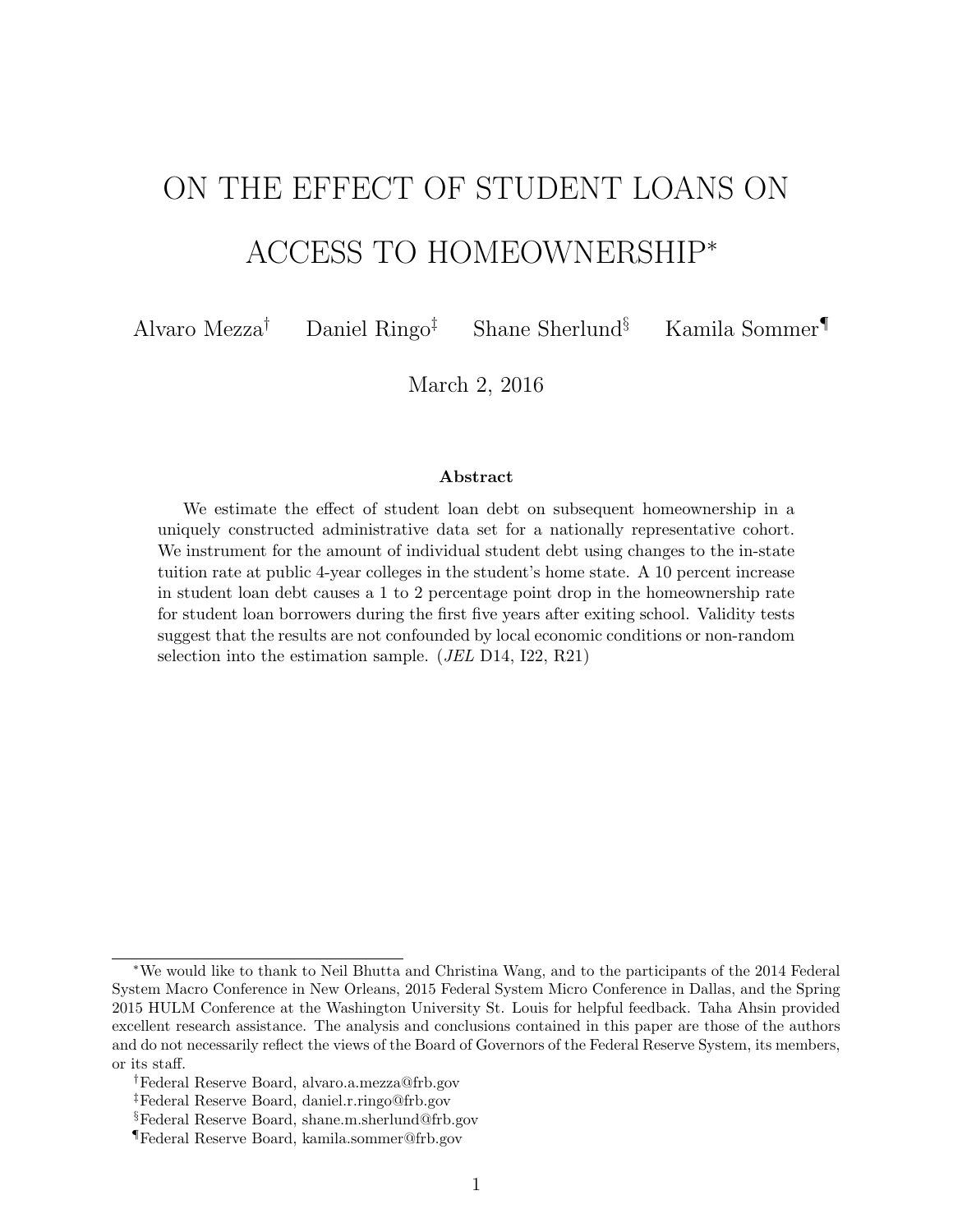# ON THE EFFECT OF STUDENT LOANS ON ACCESS TO HOMEOWNERSHIP<sup>∗</sup>

Alvaro Mezza† Daniel Ringo‡ Shane Sherlund§ Kamila Sommer¶

March 2, 2016

#### Abstract

We estimate the effect of student loan debt on subsequent homeownership in a uniquely constructed administrative data set for a nationally representative cohort. We instrument for the amount of individual student debt using changes to the in-state tuition rate at public 4-year colleges in the student's home state. A 10 percent increase in student loan debt causes a 1 to 2 percentage point drop in the homeownership rate for student loan borrowers during the first five years after exiting school. Validity tests suggest that the results are not confounded by local economic conditions or non-random selection into the estimation sample. (JEL D14, I22, R21)

<sup>∗</sup>We would like to thank to Neil Bhutta and Christina Wang, and to the participants of the 2014 Federal System Macro Conference in New Orleans, 2015 Federal System Micro Conference in Dallas, and the Spring 2015 HULM Conference at the Washington University St. Louis for helpful feedback. Taha Ahsin provided excellent research assistance. The analysis and conclusions contained in this paper are those of the authors and do not necessarily reflect the views of the Board of Governors of the Federal Reserve System, its members, or its staff.

<sup>†</sup>Federal Reserve Board, alvaro.a.mezza@frb.gov

<sup>‡</sup>Federal Reserve Board, daniel.r.ringo@frb.gov

<sup>§</sup>Federal Reserve Board, shane.m.sherlund@frb.gov

<sup>¶</sup>Federal Reserve Board, kamila.sommer@frb.gov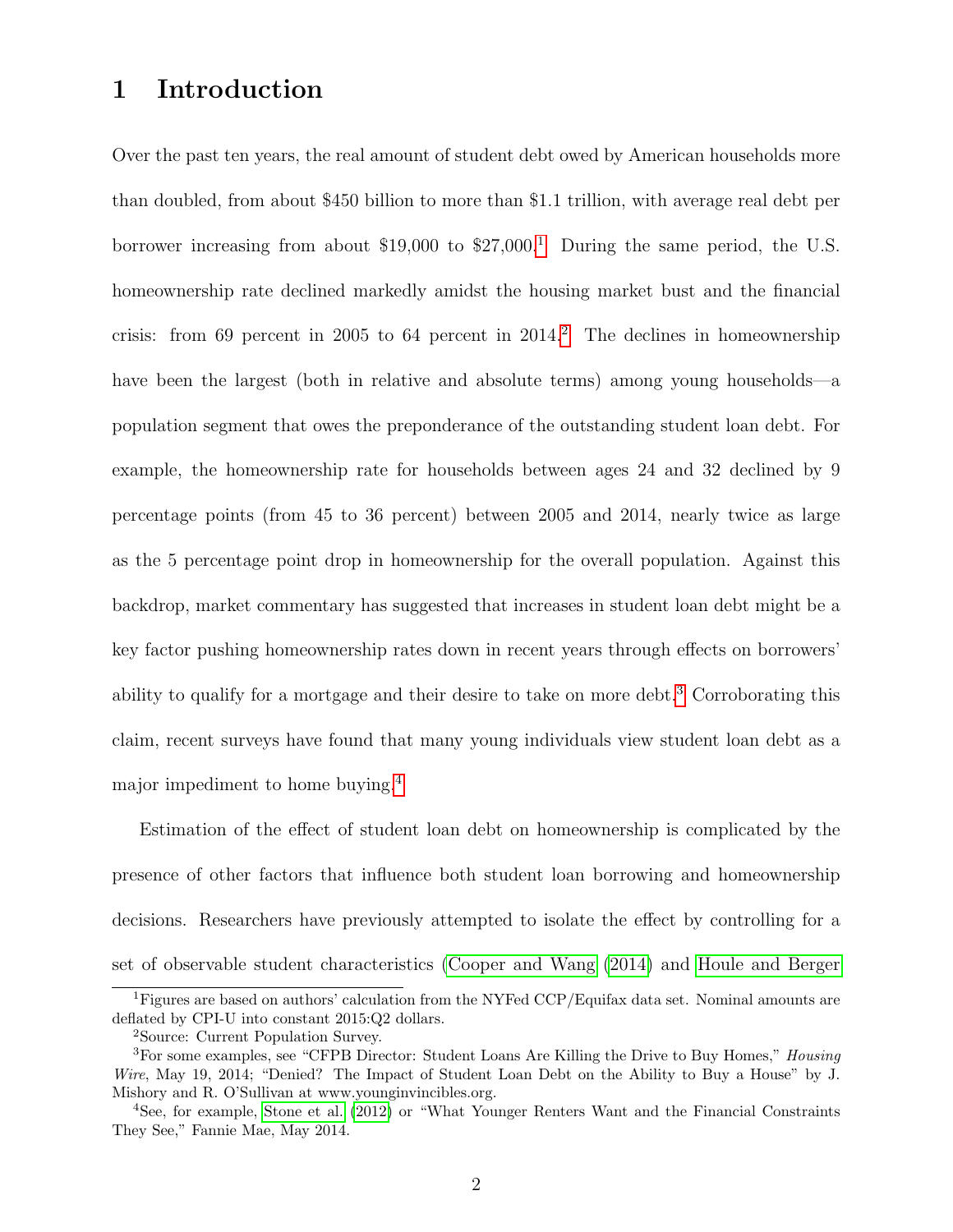### 1 Introduction

Over the past ten years, the real amount of student debt owed by American households more than doubled, from about \$450 billion to more than \$1.1 trillion, with average real debt per borrower increasing from about  $$19,000$  $$19,000$  $$19,000$  to  $$27,000<sup>1</sup>$  During the same period, the U.S. homeownership rate declined markedly amidst the housing market bust and the financial crisis: from 69 percent in [2](#page-1-1)005 to 64 percent in  $2014$ .<sup>2</sup> The declines in homeownership have been the largest (both in relative and absolute terms) among young households—a population segment that owes the preponderance of the outstanding student loan debt. For example, the homeownership rate for households between ages 24 and 32 declined by 9 percentage points (from 45 to 36 percent) between 2005 and 2014, nearly twice as large as the 5 percentage point drop in homeownership for the overall population. Against this backdrop, market commentary has suggested that increases in student loan debt might be a key factor pushing homeownership rates down in recent years through effects on borrowers' ability to qualify for a mortgage and their desire to take on more debt.[3](#page-1-2) Corroborating this claim, recent surveys have found that many young individuals view student loan debt as a major impediment to home buying.[4](#page-1-3)

Estimation of the effect of student loan debt on homeownership is complicated by the presence of other factors that influence both student loan borrowing and homeownership decisions. Researchers have previously attempted to isolate the effect by controlling for a set of observable student characteristics [\(Cooper and Wang](#page-31-0) [\(2014\)](#page-31-0) and [Houle and Berger](#page-31-1)

<span id="page-1-0"></span><sup>1</sup>Figures are based on authors' calculation from the NYFed CCP/Equifax data set. Nominal amounts are deflated by CPI-U into constant 2015:Q2 dollars.

<span id="page-1-2"></span><span id="page-1-1"></span><sup>2</sup>Source: Current Population Survey.

 ${}^{3}$ For some examples, see "CFPB Director: Student Loans Are Killing the Drive to Buy Homes," *Housing* Wire, May 19, 2014; "Denied? The Impact of Student Loan Debt on the Ability to Buy a House" by J. Mishory and R. O'Sullivan at www.younginvincibles.org.

<span id="page-1-3"></span><sup>4</sup>See, for example, [Stone et al.](#page-32-0) [\(2012\)](#page-32-0) or "What Younger Renters Want and the Financial Constraints They See," Fannie Mae, May 2014.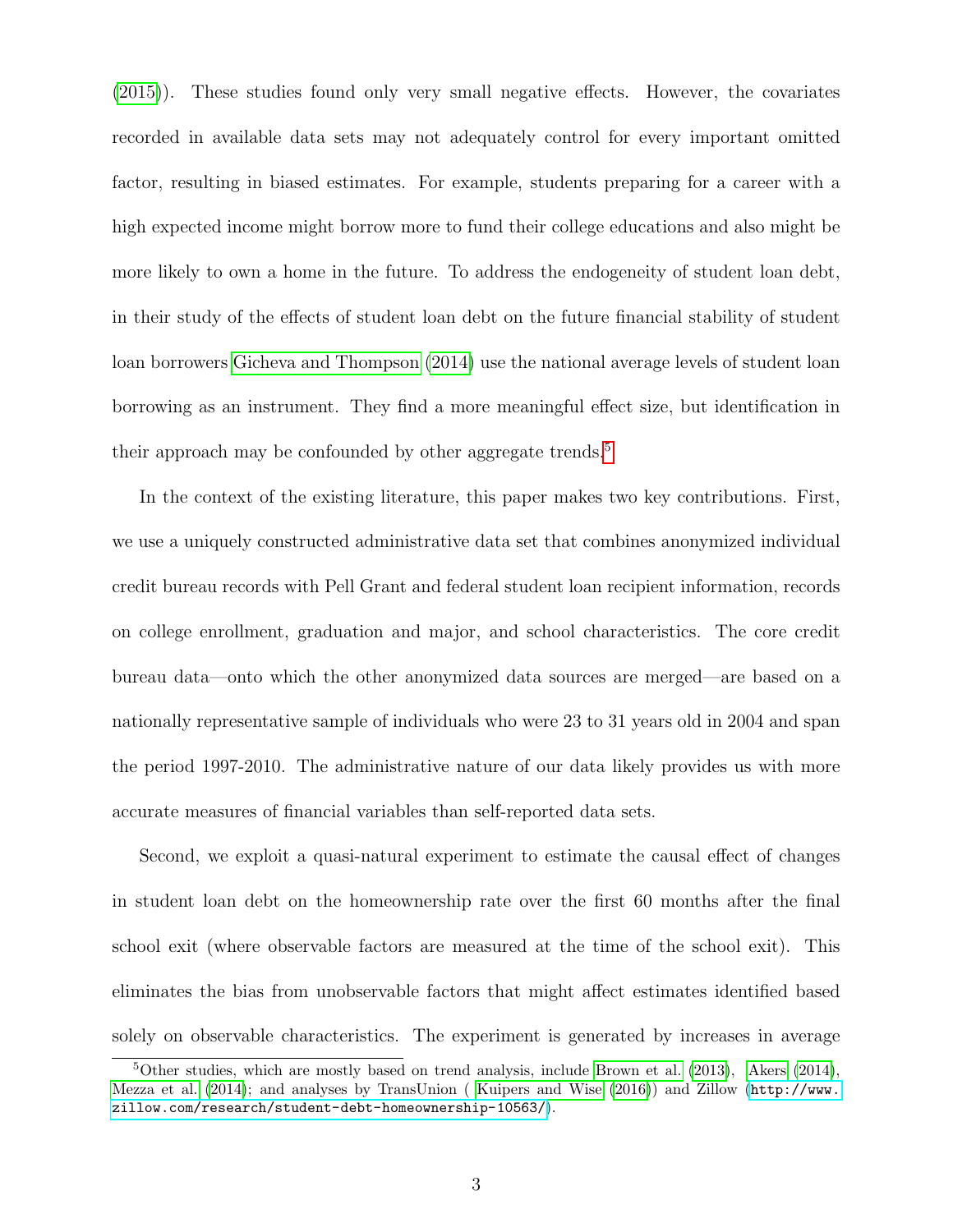[\(2015\)](#page-31-1)). These studies found only very small negative effects. However, the covariates recorded in available data sets may not adequately control for every important omitted factor, resulting in biased estimates. For example, students preparing for a career with a high expected income might borrow more to fund their college educations and also might be more likely to own a home in the future. To address the endogeneity of student loan debt, in their study of the effects of student loan debt on the future financial stability of student loan borrowers [Gicheva and Thompson](#page-31-2) [\(2014\)](#page-31-2) use the national average levels of student loan borrowing as an instrument. They find a more meaningful effect size, but identification in their approach may be confounded by other aggregate trends.<sup>[5](#page-2-0)</sup>

In the context of the existing literature, this paper makes two key contributions. First, we use a uniquely constructed administrative data set that combines anonymized individual credit bureau records with Pell Grant and federal student loan recipient information, records on college enrollment, graduation and major, and school characteristics. The core credit bureau data—onto which the other anonymized data sources are merged—are based on a nationally representative sample of individuals who were 23 to 31 years old in 2004 and span the period 1997-2010. The administrative nature of our data likely provides us with more accurate measures of financial variables than self-reported data sets.

Second, we exploit a quasi-natural experiment to estimate the causal effect of changes in student loan debt on the homeownership rate over the first 60 months after the final school exit (where observable factors are measured at the time of the school exit). This eliminates the bias from unobservable factors that might affect estimates identified based solely on observable characteristics. The experiment is generated by increases in average

<span id="page-2-0"></span> $5$ Other studies, which are mostly based on trend analysis, include [Brown et al.](#page-31-3) [\(2013\)](#page-31-3), [Akers](#page-31-4) [\(2014\)](#page-31-4), [Mezza et al.](#page-32-1) [\(2014\)](#page-32-1); and analyses by TransUnion ( [Kuipers and Wise](#page-31-5) [\(2016\)](#page-31-5)) and Zillow ([http://www.](http://www.zillow.com/research/student-debt-homeownership-10563/) [zillow.com/research/student-debt-homeownership-10563/](http://www.zillow.com/research/student-debt-homeownership-10563/)).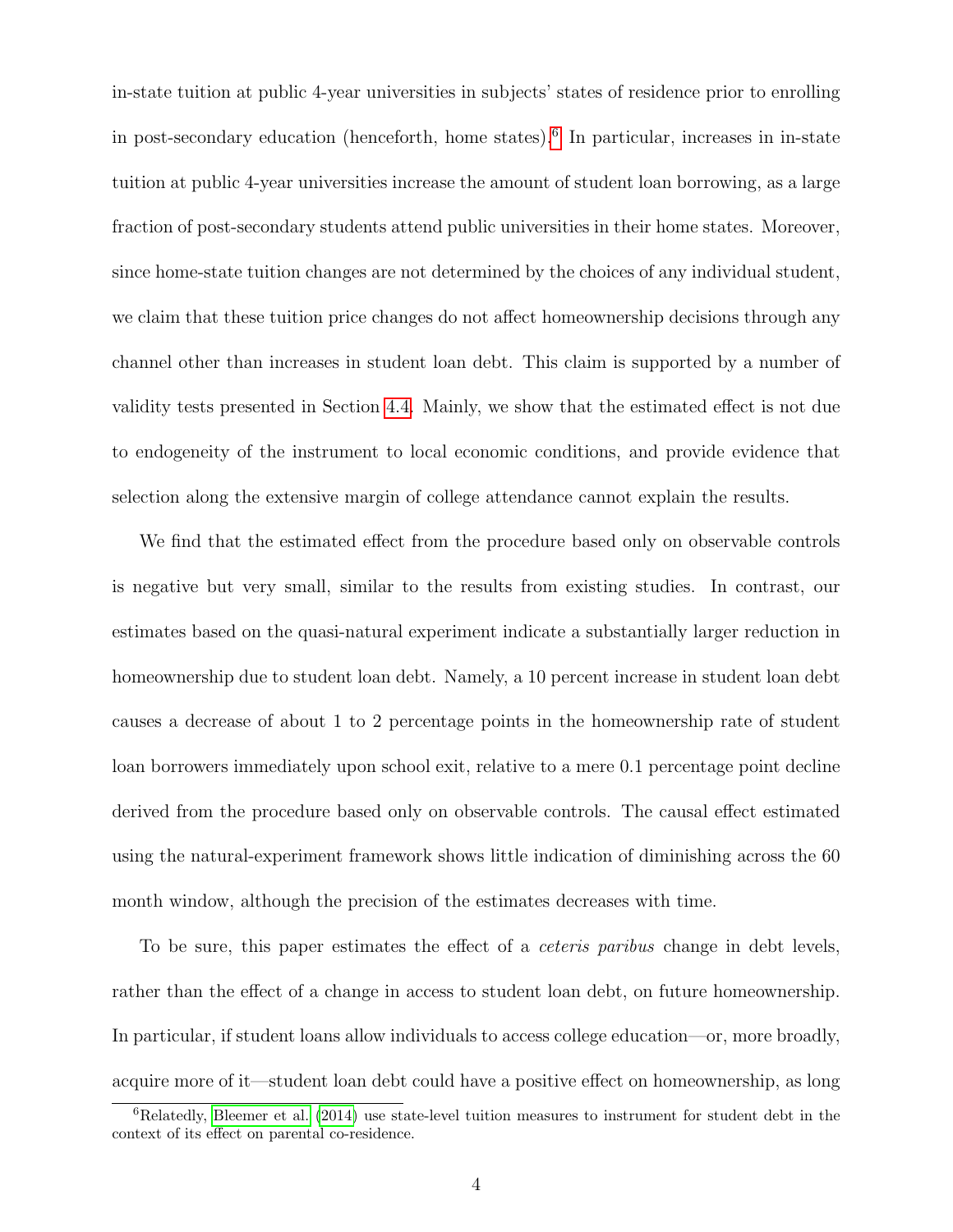in-state tuition at public 4-year universities in subjects' states of residence prior to enrolling in post-secondary education (henceforth, home states).[6](#page-3-0) In particular, increases in in-state tuition at public 4-year universities increase the amount of student loan borrowing, as a large fraction of post-secondary students attend public universities in their home states. Moreover, since home-state tuition changes are not determined by the choices of any individual student, we claim that these tuition price changes do not affect homeownership decisions through any channel other than increases in student loan debt. This claim is supported by a number of validity tests presented in Section [4.4.](#page-21-0) Mainly, we show that the estimated effect is not due to endogeneity of the instrument to local economic conditions, and provide evidence that selection along the extensive margin of college attendance cannot explain the results.

We find that the estimated effect from the procedure based only on observable controls is negative but very small, similar to the results from existing studies. In contrast, our estimates based on the quasi-natural experiment indicate a substantially larger reduction in homeownership due to student loan debt. Namely, a 10 percent increase in student loan debt causes a decrease of about 1 to 2 percentage points in the homeownership rate of student loan borrowers immediately upon school exit, relative to a mere 0.1 percentage point decline derived from the procedure based only on observable controls. The causal effect estimated using the natural-experiment framework shows little indication of diminishing across the 60 month window, although the precision of the estimates decreases with time.

To be sure, this paper estimates the effect of a *ceteris paribus* change in debt levels, rather than the effect of a change in access to student loan debt, on future homeownership. In particular, if student loans allow individuals to access college education—or, more broadly, acquire more of it—student loan debt could have a positive effect on homeownership, as long

<span id="page-3-0"></span> ${}^{6}$ Relatedly, [Bleemer et al.](#page-31-6) [\(2014\)](#page-31-6) use state-level tuition measures to instrument for student debt in the context of its effect on parental co-residence.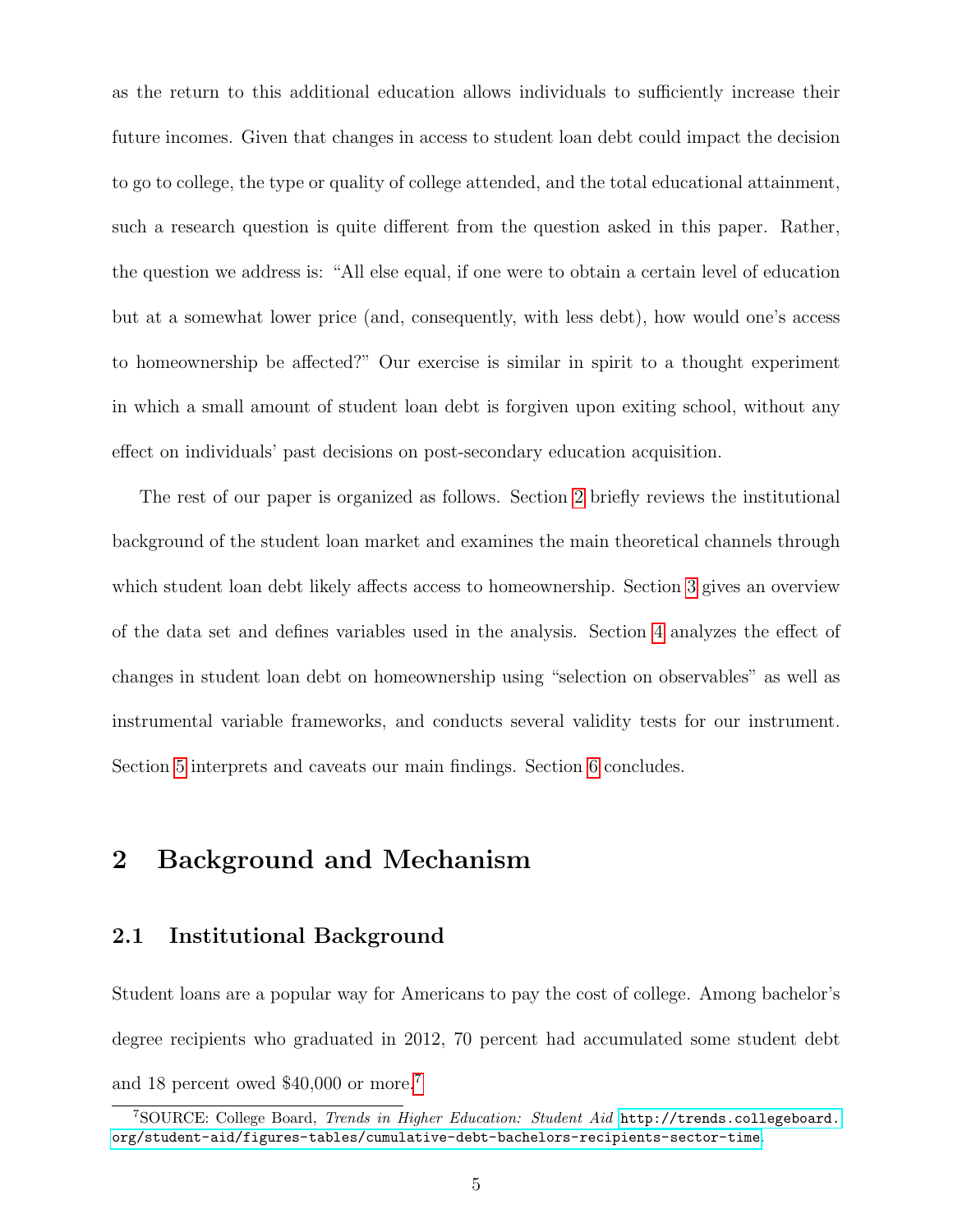as the return to this additional education allows individuals to sufficiently increase their future incomes. Given that changes in access to student loan debt could impact the decision to go to college, the type or quality of college attended, and the total educational attainment, such a research question is quite different from the question asked in this paper. Rather, the question we address is: "All else equal, if one were to obtain a certain level of education but at a somewhat lower price (and, consequently, with less debt), how would one's access to homeownership be affected?" Our exercise is similar in spirit to a thought experiment in which a small amount of student loan debt is forgiven upon exiting school, without any effect on individuals' past decisions on post-secondary education acquisition.

The rest of our paper is organized as follows. Section [2](#page-4-0) briefly reviews the institutional background of the student loan market and examines the main theoretical channels through which student loan debt likely affects access to homeownership. Section [3](#page-8-0) gives an overview of the data set and defines variables used in the analysis. Section [4](#page-17-0) analyzes the effect of changes in student loan debt on homeownership using "selection on observables" as well as instrumental variable frameworks, and conducts several validity tests for our instrument. Section [5](#page-27-0) interprets and caveats our main findings. Section [6](#page-28-0) concludes.

### <span id="page-4-0"></span>2 Background and Mechanism

### 2.1 Institutional Background

Student loans are a popular way for Americans to pay the cost of college. Among bachelor's degree recipients who graduated in 2012, 70 percent had accumulated some student debt and 18 percent owed \$40,000 or more.[7](#page-4-1)

<span id="page-4-1"></span><sup>7</sup>SOURCE: College Board, Trends in Higher Education: Student Aid [http://trends.collegeboard.](http://trends.collegeboard.org/student-aid/figures-tables/cumulative-debt-bachelors-recipients-sector-time) [org/student-aid/figures-tables/cumulative-debt-bachelors-recipients-sector-time](http://trends.collegeboard.org/student-aid/figures-tables/cumulative-debt-bachelors-recipients-sector-time).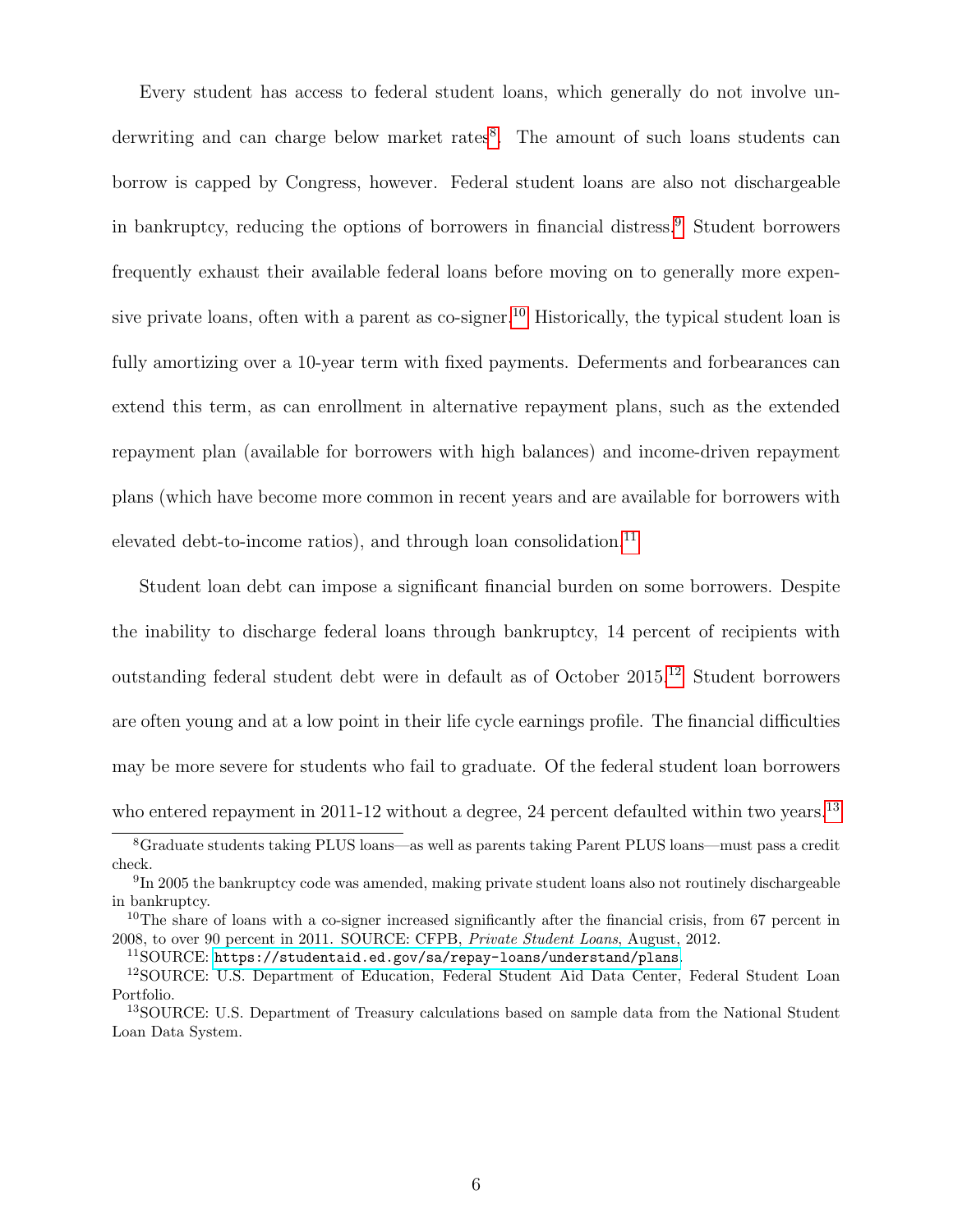Every student has access to federal student loans, which generally do not involve un-derwriting and can charge below market rates<sup>[8](#page-5-0)</sup>. The amount of such loans students can borrow is capped by Congress, however. Federal student loans are also not dischargeable in bankruptcy, reducing the options of borrowers in financial distress.[9](#page-5-1) Student borrowers frequently exhaust their available federal loans before moving on to generally more expensive private loans, often with a parent as  $\cos$ -signer.<sup>[10](#page-5-2)</sup> Historically, the typical student loan is fully amortizing over a 10-year term with fixed payments. Deferments and forbearances can extend this term, as can enrollment in alternative repayment plans, such as the extended repayment plan (available for borrowers with high balances) and income-driven repayment plans (which have become more common in recent years and are available for borrowers with elevated debt-to-income ratios), and through loan consolidation.<sup>[11](#page-5-3)</sup>

Student loan debt can impose a significant financial burden on some borrowers. Despite the inability to discharge federal loans through bankruptcy, 14 percent of recipients with outstanding federal student debt were in default as of October 2015.[12](#page-5-4) Student borrowers are often young and at a low point in their life cycle earnings profile. The financial difficulties may be more severe for students who fail to graduate. Of the federal student loan borrowers who entered repayment in 2011-12 without a degree, 24 percent defaulted within two years.<sup>[13](#page-5-5)</sup>

<span id="page-5-4"></span><span id="page-5-3"></span><sup>11</sup>SOURCE: <https://studentaid.ed.gov/sa/repay-loans/understand/plans>.

<span id="page-5-0"></span><sup>8</sup>Graduate students taking PLUS loans—as well as parents taking Parent PLUS loans—must pass a credit check.

<span id="page-5-1"></span><sup>&</sup>lt;sup>9</sup>In 2005 the bankruptcy code was amended, making private student loans also not routinely dischargeable in bankruptcy.

<span id="page-5-2"></span><sup>&</sup>lt;sup>10</sup>The share of loans with a co-signer increased significantly after the financial crisis, from 67 percent in 2008, to over 90 percent in 2011. SOURCE: CFPB, Private Student Loans, August, 2012.

<sup>12</sup>SOURCE: U.S. Department of Education, Federal Student Aid Data Center, Federal Student Loan Portfolio.

<span id="page-5-5"></span><sup>&</sup>lt;sup>13</sup>SOURCE: U.S. Department of Treasury calculations based on sample data from the National Student Loan Data System.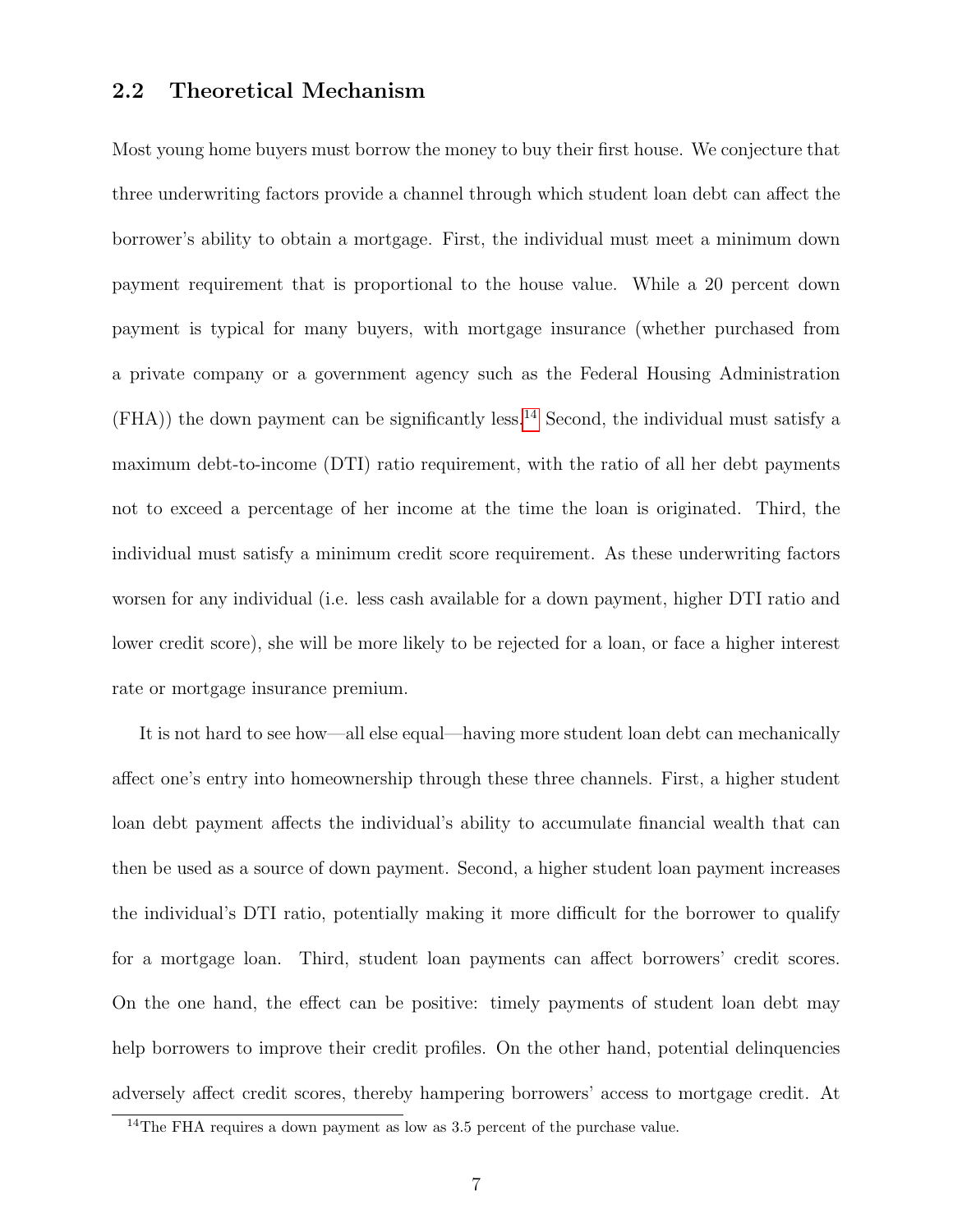### 2.2 Theoretical Mechanism

Most young home buyers must borrow the money to buy their first house. We conjecture that three underwriting factors provide a channel through which student loan debt can affect the borrower's ability to obtain a mortgage. First, the individual must meet a minimum down payment requirement that is proportional to the house value. While a 20 percent down payment is typical for many buyers, with mortgage insurance (whether purchased from a private company or a government agency such as the Federal Housing Administration (FHA)) the down payment can be significantly less.[14](#page-6-0) Second, the individual must satisfy a maximum debt-to-income (DTI) ratio requirement, with the ratio of all her debt payments not to exceed a percentage of her income at the time the loan is originated. Third, the individual must satisfy a minimum credit score requirement. As these underwriting factors worsen for any individual (i.e. less cash available for a down payment, higher DTI ratio and lower credit score), she will be more likely to be rejected for a loan, or face a higher interest rate or mortgage insurance premium.

It is not hard to see how—all else equal—having more student loan debt can mechanically affect one's entry into homeownership through these three channels. First, a higher student loan debt payment affects the individual's ability to accumulate financial wealth that can then be used as a source of down payment. Second, a higher student loan payment increases the individual's DTI ratio, potentially making it more difficult for the borrower to qualify for a mortgage loan. Third, student loan payments can affect borrowers' credit scores. On the one hand, the effect can be positive: timely payments of student loan debt may help borrowers to improve their credit profiles. On the other hand, potential delinquencies adversely affect credit scores, thereby hampering borrowers' access to mortgage credit. At

<span id="page-6-0"></span><sup>&</sup>lt;sup>14</sup>The FHA requires a down payment as low as 3.5 percent of the purchase value.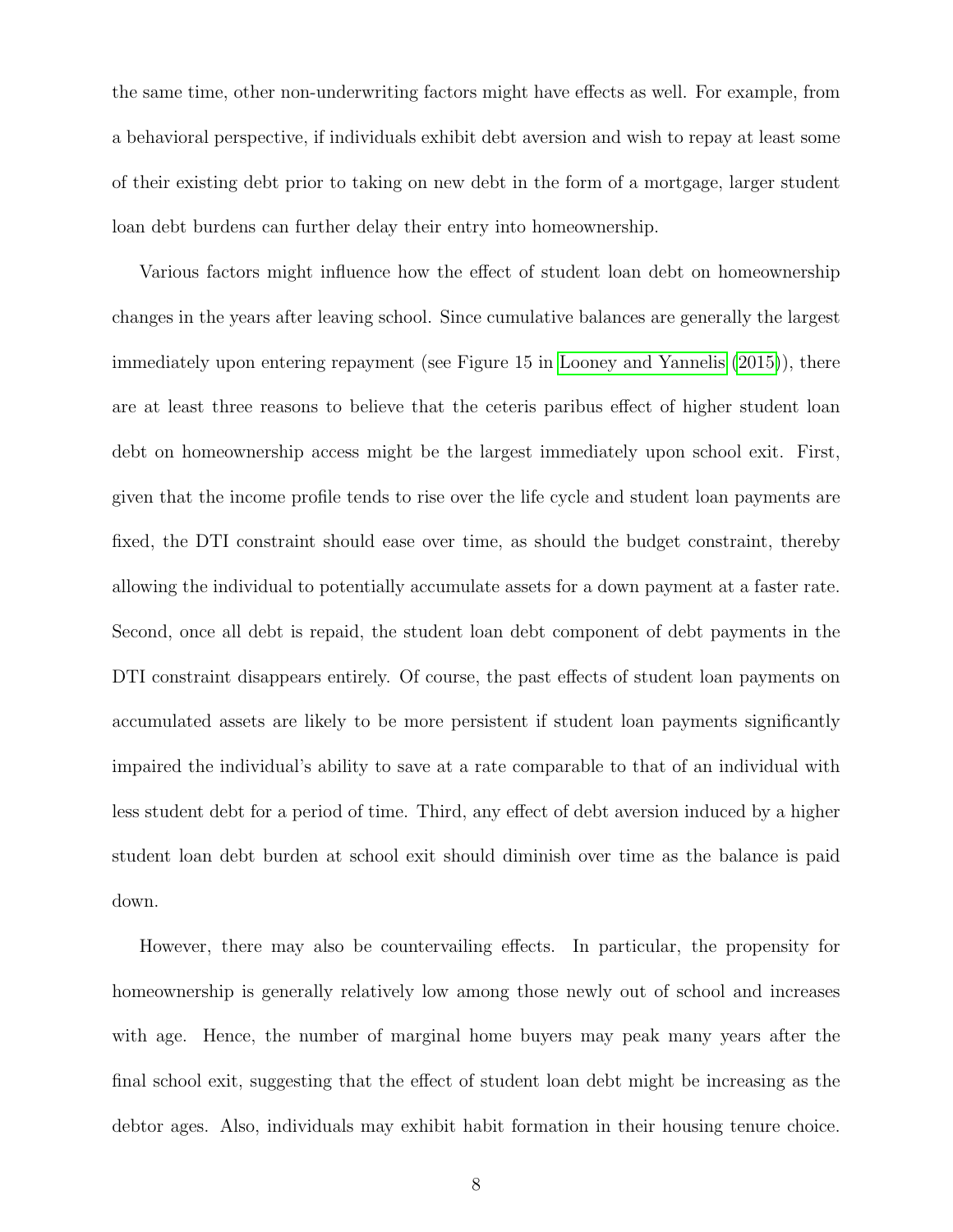the same time, other non-underwriting factors might have effects as well. For example, from a behavioral perspective, if individuals exhibit debt aversion and wish to repay at least some of their existing debt prior to taking on new debt in the form of a mortgage, larger student loan debt burdens can further delay their entry into homeownership.

Various factors might influence how the effect of student loan debt on homeownership changes in the years after leaving school. Since cumulative balances are generally the largest immediately upon entering repayment (see Figure 15 in [Looney and Yannelis](#page-31-7) [\(2015\)](#page-31-7)), there are at least three reasons to believe that the ceteris paribus effect of higher student loan debt on homeownership access might be the largest immediately upon school exit. First, given that the income profile tends to rise over the life cycle and student loan payments are fixed, the DTI constraint should ease over time, as should the budget constraint, thereby allowing the individual to potentially accumulate assets for a down payment at a faster rate. Second, once all debt is repaid, the student loan debt component of debt payments in the DTI constraint disappears entirely. Of course, the past effects of student loan payments on accumulated assets are likely to be more persistent if student loan payments significantly impaired the individual's ability to save at a rate comparable to that of an individual with less student debt for a period of time. Third, any effect of debt aversion induced by a higher student loan debt burden at school exit should diminish over time as the balance is paid down.

However, there may also be countervailing effects. In particular, the propensity for homeownership is generally relatively low among those newly out of school and increases with age. Hence, the number of marginal home buyers may peak many years after the final school exit, suggesting that the effect of student loan debt might be increasing as the debtor ages. Also, individuals may exhibit habit formation in their housing tenure choice.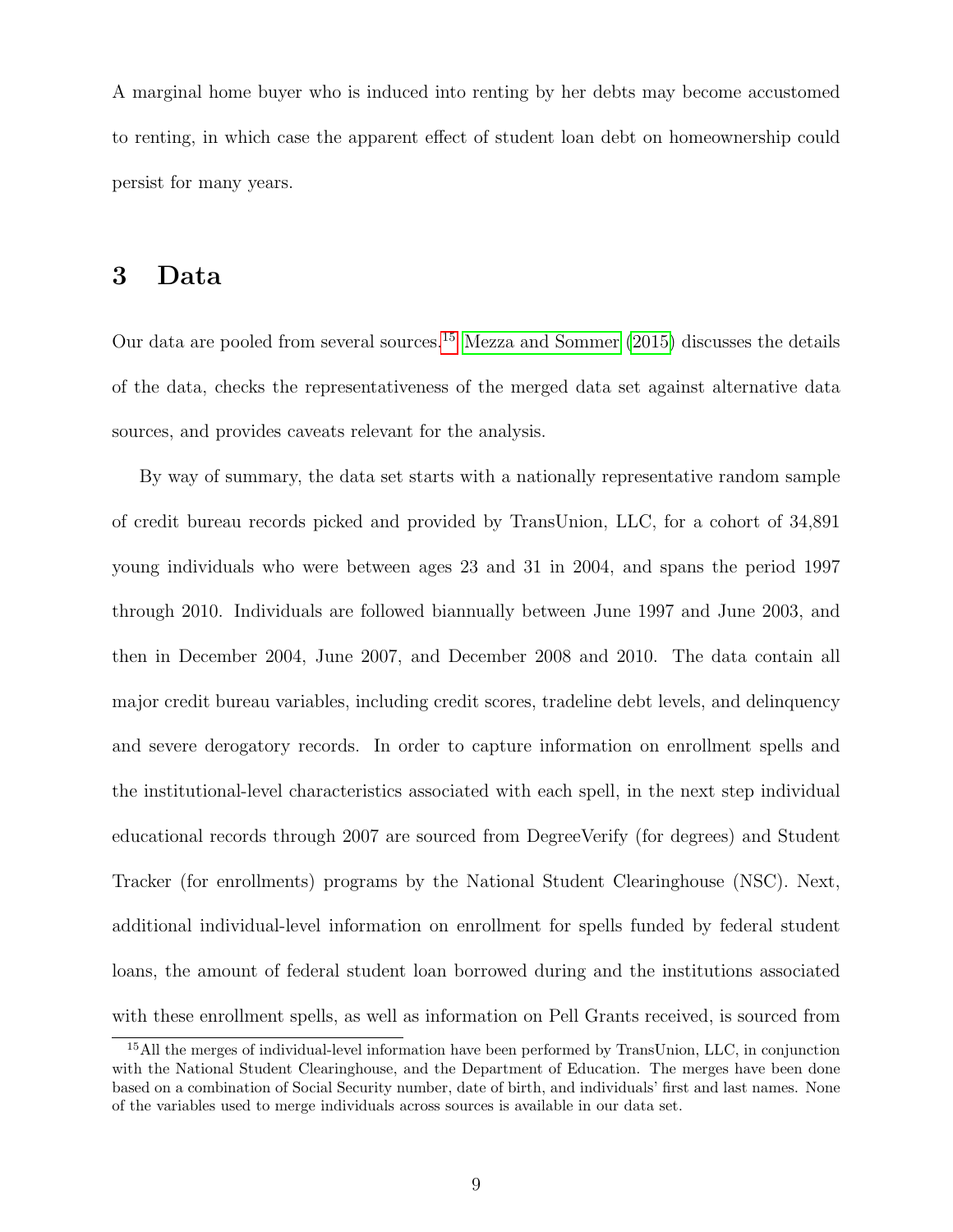A marginal home buyer who is induced into renting by her debts may become accustomed to renting, in which case the apparent effect of student loan debt on homeownership could persist for many years.

### <span id="page-8-0"></span>3 Data

Our data are pooled from several sources.[15](#page-8-1) [Mezza and Sommer](#page-32-2) [\(2015\)](#page-32-2) discusses the details of the data, checks the representativeness of the merged data set against alternative data sources, and provides caveats relevant for the analysis.

By way of summary, the data set starts with a nationally representative random sample of credit bureau records picked and provided by TransUnion, LLC, for a cohort of 34,891 young individuals who were between ages 23 and 31 in 2004, and spans the period 1997 through 2010. Individuals are followed biannually between June 1997 and June 2003, and then in December 2004, June 2007, and December 2008 and 2010. The data contain all major credit bureau variables, including credit scores, tradeline debt levels, and delinquency and severe derogatory records. In order to capture information on enrollment spells and the institutional-level characteristics associated with each spell, in the next step individual educational records through 2007 are sourced from DegreeVerify (for degrees) and Student Tracker (for enrollments) programs by the National Student Clearinghouse (NSC). Next, additional individual-level information on enrollment for spells funded by federal student loans, the amount of federal student loan borrowed during and the institutions associated with these enrollment spells, as well as information on Pell Grants received, is sourced from

<span id="page-8-1"></span><sup>15</sup>All the merges of individual-level information have been performed by TransUnion, LLC, in conjunction with the National Student Clearinghouse, and the Department of Education. The merges have been done based on a combination of Social Security number, date of birth, and individuals' first and last names. None of the variables used to merge individuals across sources is available in our data set.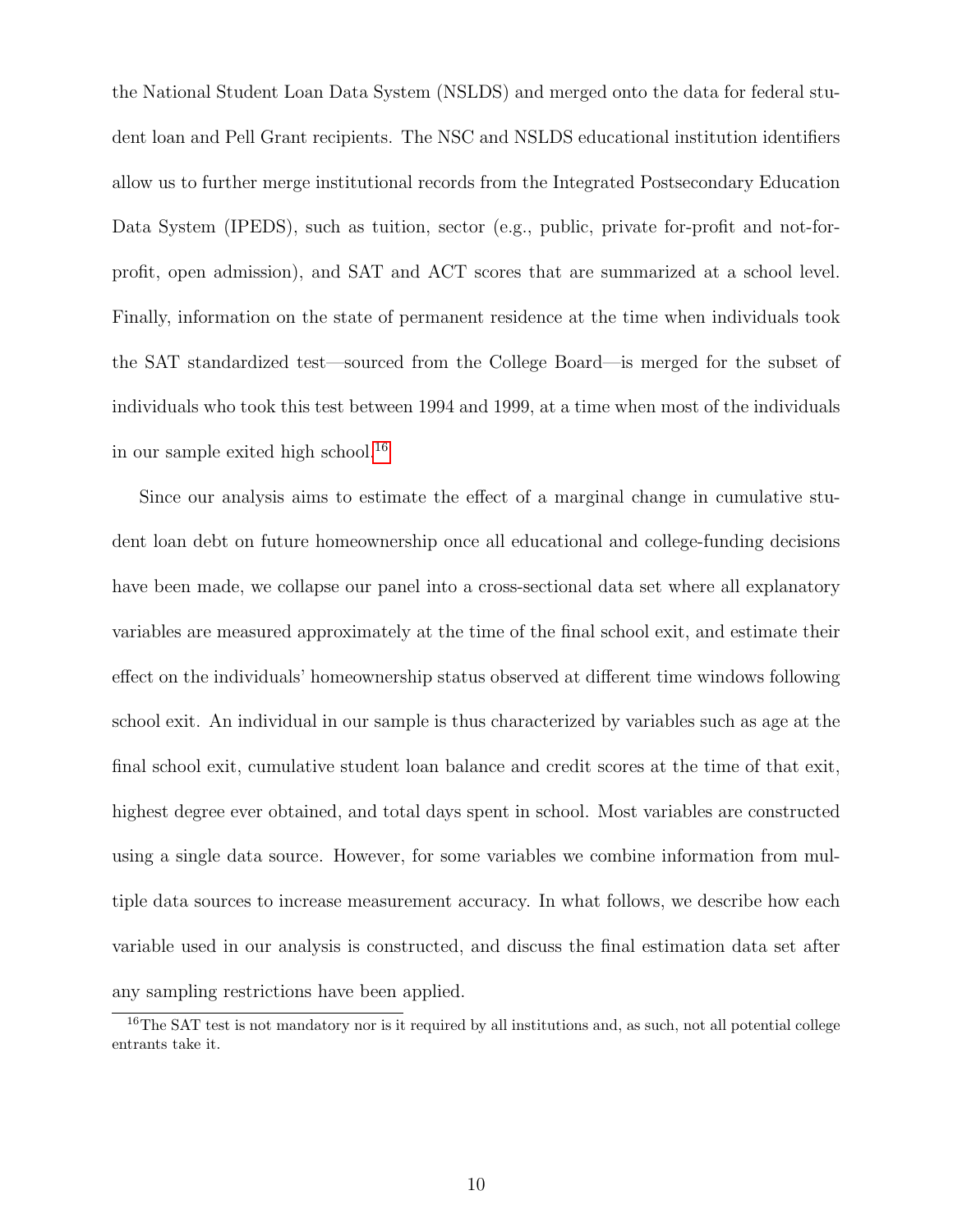the National Student Loan Data System (NSLDS) and merged onto the data for federal student loan and Pell Grant recipients. The NSC and NSLDS educational institution identifiers allow us to further merge institutional records from the Integrated Postsecondary Education Data System (IPEDS), such as tuition, sector (e.g., public, private for-profit and not-forprofit, open admission), and SAT and ACT scores that are summarized at a school level. Finally, information on the state of permanent residence at the time when individuals took the SAT standardized test—sourced from the College Board—is merged for the subset of individuals who took this test between 1994 and 1999, at a time when most of the individuals in our sample exited high school.<sup>[16](#page-9-0)</sup>

Since our analysis aims to estimate the effect of a marginal change in cumulative student loan debt on future homeownership once all educational and college-funding decisions have been made, we collapse our panel into a cross-sectional data set where all explanatory variables are measured approximately at the time of the final school exit, and estimate their effect on the individuals' homeownership status observed at different time windows following school exit. An individual in our sample is thus characterized by variables such as age at the final school exit, cumulative student loan balance and credit scores at the time of that exit, highest degree ever obtained, and total days spent in school. Most variables are constructed using a single data source. However, for some variables we combine information from multiple data sources to increase measurement accuracy. In what follows, we describe how each variable used in our analysis is constructed, and discuss the final estimation data set after any sampling restrictions have been applied.

<span id="page-9-0"></span><sup>&</sup>lt;sup>16</sup>The SAT test is not mandatory nor is it required by all institutions and, as such, not all potential college entrants take it.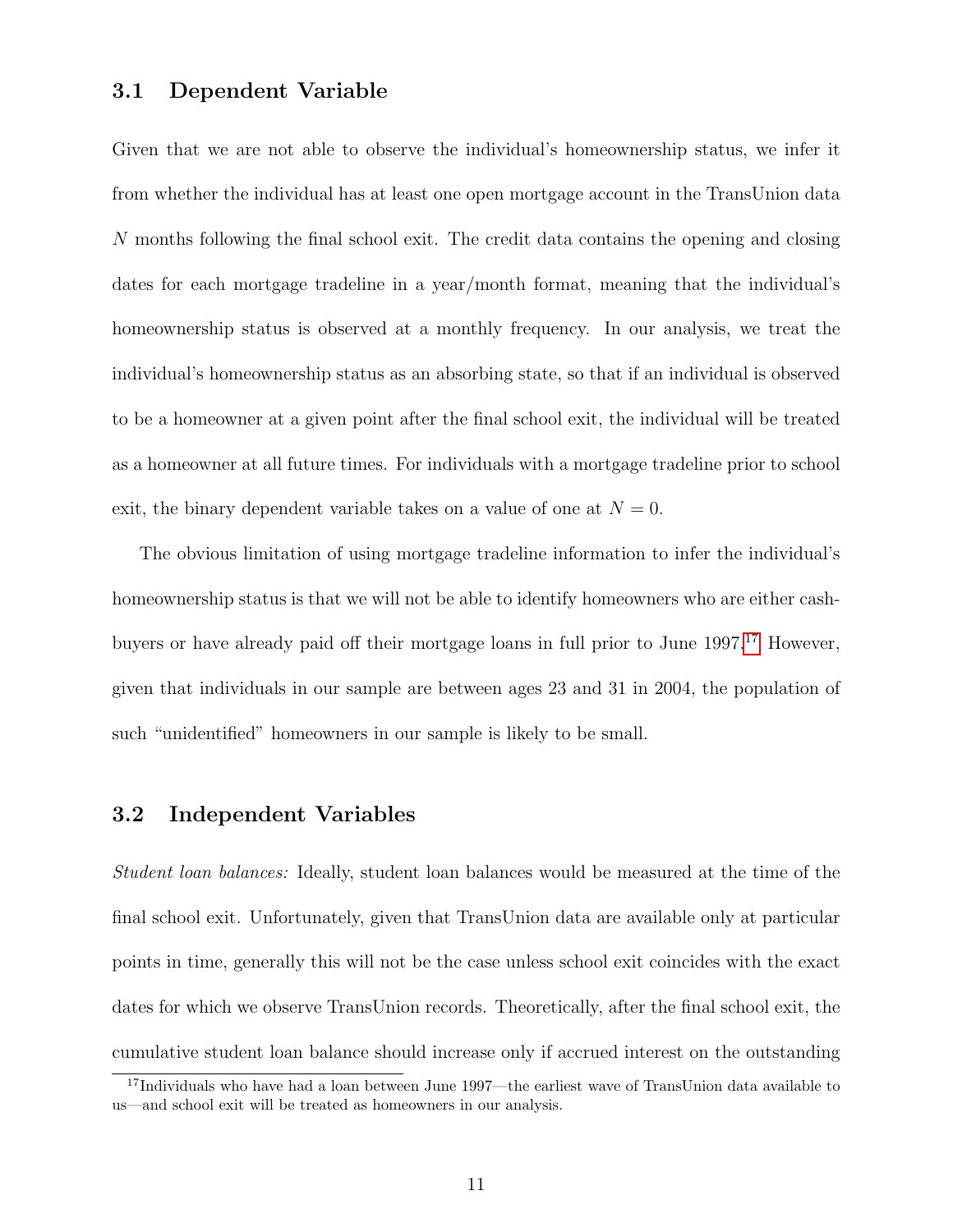### 3.1 Dependent Variable

Given that we are not able to observe the individual's homeownership status, we infer it from whether the individual has at least one open mortgage account in the TransUnion data N months following the final school exit. The credit data contains the opening and closing dates for each mortgage tradeline in a year/month format, meaning that the individual's homeownership status is observed at a monthly frequency. In our analysis, we treat the individual's homeownership status as an absorbing state, so that if an individual is observed to be a homeowner at a given point after the final school exit, the individual will be treated as a homeowner at all future times. For individuals with a mortgage tradeline prior to school exit, the binary dependent variable takes on a value of one at  $N = 0$ .

The obvious limitation of using mortgage tradeline information to infer the individual's homeownership status is that we will not be able to identify homeowners who are either cashbuyers or have already paid off their mortgage loans in full prior to June 1997.[17](#page-10-0) However, given that individuals in our sample are between ages 23 and 31 in 2004, the population of such "unidentified" homeowners in our sample is likely to be small.

#### <span id="page-10-1"></span>3.2 Independent Variables

Student loan balances: Ideally, student loan balances would be measured at the time of the final school exit. Unfortunately, given that TransUnion data are available only at particular points in time, generally this will not be the case unless school exit coincides with the exact dates for which we observe TransUnion records. Theoretically, after the final school exit, the cumulative student loan balance should increase only if accrued interest on the outstanding

<span id="page-10-0"></span><sup>&</sup>lt;sup>17</sup>Individuals who have had a loan between June 1997—the earliest wave of TransUnion data available to us—and school exit will be treated as homeowners in our analysis.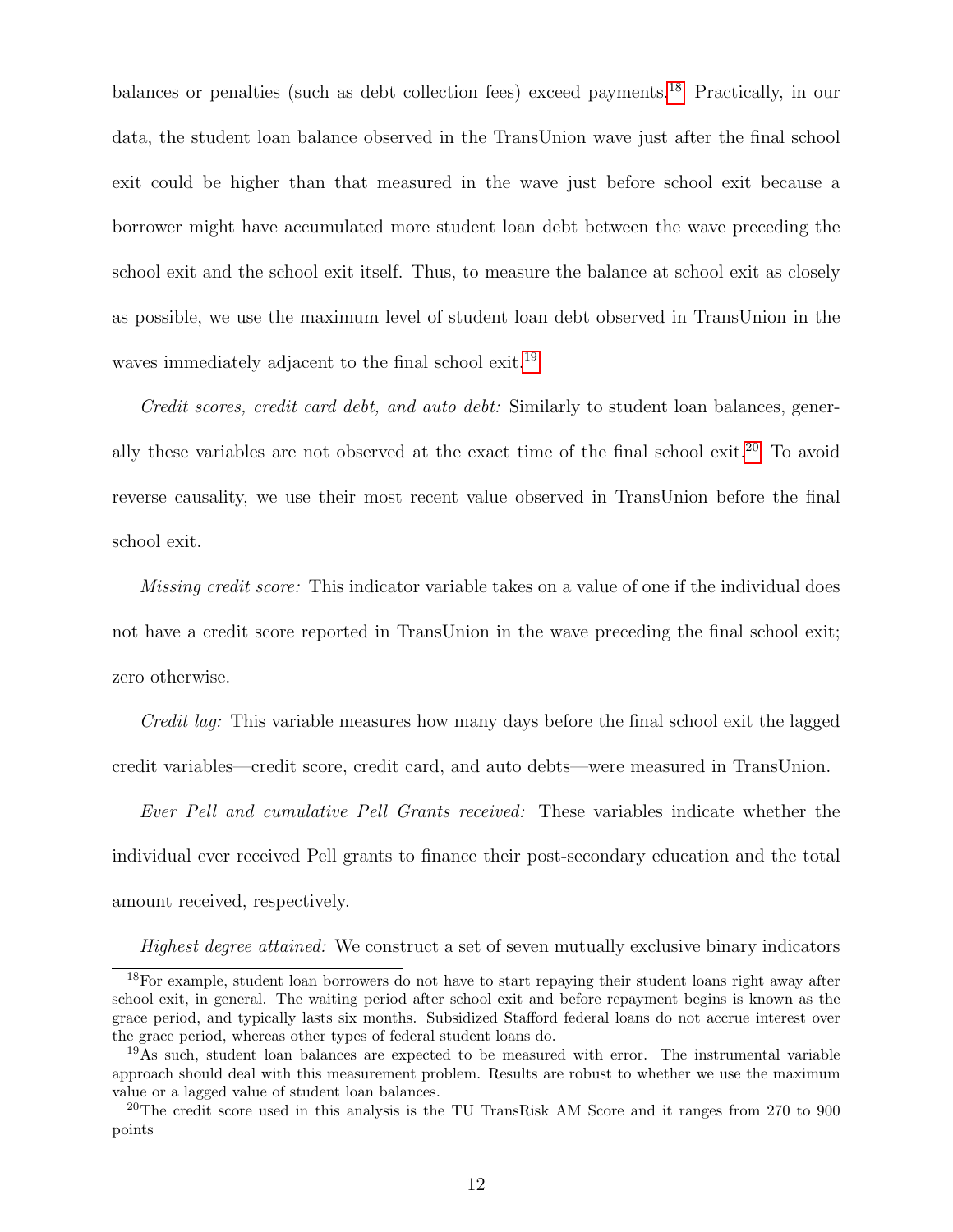balances or penalties (such as debt collection fees) exceed payments.[18](#page-11-0) Practically, in our data, the student loan balance observed in the TransUnion wave just after the final school exit could be higher than that measured in the wave just before school exit because a borrower might have accumulated more student loan debt between the wave preceding the school exit and the school exit itself. Thus, to measure the balance at school exit as closely as possible, we use the maximum level of student loan debt observed in TransUnion in the waves immediately adjacent to the final school exit.<sup>[19](#page-11-1)</sup>

Credit scores, credit card debt, and auto debt: Similarly to student loan balances, gener-ally these variables are not observed at the exact time of the final school exit.<sup>[20](#page-11-2)</sup> To avoid reverse causality, we use their most recent value observed in TransUnion before the final school exit.

*Missing credit score:* This indicator variable takes on a value of one if the individual does not have a credit score reported in TransUnion in the wave preceding the final school exit; zero otherwise.

Credit lag: This variable measures how many days before the final school exit the lagged credit variables—credit score, credit card, and auto debts—were measured in TransUnion.

Ever Pell and cumulative Pell Grants received: These variables indicate whether the individual ever received Pell grants to finance their post-secondary education and the total amount received, respectively.

<span id="page-11-0"></span>Highest degree attained: We construct a set of seven mutually exclusive binary indicators

<sup>18</sup>For example, student loan borrowers do not have to start repaying their student loans right away after school exit, in general. The waiting period after school exit and before repayment begins is known as the grace period, and typically lasts six months. Subsidized Stafford federal loans do not accrue interest over the grace period, whereas other types of federal student loans do.

<span id="page-11-1"></span><sup>19</sup>As such, student loan balances are expected to be measured with error. The instrumental variable approach should deal with this measurement problem. Results are robust to whether we use the maximum value or a lagged value of student loan balances.

<span id="page-11-2"></span><sup>&</sup>lt;sup>20</sup>The credit score used in this analysis is the TU TransRisk AM Score and it ranges from 270 to 900 points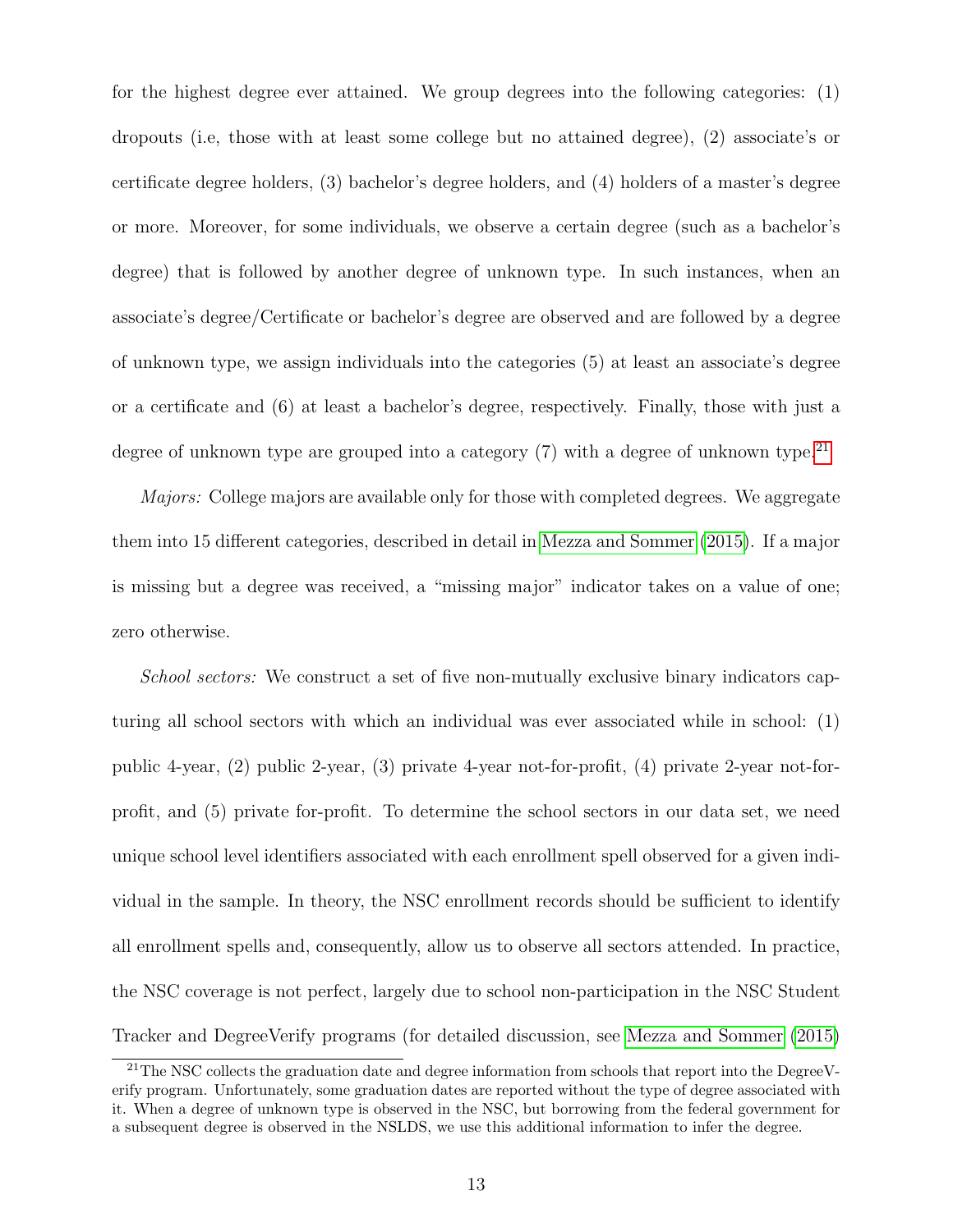for the highest degree ever attained. We group degrees into the following categories: (1) dropouts (i.e, those with at least some college but no attained degree), (2) associate's or certificate degree holders, (3) bachelor's degree holders, and (4) holders of a master's degree or more. Moreover, for some individuals, we observe a certain degree (such as a bachelor's degree) that is followed by another degree of unknown type. In such instances, when an associate's degree/Certificate or bachelor's degree are observed and are followed by a degree of unknown type, we assign individuals into the categories (5) at least an associate's degree or a certificate and (6) at least a bachelor's degree, respectively. Finally, those with just a degree of unknown type are grouped into a category  $(7)$  with a degree of unknown type.<sup>[21](#page-12-0)</sup>

Majors: College majors are available only for those with completed degrees. We aggregate them into 15 different categories, described in detail in [Mezza and Sommer](#page-32-2) [\(2015\)](#page-32-2). If a major is missing but a degree was received, a "missing major" indicator takes on a value of one; zero otherwise.

School sectors: We construct a set of five non-mutually exclusive binary indicators capturing all school sectors with which an individual was ever associated while in school: (1) public 4-year, (2) public 2-year, (3) private 4-year not-for-profit, (4) private 2-year not-forprofit, and (5) private for-profit. To determine the school sectors in our data set, we need unique school level identifiers associated with each enrollment spell observed for a given individual in the sample. In theory, the NSC enrollment records should be sufficient to identify all enrollment spells and, consequently, allow us to observe all sectors attended. In practice, the NSC coverage is not perfect, largely due to school non-participation in the NSC Student Tracker and DegreeVerify programs (for detailed discussion, see [Mezza and Sommer](#page-32-2) [\(2015\)](#page-32-2)

<span id="page-12-0"></span><sup>&</sup>lt;sup>21</sup>The NSC collects the graduation date and degree information from schools that report into the DegreeVerify program. Unfortunately, some graduation dates are reported without the type of degree associated with it. When a degree of unknown type is observed in the NSC, but borrowing from the federal government for a subsequent degree is observed in the NSLDS, we use this additional information to infer the degree.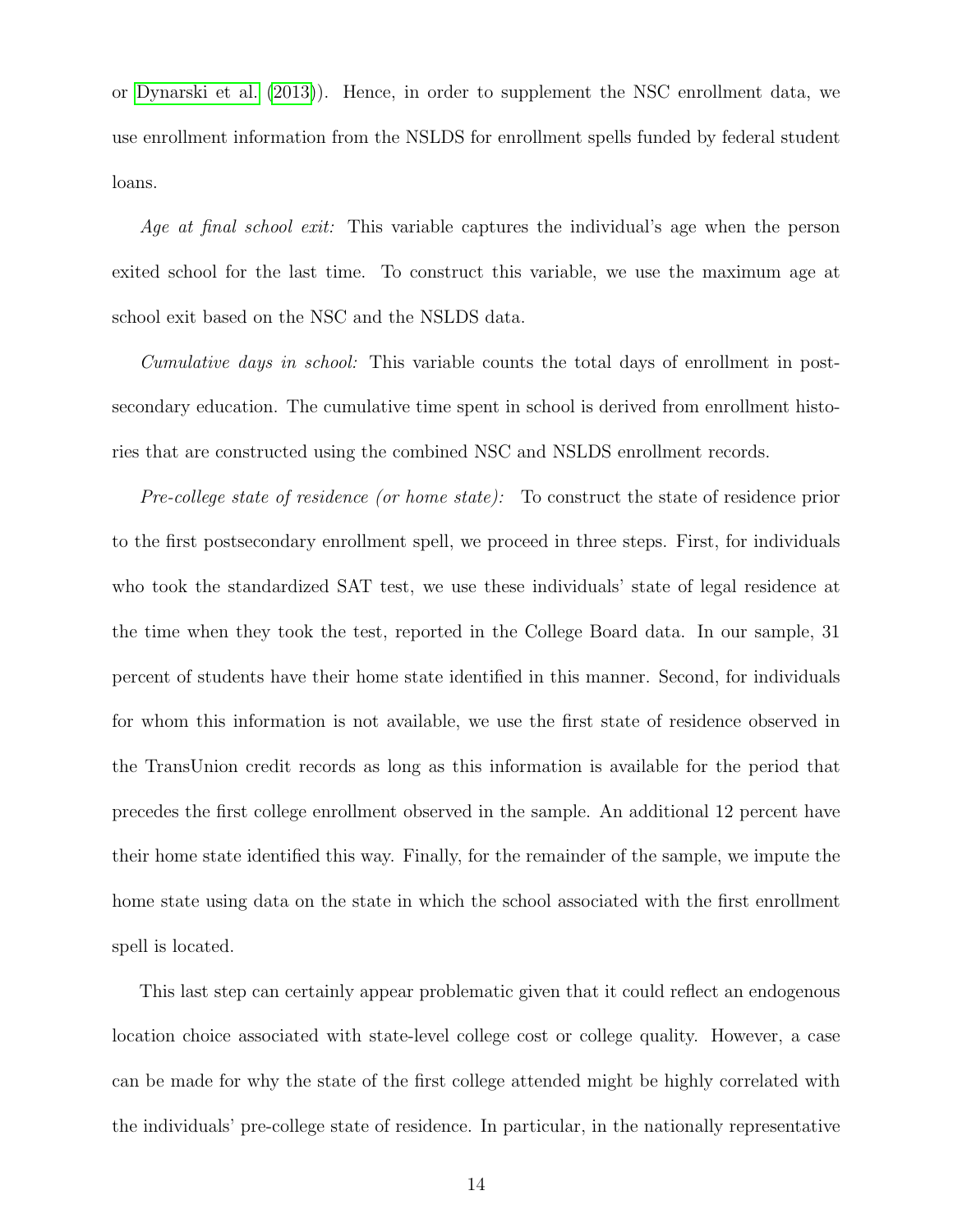or [Dynarski et al.](#page-31-8) [\(2013\)](#page-31-8)). Hence, in order to supplement the NSC enrollment data, we use enrollment information from the NSLDS for enrollment spells funded by federal student loans.

Age at final school exit: This variable captures the individual's age when the person exited school for the last time. To construct this variable, we use the maximum age at school exit based on the NSC and the NSLDS data.

Cumulative days in school: This variable counts the total days of enrollment in postsecondary education. The cumulative time spent in school is derived from enrollment histories that are constructed using the combined NSC and NSLDS enrollment records.

Pre-college state of residence (or home state): To construct the state of residence prior to the first postsecondary enrollment spell, we proceed in three steps. First, for individuals who took the standardized SAT test, we use these individuals' state of legal residence at the time when they took the test, reported in the College Board data. In our sample, 31 percent of students have their home state identified in this manner. Second, for individuals for whom this information is not available, we use the first state of residence observed in the TransUnion credit records as long as this information is available for the period that precedes the first college enrollment observed in the sample. An additional 12 percent have their home state identified this way. Finally, for the remainder of the sample, we impute the home state using data on the state in which the school associated with the first enrollment spell is located.

This last step can certainly appear problematic given that it could reflect an endogenous location choice associated with state-level college cost or college quality. However, a case can be made for why the state of the first college attended might be highly correlated with the individuals' pre-college state of residence. In particular, in the nationally representative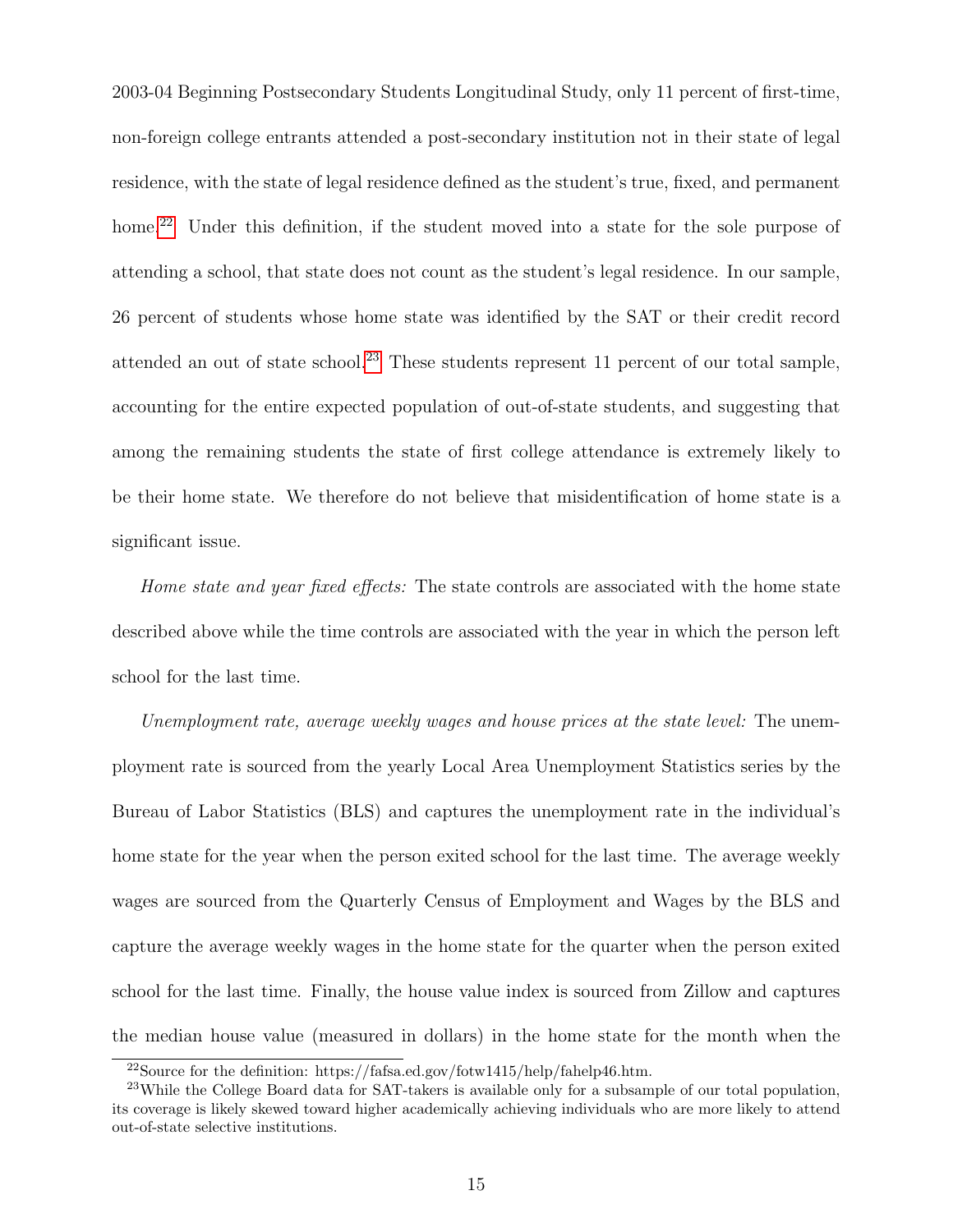2003-04 Beginning Postsecondary Students Longitudinal Study, only 11 percent of first-time, non-foreign college entrants attended a post-secondary institution not in their state of legal residence, with the state of legal residence defined as the student's true, fixed, and permanent home.<sup>[22](#page-14-0)</sup> Under this definition, if the student moved into a state for the sole purpose of attending a school, that state does not count as the student's legal residence. In our sample, 26 percent of students whose home state was identified by the SAT or their credit record attended an out of state school.<sup>[23](#page-14-1)</sup> These students represent 11 percent of our total sample, accounting for the entire expected population of out-of-state students, and suggesting that among the remaining students the state of first college attendance is extremely likely to be their home state. We therefore do not believe that misidentification of home state is a significant issue.

Home state and year fixed effects: The state controls are associated with the home state described above while the time controls are associated with the year in which the person left school for the last time.

Unemployment rate, average weekly wages and house prices at the state level: The unemployment rate is sourced from the yearly Local Area Unemployment Statistics series by the Bureau of Labor Statistics (BLS) and captures the unemployment rate in the individual's home state for the year when the person exited school for the last time. The average weekly wages are sourced from the Quarterly Census of Employment and Wages by the BLS and capture the average weekly wages in the home state for the quarter when the person exited school for the last time. Finally, the house value index is sourced from Zillow and captures the median house value (measured in dollars) in the home state for the month when the

<span id="page-14-1"></span><span id="page-14-0"></span> $^{22}\rm{Source}$  for the definition: https://fafsa.ed.gov/fotw1415/help/fahelp46.htm.

<sup>23</sup>While the College Board data for SAT-takers is available only for a subsample of our total population, its coverage is likely skewed toward higher academically achieving individuals who are more likely to attend out-of-state selective institutions.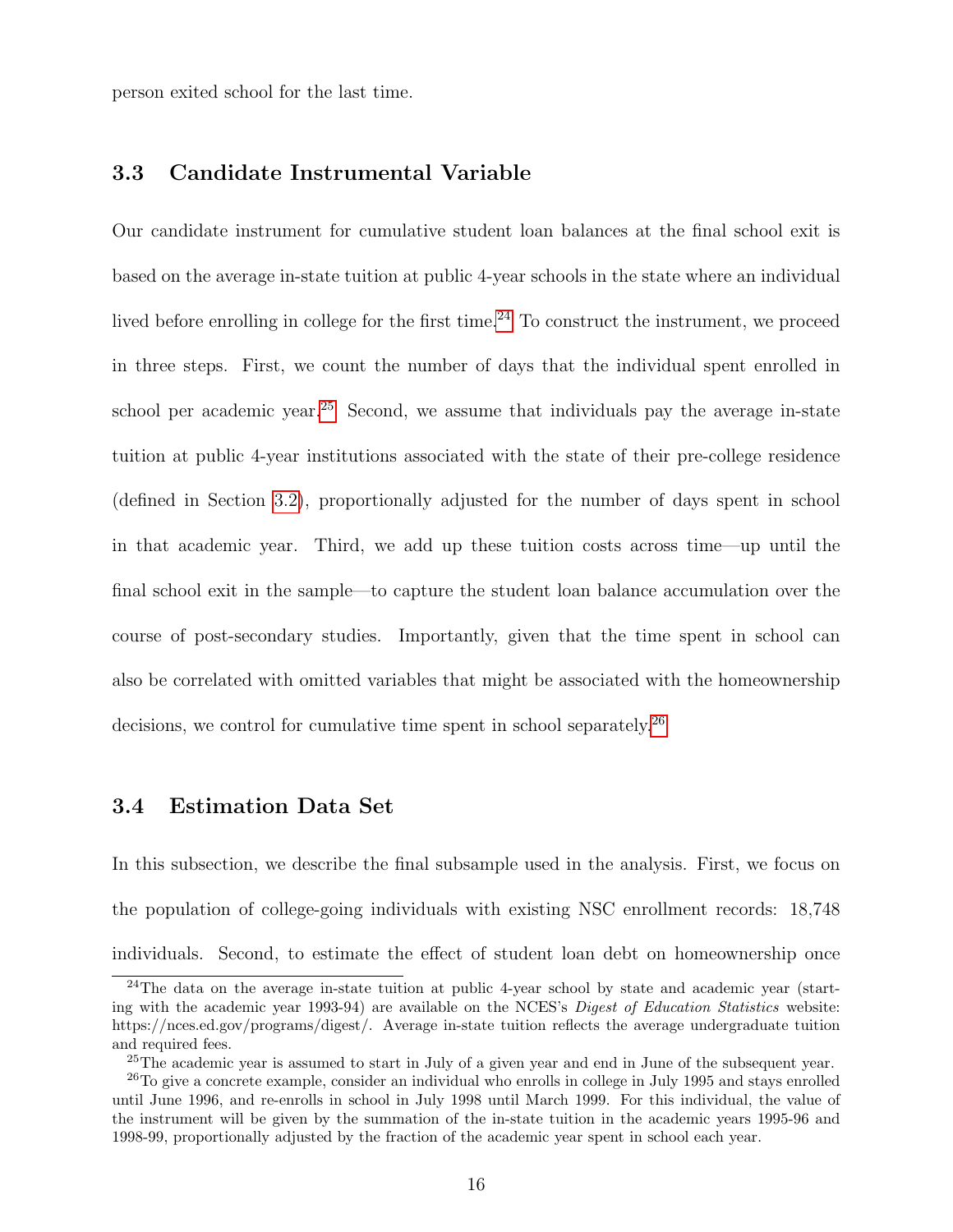person exited school for the last time.

### 3.3 Candidate Instrumental Variable

Our candidate instrument for cumulative student loan balances at the final school exit is based on the average in-state tuition at public 4-year schools in the state where an individual lived before enrolling in college for the first time.<sup>[24](#page-15-0)</sup> To construct the instrument, we proceed in three steps. First, we count the number of days that the individual spent enrolled in school per academic year.<sup>[25](#page-15-1)</sup> Second, we assume that individuals pay the average in-state tuition at public 4-year institutions associated with the state of their pre-college residence (defined in Section [3.2\)](#page-10-1), proportionally adjusted for the number of days spent in school in that academic year. Third, we add up these tuition costs across time—up until the final school exit in the sample—to capture the student loan balance accumulation over the course of post-secondary studies. Importantly, given that the time spent in school can also be correlated with omitted variables that might be associated with the homeownership decisions, we control for cumulative time spent in school separately.[26](#page-15-2)

### 3.4 Estimation Data Set

In this subsection, we describe the final subsample used in the analysis. First, we focus on the population of college-going individuals with existing NSC enrollment records: 18,748 individuals. Second, to estimate the effect of student loan debt on homeownership once

<span id="page-15-0"></span><sup>&</sup>lt;sup>24</sup>The data on the average in-state tuition at public 4-year school by state and academic year (starting with the academic year 1993-94) are available on the NCES's Digest of Education Statistics website: https://nces.ed.gov/programs/digest/. Average in-state tuition reflects the average undergraduate tuition and required fees.

<span id="page-15-2"></span><span id="page-15-1"></span> $25$ The academic year is assumed to start in July of a given year and end in June of the subsequent year.

<sup>&</sup>lt;sup>26</sup>To give a concrete example, consider an individual who enrolls in college in July 1995 and stays enrolled until June 1996, and re-enrolls in school in July 1998 until March 1999. For this individual, the value of the instrument will be given by the summation of the in-state tuition in the academic years 1995-96 and 1998-99, proportionally adjusted by the fraction of the academic year spent in school each year.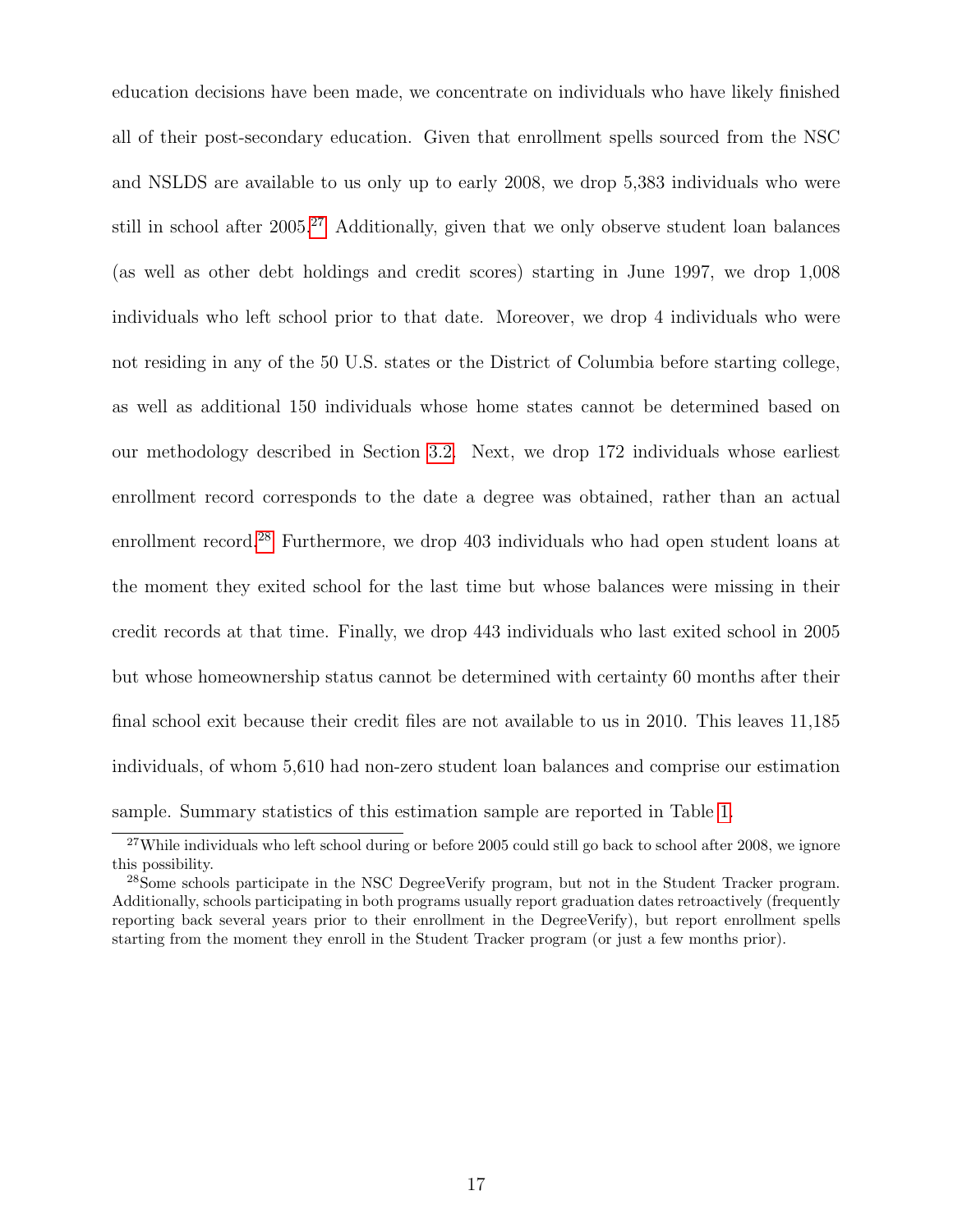education decisions have been made, we concentrate on individuals who have likely finished all of their post-secondary education. Given that enrollment spells sourced from the NSC and NSLDS are available to us only up to early 2008, we drop 5,383 individuals who were still in school after  $2005<sup>27</sup>$  $2005<sup>27</sup>$  $2005<sup>27</sup>$  Additionally, given that we only observe student loan balances (as well as other debt holdings and credit scores) starting in June 1997, we drop 1,008 individuals who left school prior to that date. Moreover, we drop 4 individuals who were not residing in any of the 50 U.S. states or the District of Columbia before starting college, as well as additional 150 individuals whose home states cannot be determined based on our methodology described in Section [3.2.](#page-10-1) Next, we drop 172 individuals whose earliest enrollment record corresponds to the date a degree was obtained, rather than an actual enrollment record.<sup>[28](#page-16-1)</sup> Furthermore, we drop 403 individuals who had open student loans at the moment they exited school for the last time but whose balances were missing in their credit records at that time. Finally, we drop 443 individuals who last exited school in 2005 but whose homeownership status cannot be determined with certainty 60 months after their final school exit because their credit files are not available to us in 2010. This leaves 11,185 individuals, of whom 5,610 had non-zero student loan balances and comprise our estimation sample. Summary statistics of this estimation sample are reported in Table [1.](#page-33-0)

<span id="page-16-0"></span><sup>&</sup>lt;sup>27</sup>While individuals who left school during or before 2005 could still go back to school after 2008, we ignore this possibility.

<span id="page-16-1"></span><sup>28</sup>Some schools participate in the NSC DegreeVerify program, but not in the Student Tracker program. Additionally, schools participating in both programs usually report graduation dates retroactively (frequently reporting back several years prior to their enrollment in the DegreeVerify), but report enrollment spells starting from the moment they enroll in the Student Tracker program (or just a few months prior).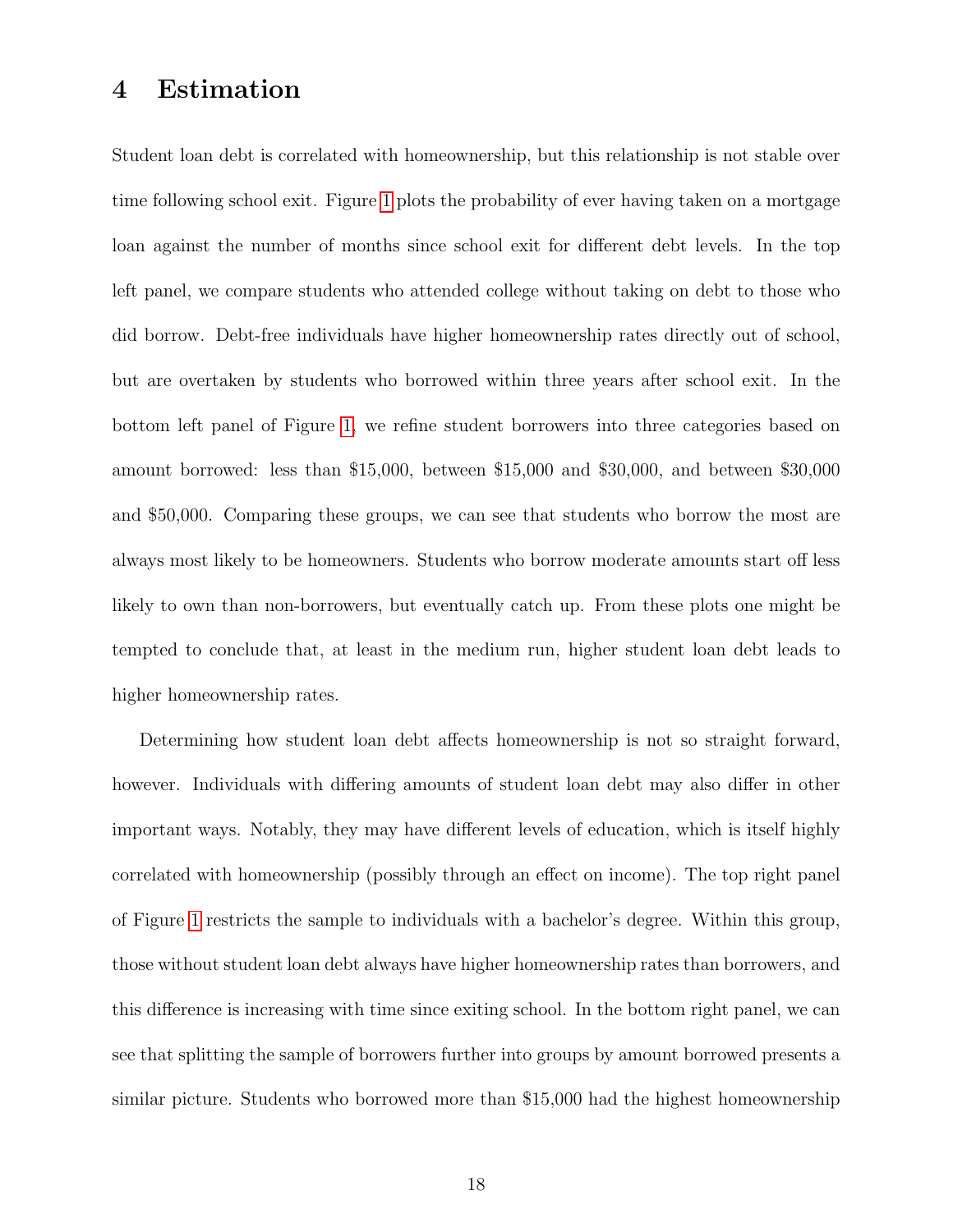### <span id="page-17-0"></span>4 Estimation

Student loan debt is correlated with homeownership, but this relationship is not stable over time following school exit. Figure [1](#page-45-0) plots the probability of ever having taken on a mortgage loan against the number of months since school exit for different debt levels. In the top left panel, we compare students who attended college without taking on debt to those who did borrow. Debt-free individuals have higher homeownership rates directly out of school, but are overtaken by students who borrowed within three years after school exit. In the bottom left panel of Figure [1,](#page-45-0) we refine student borrowers into three categories based on amount borrowed: less than \$15,000, between \$15,000 and \$30,000, and between \$30,000 and \$50,000. Comparing these groups, we can see that students who borrow the most are always most likely to be homeowners. Students who borrow moderate amounts start off less likely to own than non-borrowers, but eventually catch up. From these plots one might be tempted to conclude that, at least in the medium run, higher student loan debt leads to higher homeownership rates.

Determining how student loan debt affects homeownership is not so straight forward, however. Individuals with differing amounts of student loan debt may also differ in other important ways. Notably, they may have different levels of education, which is itself highly correlated with homeownership (possibly through an effect on income). The top right panel of Figure [1](#page-45-0) restricts the sample to individuals with a bachelor's degree. Within this group, those without student loan debt always have higher homeownership rates than borrowers, and this difference is increasing with time since exiting school. In the bottom right panel, we can see that splitting the sample of borrowers further into groups by amount borrowed presents a similar picture. Students who borrowed more than \$15,000 had the highest homeownership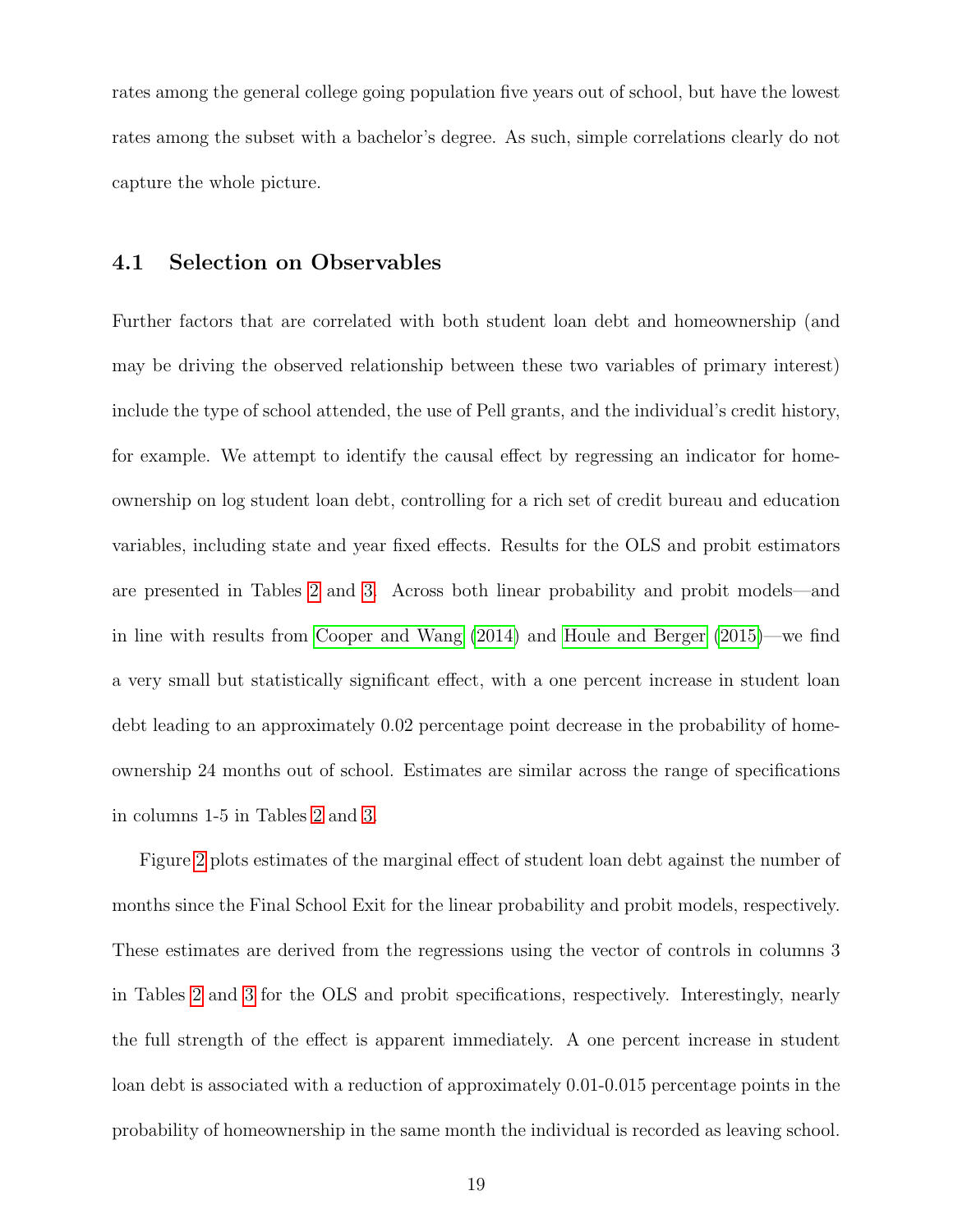rates among the general college going population five years out of school, but have the lowest rates among the subset with a bachelor's degree. As such, simple correlations clearly do not capture the whole picture.

#### 4.1 Selection on Observables

Further factors that are correlated with both student loan debt and homeownership (and may be driving the observed relationship between these two variables of primary interest) include the type of school attended, the use of Pell grants, and the individual's credit history, for example. We attempt to identify the causal effect by regressing an indicator for homeownership on log student loan debt, controlling for a rich set of credit bureau and education variables, including state and year fixed effects. Results for the OLS and probit estimators are presented in Tables [2](#page-34-0) and [3.](#page-35-0) Across both linear probability and probit models—and in line with results from [Cooper and Wang](#page-31-0) [\(2014\)](#page-31-0) and [Houle and Berger](#page-31-1) [\(2015\)](#page-31-1)—we find a very small but statistically significant effect, with a one percent increase in student loan debt leading to an approximately 0.02 percentage point decrease in the probability of homeownership 24 months out of school. Estimates are similar across the range of specifications in columns 1-5 in Tables [2](#page-34-0) and [3.](#page-35-0)

Figure [2](#page-46-0) plots estimates of the marginal effect of student loan debt against the number of months since the Final School Exit for the linear probability and probit models, respectively. These estimates are derived from the regressions using the vector of controls in columns 3 in Tables [2](#page-34-0) and [3](#page-35-0) for the OLS and probit specifications, respectively. Interestingly, nearly the full strength of the effect is apparent immediately. A one percent increase in student loan debt is associated with a reduction of approximately 0.01-0.015 percentage points in the probability of homeownership in the same month the individual is recorded as leaving school.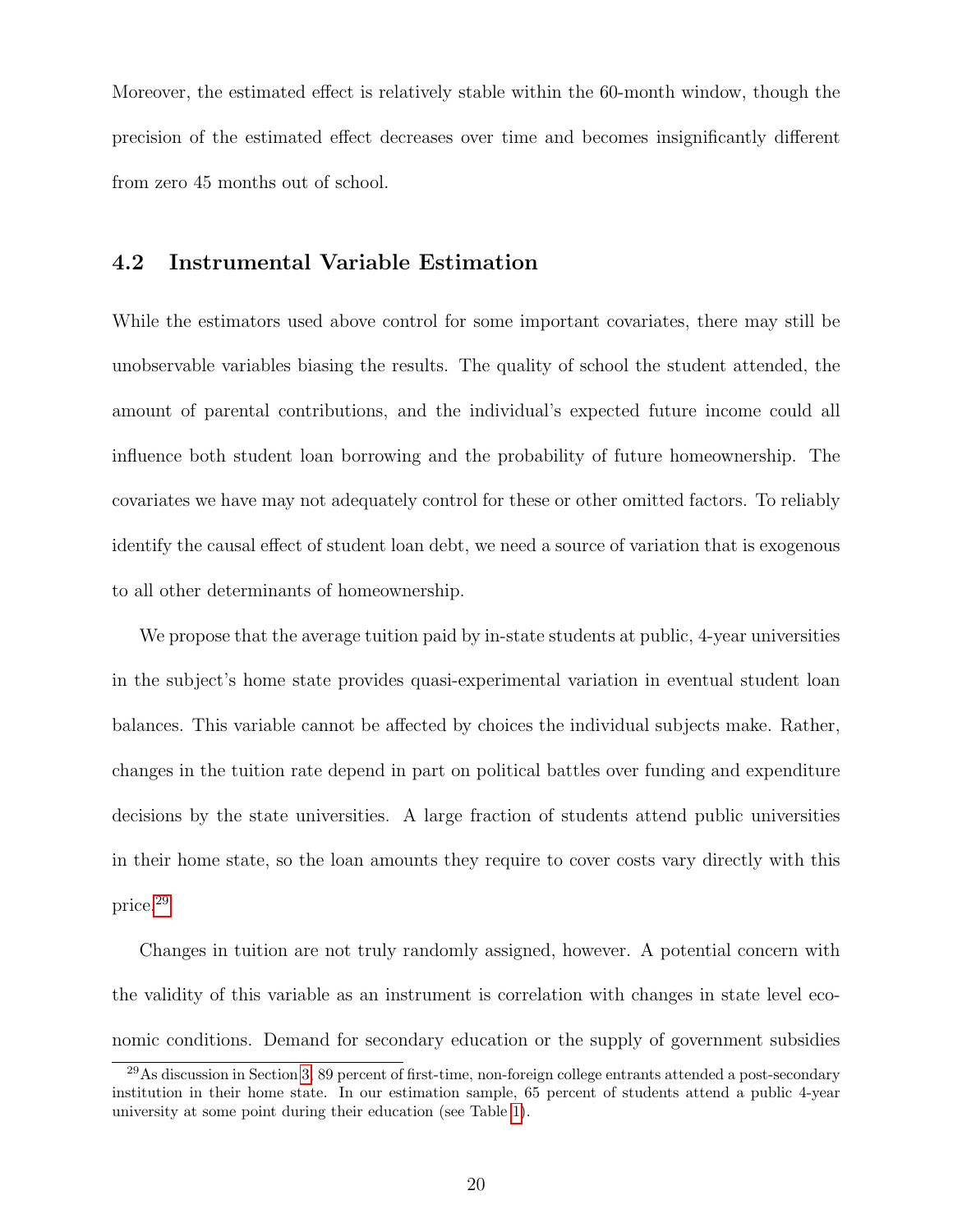Moreover, the estimated effect is relatively stable within the 60-month window, though the precision of the estimated effect decreases over time and becomes insignificantly different from zero 45 months out of school.

#### 4.2 Instrumental Variable Estimation

While the estimators used above control for some important covariates, there may still be unobservable variables biasing the results. The quality of school the student attended, the amount of parental contributions, and the individual's expected future income could all influence both student loan borrowing and the probability of future homeownership. The covariates we have may not adequately control for these or other omitted factors. To reliably identify the causal effect of student loan debt, we need a source of variation that is exogenous to all other determinants of homeownership.

We propose that the average tuition paid by in-state students at public, 4-year universities in the subject's home state provides quasi-experimental variation in eventual student loan balances. This variable cannot be affected by choices the individual subjects make. Rather, changes in the tuition rate depend in part on political battles over funding and expenditure decisions by the state universities. A large fraction of students attend public universities in their home state, so the loan amounts they require to cover costs vary directly with this price.[29](#page-19-0)

Changes in tuition are not truly randomly assigned, however. A potential concern with the validity of this variable as an instrument is correlation with changes in state level economic conditions. Demand for secondary education or the supply of government subsidies

<span id="page-19-0"></span><sup>29</sup>As discussion in Section [3,](#page-8-0) 89 percent of first-time, non-foreign college entrants attended a post-secondary institution in their home state. In our estimation sample, 65 percent of students attend a public 4-year university at some point during their education (see Table [1\)](#page-33-0).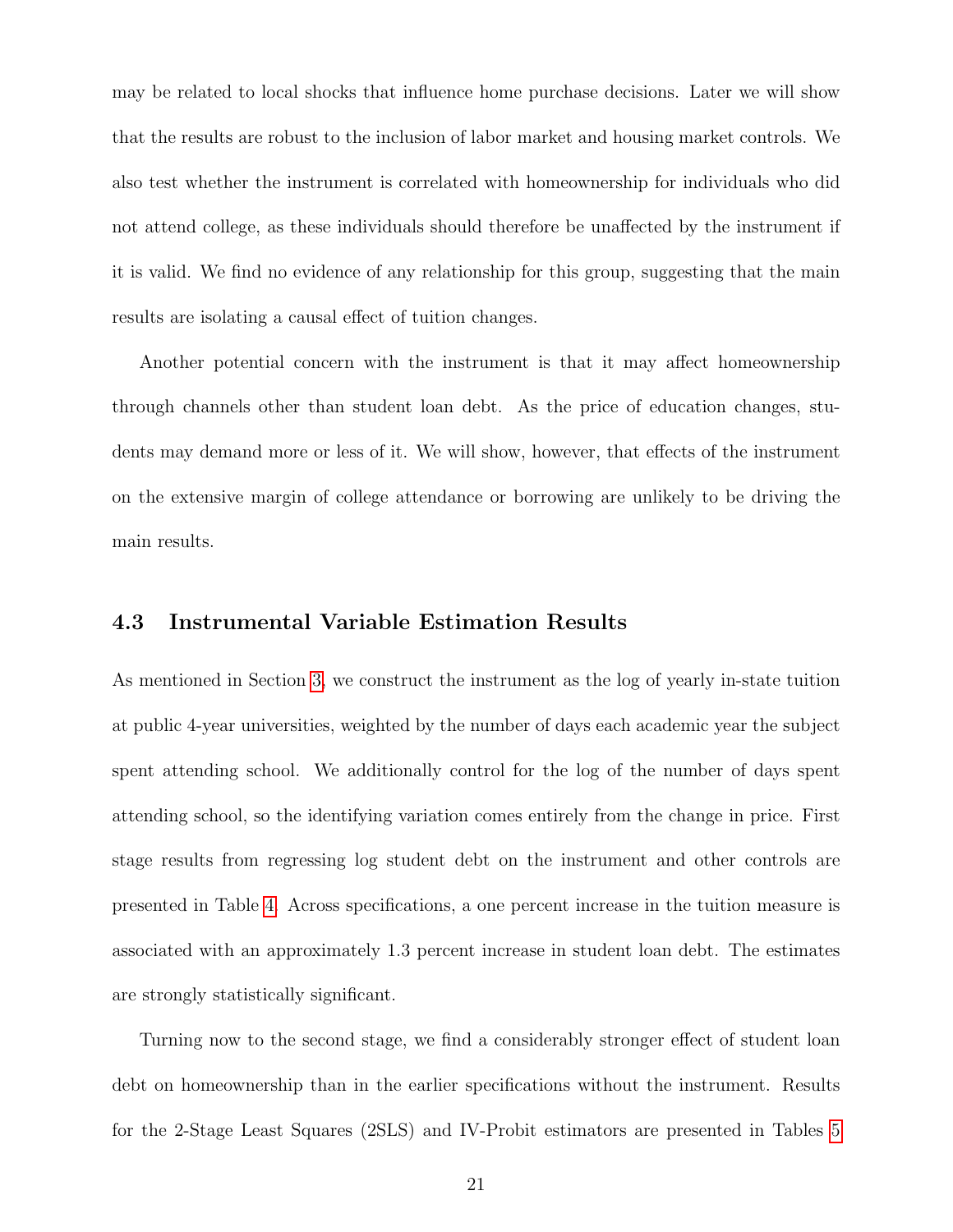may be related to local shocks that influence home purchase decisions. Later we will show that the results are robust to the inclusion of labor market and housing market controls. We also test whether the instrument is correlated with homeownership for individuals who did not attend college, as these individuals should therefore be unaffected by the instrument if it is valid. We find no evidence of any relationship for this group, suggesting that the main results are isolating a causal effect of tuition changes.

Another potential concern with the instrument is that it may affect homeownership through channels other than student loan debt. As the price of education changes, students may demand more or less of it. We will show, however, that effects of the instrument on the extensive margin of college attendance or borrowing are unlikely to be driving the main results.

#### 4.3 Instrumental Variable Estimation Results

As mentioned in Section [3,](#page-8-0) we construct the instrument as the log of yearly in-state tuition at public 4-year universities, weighted by the number of days each academic year the subject spent attending school. We additionally control for the log of the number of days spent attending school, so the identifying variation comes entirely from the change in price. First stage results from regressing log student debt on the instrument and other controls are presented in Table [4.](#page-36-0) Across specifications, a one percent increase in the tuition measure is associated with an approximately 1.3 percent increase in student loan debt. The estimates are strongly statistically significant.

Turning now to the second stage, we find a considerably stronger effect of student loan debt on homeownership than in the earlier specifications without the instrument. Results for the 2-Stage Least Squares (2SLS) and IV-Probit estimators are presented in Tables [5](#page-37-0)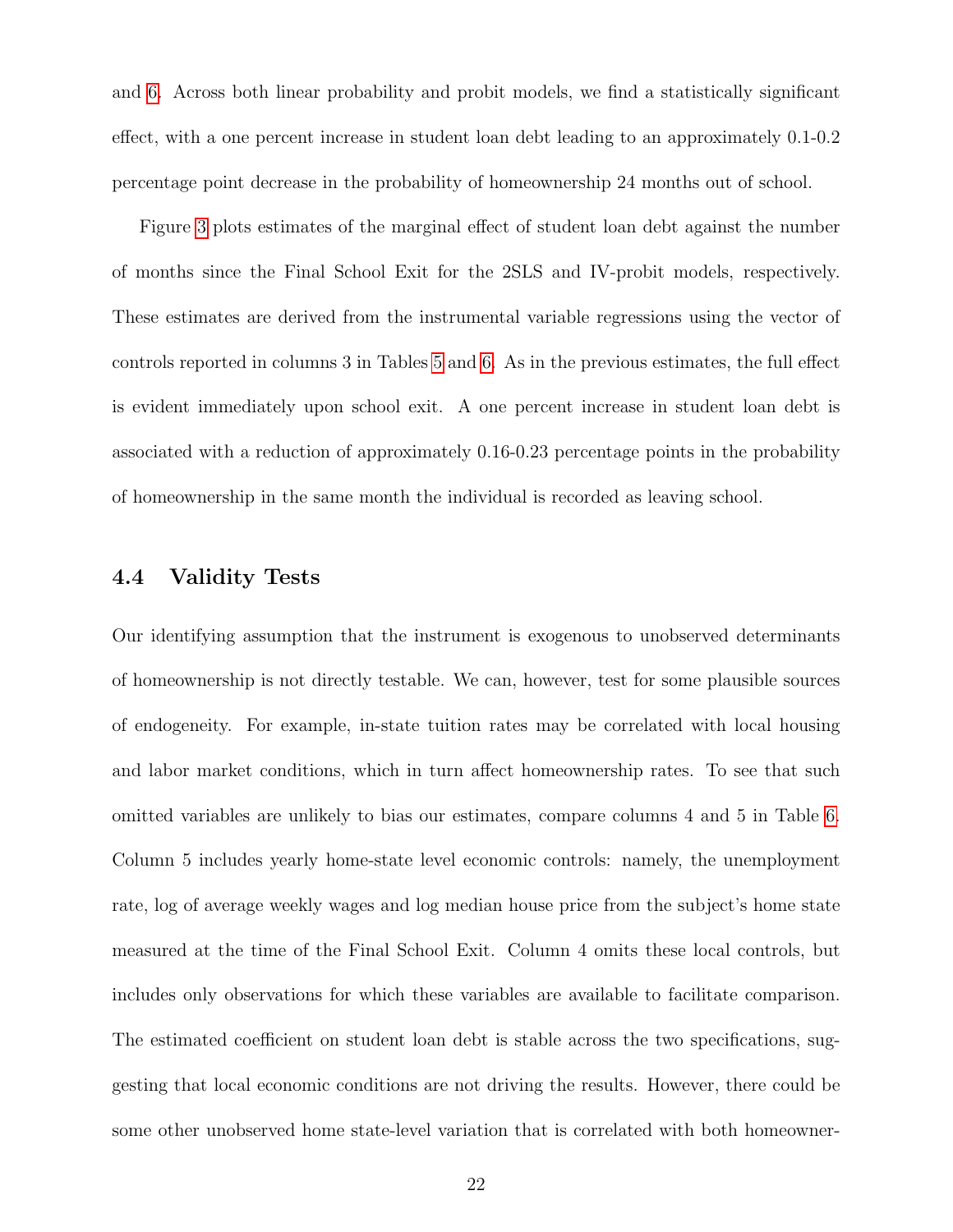and [6.](#page-38-0) Across both linear probability and probit models, we find a statistically significant effect, with a one percent increase in student loan debt leading to an approximately 0.1-0.2 percentage point decrease in the probability of homeownership 24 months out of school.

Figure [3](#page-47-0) plots estimates of the marginal effect of student loan debt against the number of months since the Final School Exit for the 2SLS and IV-probit models, respectively. These estimates are derived from the instrumental variable regressions using the vector of controls reported in columns 3 in Tables [5](#page-37-0) and [6.](#page-38-0) As in the previous estimates, the full effect is evident immediately upon school exit. A one percent increase in student loan debt is associated with a reduction of approximately 0.16-0.23 percentage points in the probability of homeownership in the same month the individual is recorded as leaving school.

#### <span id="page-21-0"></span>4.4 Validity Tests

Our identifying assumption that the instrument is exogenous to unobserved determinants of homeownership is not directly testable. We can, however, test for some plausible sources of endogeneity. For example, in-state tuition rates may be correlated with local housing and labor market conditions, which in turn affect homeownership rates. To see that such omitted variables are unlikely to bias our estimates, compare columns 4 and 5 in Table [6.](#page-38-0) Column 5 includes yearly home-state level economic controls: namely, the unemployment rate, log of average weekly wages and log median house price from the subject's home state measured at the time of the Final School Exit. Column 4 omits these local controls, but includes only observations for which these variables are available to facilitate comparison. The estimated coefficient on student loan debt is stable across the two specifications, suggesting that local economic conditions are not driving the results. However, there could be some other unobserved home state-level variation that is correlated with both homeowner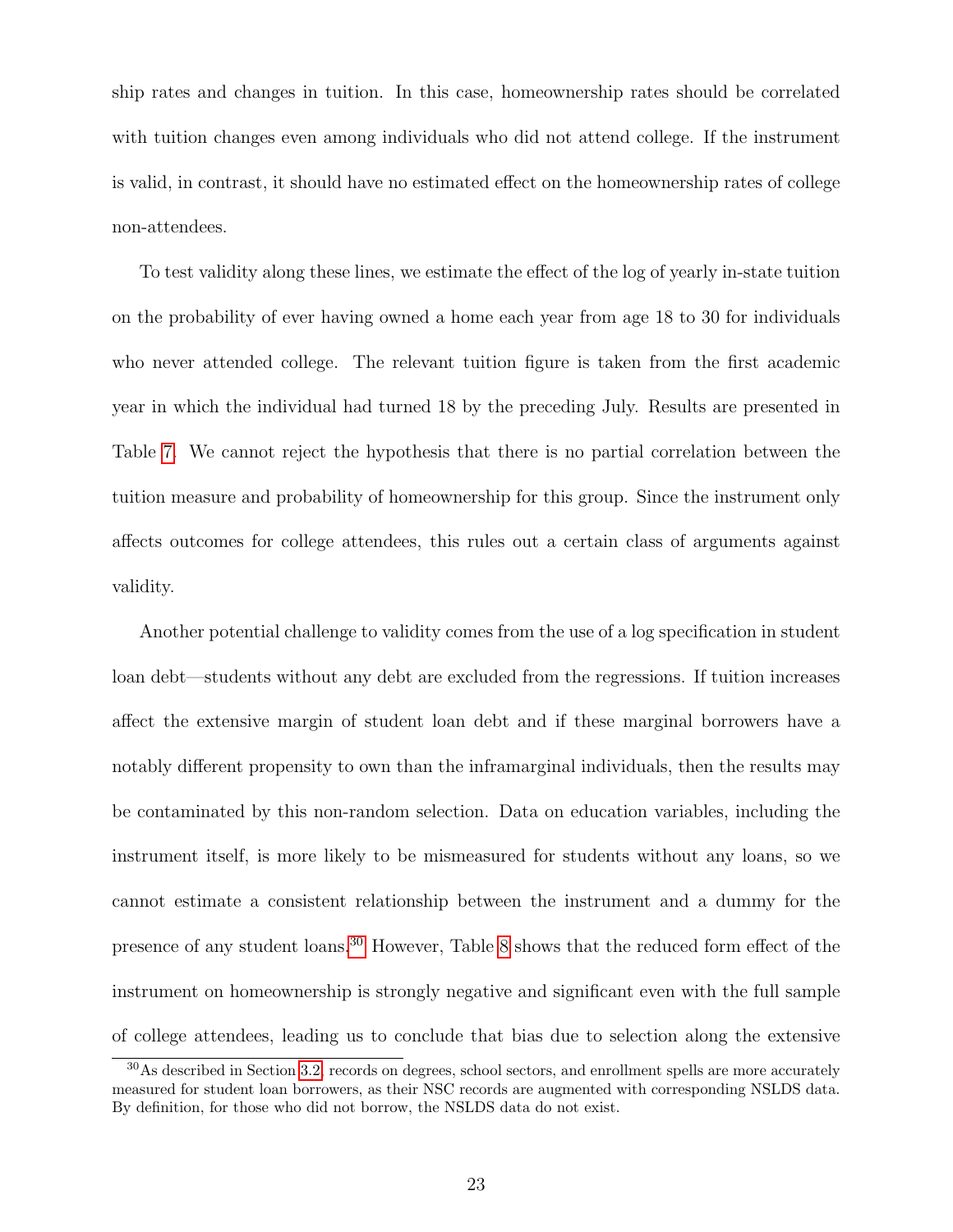ship rates and changes in tuition. In this case, homeownership rates should be correlated with tuition changes even among individuals who did not attend college. If the instrument is valid, in contrast, it should have no estimated effect on the homeownership rates of college non-attendees.

To test validity along these lines, we estimate the effect of the log of yearly in-state tuition on the probability of ever having owned a home each year from age 18 to 30 for individuals who never attended college. The relevant tuition figure is taken from the first academic year in which the individual had turned 18 by the preceding July. Results are presented in Table [7.](#page-39-0) We cannot reject the hypothesis that there is no partial correlation between the tuition measure and probability of homeownership for this group. Since the instrument only affects outcomes for college attendees, this rules out a certain class of arguments against validity.

Another potential challenge to validity comes from the use of a log specification in student loan debt—students without any debt are excluded from the regressions. If tuition increases affect the extensive margin of student loan debt and if these marginal borrowers have a notably different propensity to own than the inframarginal individuals, then the results may be contaminated by this non-random selection. Data on education variables, including the instrument itself, is more likely to be mismeasured for students without any loans, so we cannot estimate a consistent relationship between the instrument and a dummy for the presence of any student loans.[30](#page-22-0) However, Table [8](#page-40-0) shows that the reduced form effect of the instrument on homeownership is strongly negative and significant even with the full sample of college attendees, leading us to conclude that bias due to selection along the extensive

<span id="page-22-0"></span><sup>30</sup>As described in Section [3.2,](#page-10-1) records on degrees, school sectors, and enrollment spells are more accurately measured for student loan borrowers, as their NSC records are augmented with corresponding NSLDS data. By definition, for those who did not borrow, the NSLDS data do not exist.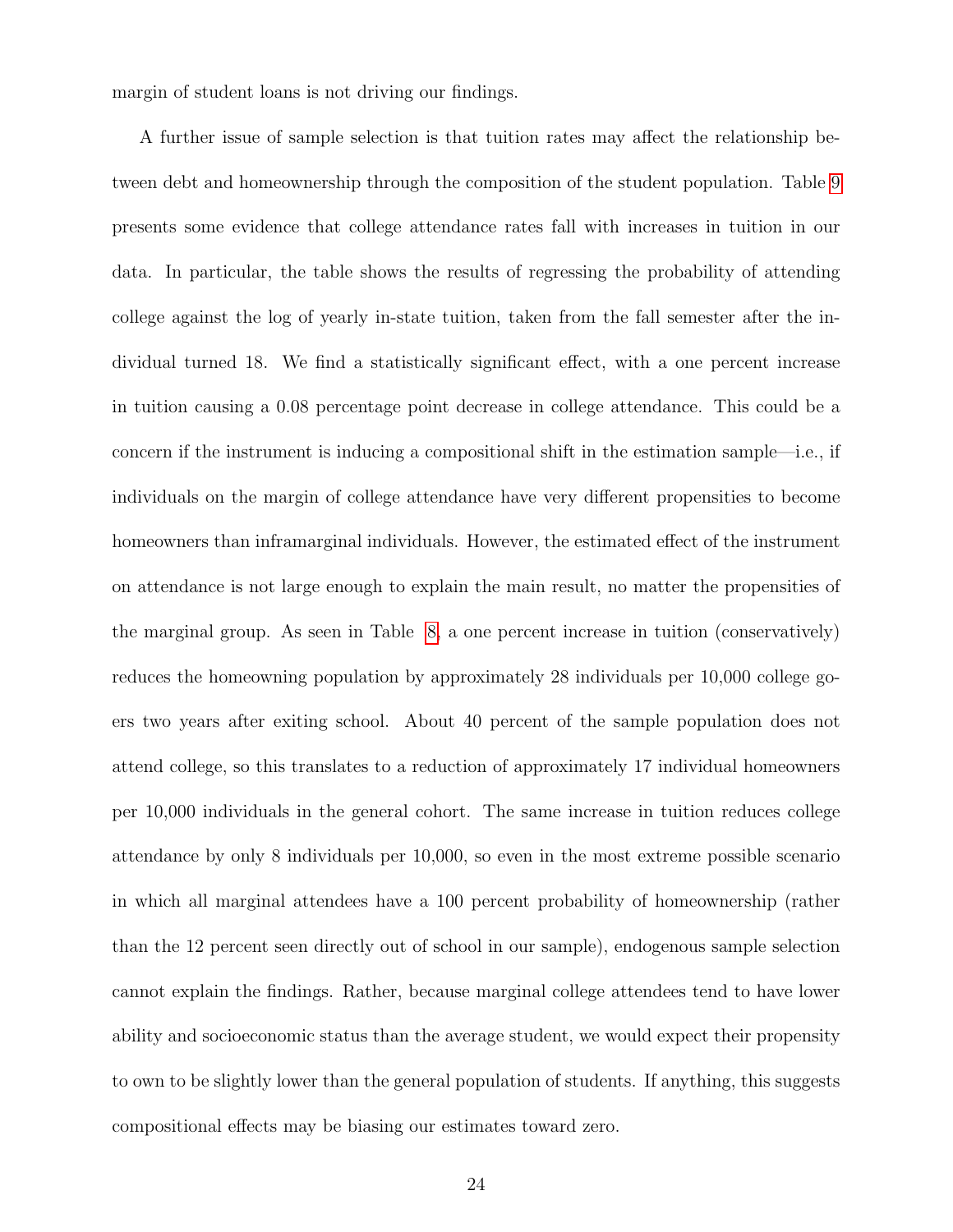margin of student loans is not driving our findings.

A further issue of sample selection is that tuition rates may affect the relationship between debt and homeownership through the composition of the student population. Table [9](#page-41-0) presents some evidence that college attendance rates fall with increases in tuition in our data. In particular, the table shows the results of regressing the probability of attending college against the log of yearly in-state tuition, taken from the fall semester after the individual turned 18. We find a statistically significant effect, with a one percent increase in tuition causing a 0.08 percentage point decrease in college attendance. This could be a concern if the instrument is inducing a compositional shift in the estimation sample—i.e., if individuals on the margin of college attendance have very different propensities to become homeowners than inframarginal individuals. However, the estimated effect of the instrument on attendance is not large enough to explain the main result, no matter the propensities of the marginal group. As seen in Table [8,](#page-40-0) a one percent increase in tuition (conservatively) reduces the homeowning population by approximately 28 individuals per 10,000 college goers two years after exiting school. About 40 percent of the sample population does not attend college, so this translates to a reduction of approximately 17 individual homeowners per 10,000 individuals in the general cohort. The same increase in tuition reduces college attendance by only 8 individuals per 10,000, so even in the most extreme possible scenario in which all marginal attendees have a 100 percent probability of homeownership (rather than the 12 percent seen directly out of school in our sample), endogenous sample selection cannot explain the findings. Rather, because marginal college attendees tend to have lower ability and socioeconomic status than the average student, we would expect their propensity to own to be slightly lower than the general population of students. If anything, this suggests compositional effects may be biasing our estimates toward zero.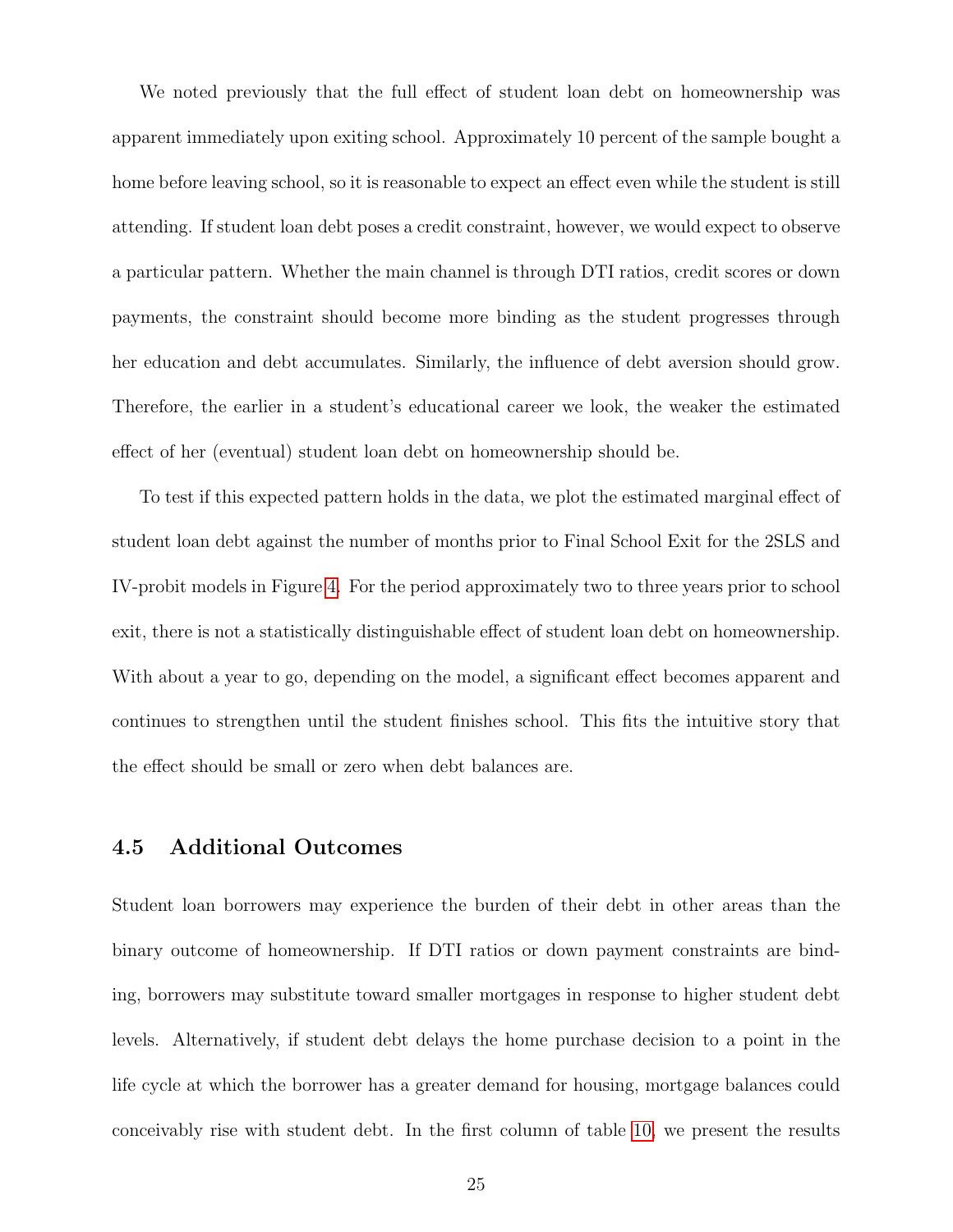We noted previously that the full effect of student loan debt on homeownership was apparent immediately upon exiting school. Approximately 10 percent of the sample bought a home before leaving school, so it is reasonable to expect an effect even while the student is still attending. If student loan debt poses a credit constraint, however, we would expect to observe a particular pattern. Whether the main channel is through DTI ratios, credit scores or down payments, the constraint should become more binding as the student progresses through her education and debt accumulates. Similarly, the influence of debt aversion should grow. Therefore, the earlier in a student's educational career we look, the weaker the estimated effect of her (eventual) student loan debt on homeownership should be.

To test if this expected pattern holds in the data, we plot the estimated marginal effect of student loan debt against the number of months prior to Final School Exit for the 2SLS and IV-probit models in Figure [4.](#page-48-0) For the period approximately two to three years prior to school exit, there is not a statistically distinguishable effect of student loan debt on homeownership. With about a year to go, depending on the model, a significant effect becomes apparent and continues to strengthen until the student finishes school. This fits the intuitive story that the effect should be small or zero when debt balances are.

### 4.5 Additional Outcomes

Student loan borrowers may experience the burden of their debt in other areas than the binary outcome of homeownership. If DTI ratios or down payment constraints are binding, borrowers may substitute toward smaller mortgages in response to higher student debt levels. Alternatively, if student debt delays the home purchase decision to a point in the life cycle at which the borrower has a greater demand for housing, mortgage balances could conceivably rise with student debt. In the first column of table [10,](#page-42-0) we present the results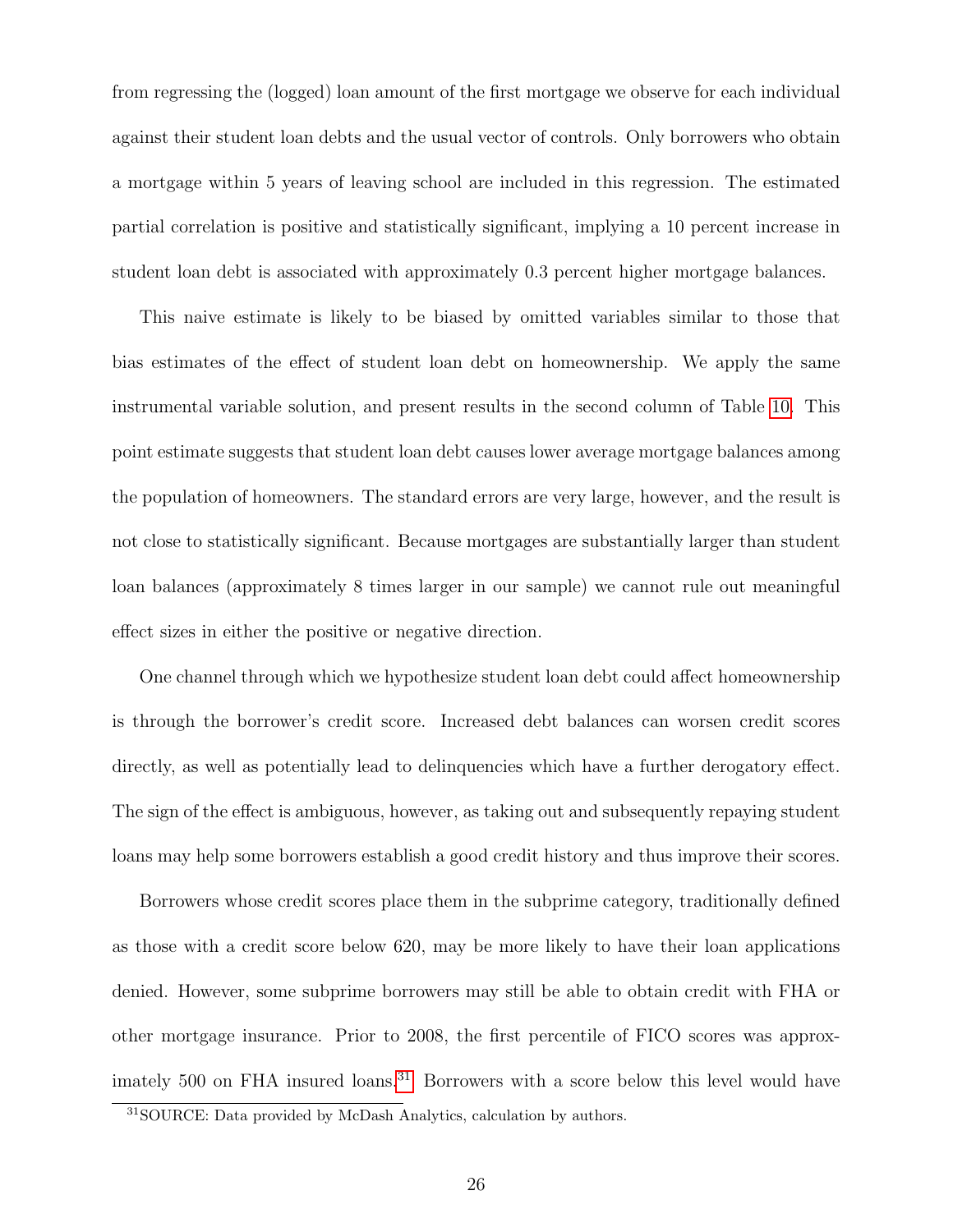from regressing the (logged) loan amount of the first mortgage we observe for each individual against their student loan debts and the usual vector of controls. Only borrowers who obtain a mortgage within 5 years of leaving school are included in this regression. The estimated partial correlation is positive and statistically significant, implying a 10 percent increase in student loan debt is associated with approximately 0.3 percent higher mortgage balances.

This naive estimate is likely to be biased by omitted variables similar to those that bias estimates of the effect of student loan debt on homeownership. We apply the same instrumental variable solution, and present results in the second column of Table [10.](#page-42-0) This point estimate suggests that student loan debt causes lower average mortgage balances among the population of homeowners. The standard errors are very large, however, and the result is not close to statistically significant. Because mortgages are substantially larger than student loan balances (approximately 8 times larger in our sample) we cannot rule out meaningful effect sizes in either the positive or negative direction.

One channel through which we hypothesize student loan debt could affect homeownership is through the borrower's credit score. Increased debt balances can worsen credit scores directly, as well as potentially lead to delinquencies which have a further derogatory effect. The sign of the effect is ambiguous, however, as taking out and subsequently repaying student loans may help some borrowers establish a good credit history and thus improve their scores.

Borrowers whose credit scores place them in the subprime category, traditionally defined as those with a credit score below 620, may be more likely to have their loan applications denied. However, some subprime borrowers may still be able to obtain credit with FHA or other mortgage insurance. Prior to 2008, the first percentile of FICO scores was approx-imately 500 on FHA insured loans.<sup>[31](#page-25-0)</sup> Borrowers with a score below this level would have

<span id="page-25-0"></span><sup>31</sup>SOURCE: Data provided by McDash Analytics, calculation by authors.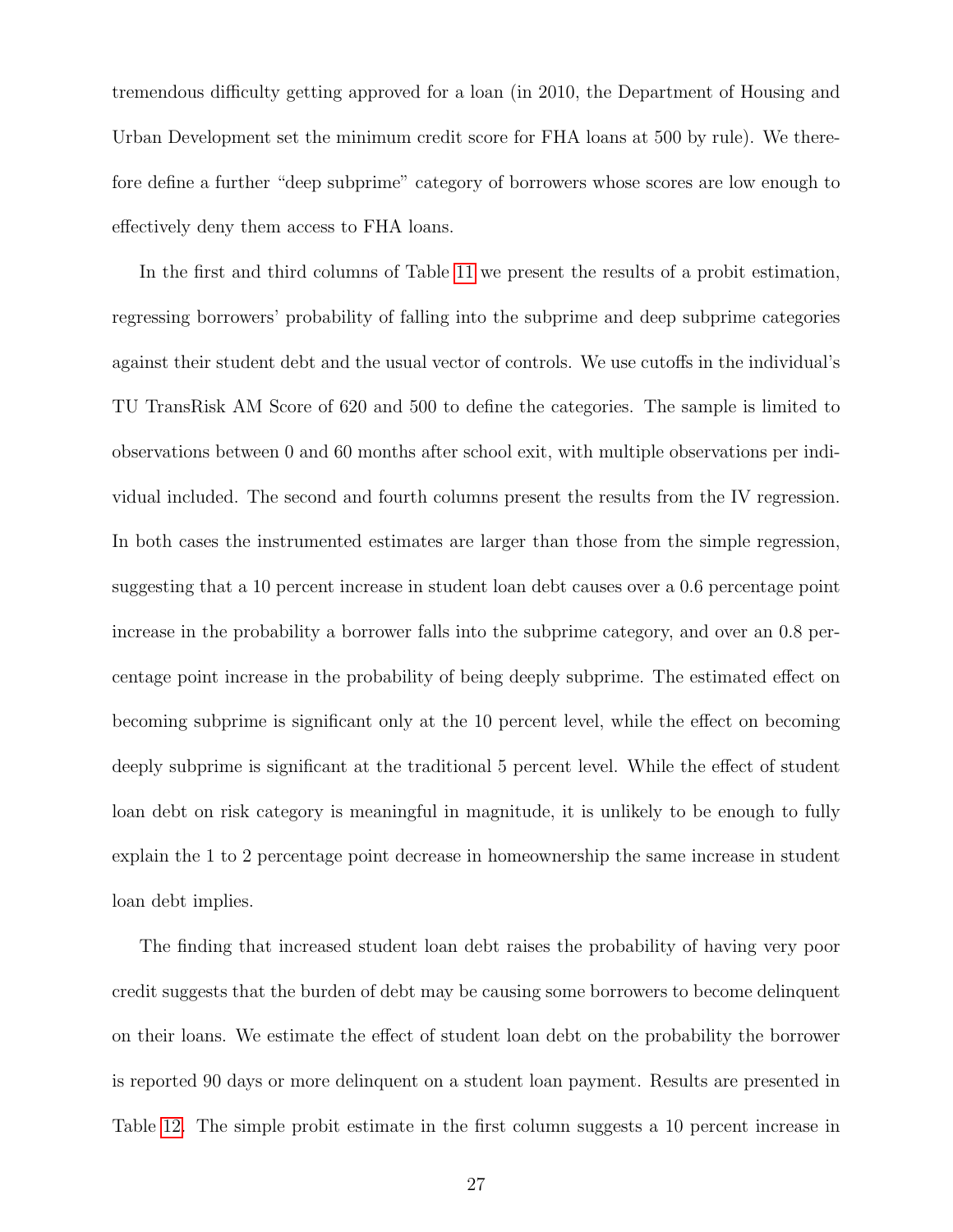tremendous difficulty getting approved for a loan (in 2010, the Department of Housing and Urban Development set the minimum credit score for FHA loans at 500 by rule). We therefore define a further "deep subprime" category of borrowers whose scores are low enough to effectively deny them access to FHA loans.

In the first and third columns of Table [11](#page-43-0) we present the results of a probit estimation, regressing borrowers' probability of falling into the subprime and deep subprime categories against their student debt and the usual vector of controls. We use cutoffs in the individual's TU TransRisk AM Score of 620 and 500 to define the categories. The sample is limited to observations between 0 and 60 months after school exit, with multiple observations per individual included. The second and fourth columns present the results from the IV regression. In both cases the instrumented estimates are larger than those from the simple regression, suggesting that a 10 percent increase in student loan debt causes over a 0.6 percentage point increase in the probability a borrower falls into the subprime category, and over an 0.8 percentage point increase in the probability of being deeply subprime. The estimated effect on becoming subprime is significant only at the 10 percent level, while the effect on becoming deeply subprime is significant at the traditional 5 percent level. While the effect of student loan debt on risk category is meaningful in magnitude, it is unlikely to be enough to fully explain the 1 to 2 percentage point decrease in homeownership the same increase in student loan debt implies.

The finding that increased student loan debt raises the probability of having very poor credit suggests that the burden of debt may be causing some borrowers to become delinquent on their loans. We estimate the effect of student loan debt on the probability the borrower is reported 90 days or more delinquent on a student loan payment. Results are presented in Table [12.](#page-44-0) The simple probit estimate in the first column suggests a 10 percent increase in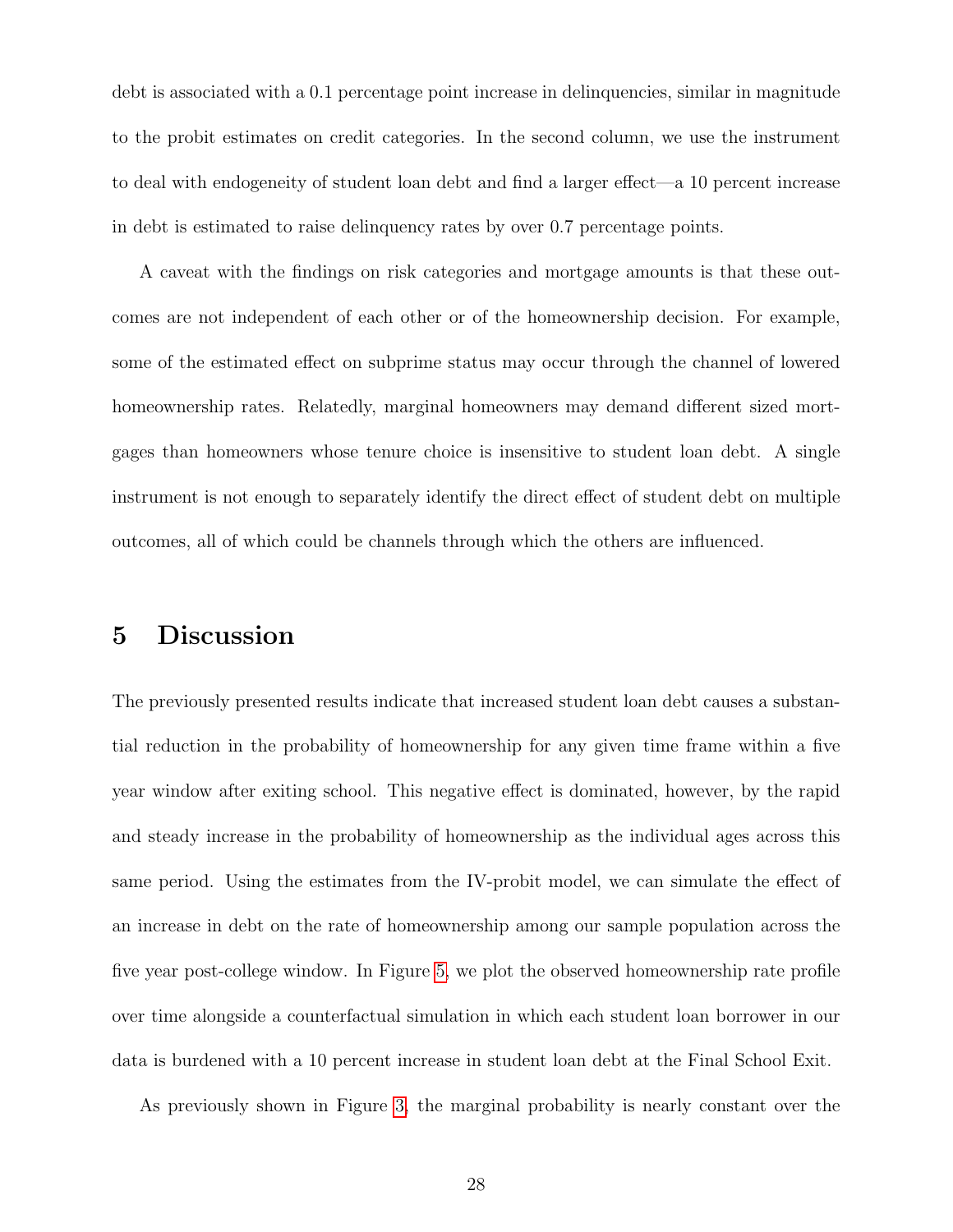debt is associated with a 0.1 percentage point increase in delinquencies, similar in magnitude to the probit estimates on credit categories. In the second column, we use the instrument to deal with endogeneity of student loan debt and find a larger effect—a 10 percent increase in debt is estimated to raise delinquency rates by over 0.7 percentage points.

A caveat with the findings on risk categories and mortgage amounts is that these outcomes are not independent of each other or of the homeownership decision. For example, some of the estimated effect on subprime status may occur through the channel of lowered homeownership rates. Relatedly, marginal homeowners may demand different sized mortgages than homeowners whose tenure choice is insensitive to student loan debt. A single instrument is not enough to separately identify the direct effect of student debt on multiple outcomes, all of which could be channels through which the others are influenced.

### <span id="page-27-0"></span>5 Discussion

The previously presented results indicate that increased student loan debt causes a substantial reduction in the probability of homeownership for any given time frame within a five year window after exiting school. This negative effect is dominated, however, by the rapid and steady increase in the probability of homeownership as the individual ages across this same period. Using the estimates from the IV-probit model, we can simulate the effect of an increase in debt on the rate of homeownership among our sample population across the five year post-college window. In Figure [5,](#page-49-0) we plot the observed homeownership rate profile over time alongside a counterfactual simulation in which each student loan borrower in our data is burdened with a 10 percent increase in student loan debt at the Final School Exit.

As previously shown in Figure [3,](#page-47-0) the marginal probability is nearly constant over the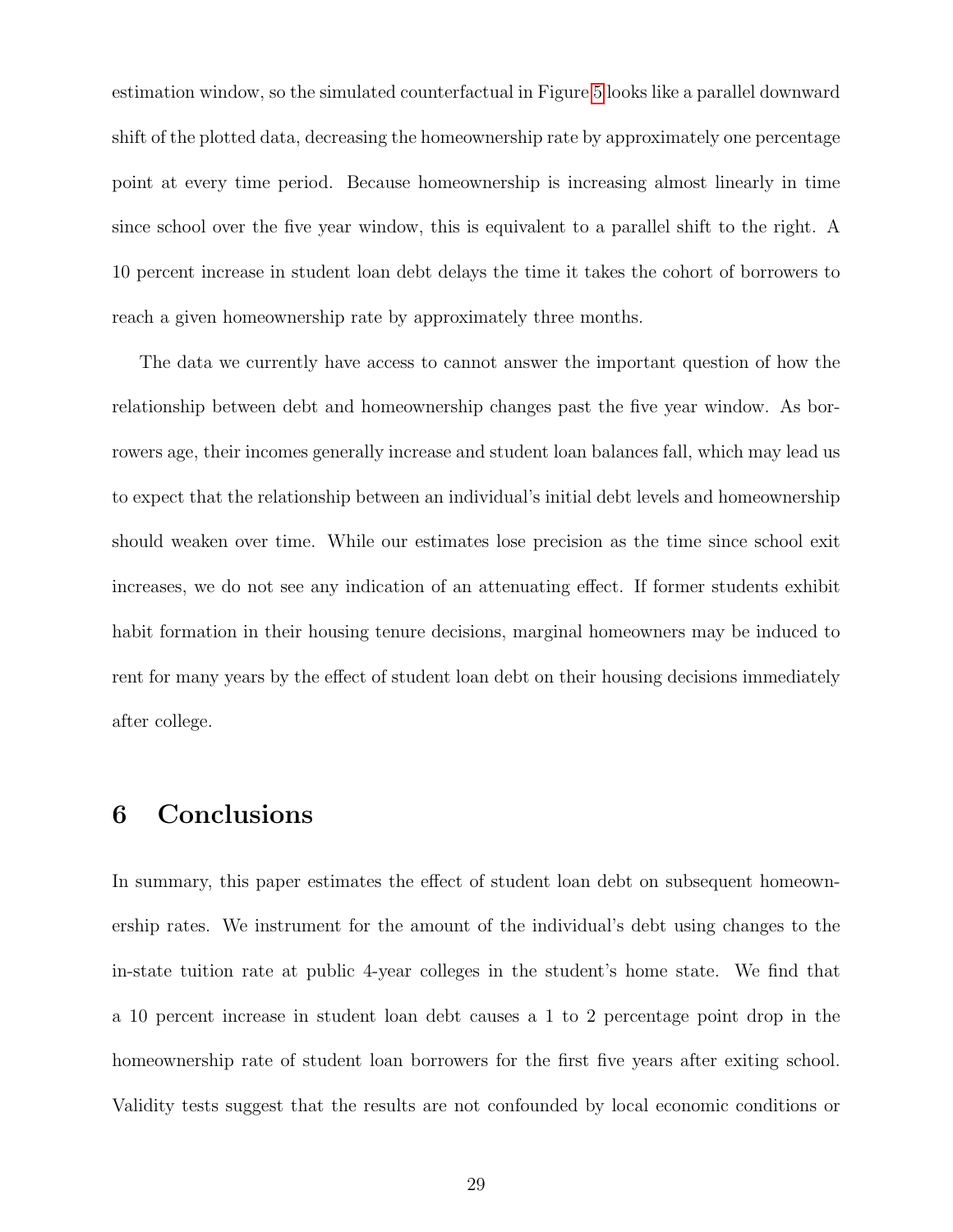estimation window, so the simulated counterfactual in Figure [5](#page-49-0) looks like a parallel downward shift of the plotted data, decreasing the homeownership rate by approximately one percentage point at every time period. Because homeownership is increasing almost linearly in time since school over the five year window, this is equivalent to a parallel shift to the right. A 10 percent increase in student loan debt delays the time it takes the cohort of borrowers to reach a given homeownership rate by approximately three months.

The data we currently have access to cannot answer the important question of how the relationship between debt and homeownership changes past the five year window. As borrowers age, their incomes generally increase and student loan balances fall, which may lead us to expect that the relationship between an individual's initial debt levels and homeownership should weaken over time. While our estimates lose precision as the time since school exit increases, we do not see any indication of an attenuating effect. If former students exhibit habit formation in their housing tenure decisions, marginal homeowners may be induced to rent for many years by the effect of student loan debt on their housing decisions immediately after college.

### <span id="page-28-0"></span>6 Conclusions

In summary, this paper estimates the effect of student loan debt on subsequent homeownership rates. We instrument for the amount of the individual's debt using changes to the in-state tuition rate at public 4-year colleges in the student's home state. We find that a 10 percent increase in student loan debt causes a 1 to 2 percentage point drop in the homeownership rate of student loan borrowers for the first five years after exiting school. Validity tests suggest that the results are not confounded by local economic conditions or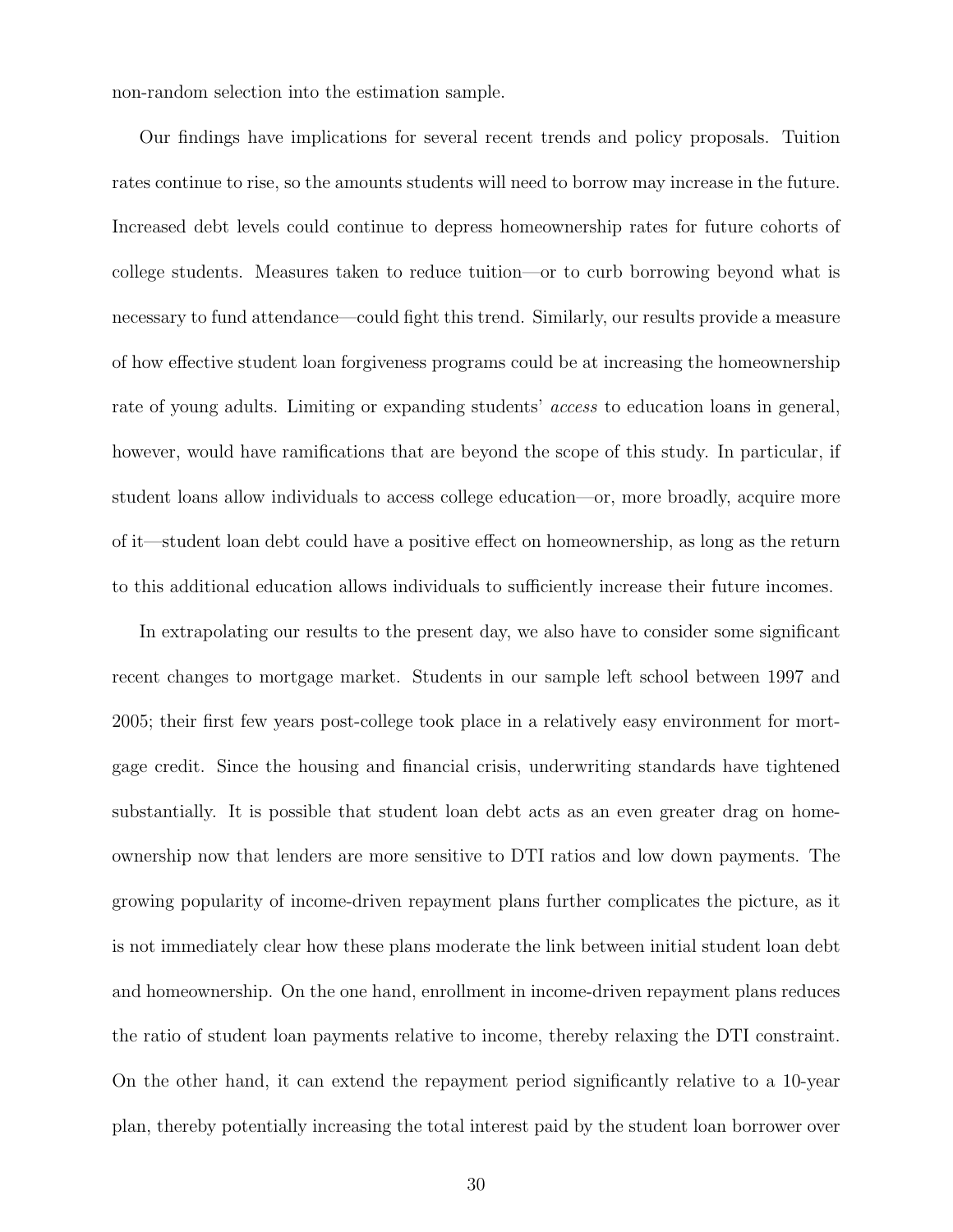non-random selection into the estimation sample.

Our findings have implications for several recent trends and policy proposals. Tuition rates continue to rise, so the amounts students will need to borrow may increase in the future. Increased debt levels could continue to depress homeownership rates for future cohorts of college students. Measures taken to reduce tuition—or to curb borrowing beyond what is necessary to fund attendance—could fight this trend. Similarly, our results provide a measure of how effective student loan forgiveness programs could be at increasing the homeownership rate of young adults. Limiting or expanding students' access to education loans in general, however, would have ramifications that are beyond the scope of this study. In particular, if student loans allow individuals to access college education—or, more broadly, acquire more of it—student loan debt could have a positive effect on homeownership, as long as the return to this additional education allows individuals to sufficiently increase their future incomes.

In extrapolating our results to the present day, we also have to consider some significant recent changes to mortgage market. Students in our sample left school between 1997 and 2005; their first few years post-college took place in a relatively easy environment for mortgage credit. Since the housing and financial crisis, underwriting standards have tightened substantially. It is possible that student loan debt acts as an even greater drag on homeownership now that lenders are more sensitive to DTI ratios and low down payments. The growing popularity of income-driven repayment plans further complicates the picture, as it is not immediately clear how these plans moderate the link between initial student loan debt and homeownership. On the one hand, enrollment in income-driven repayment plans reduces the ratio of student loan payments relative to income, thereby relaxing the DTI constraint. On the other hand, it can extend the repayment period significantly relative to a 10-year plan, thereby potentially increasing the total interest paid by the student loan borrower over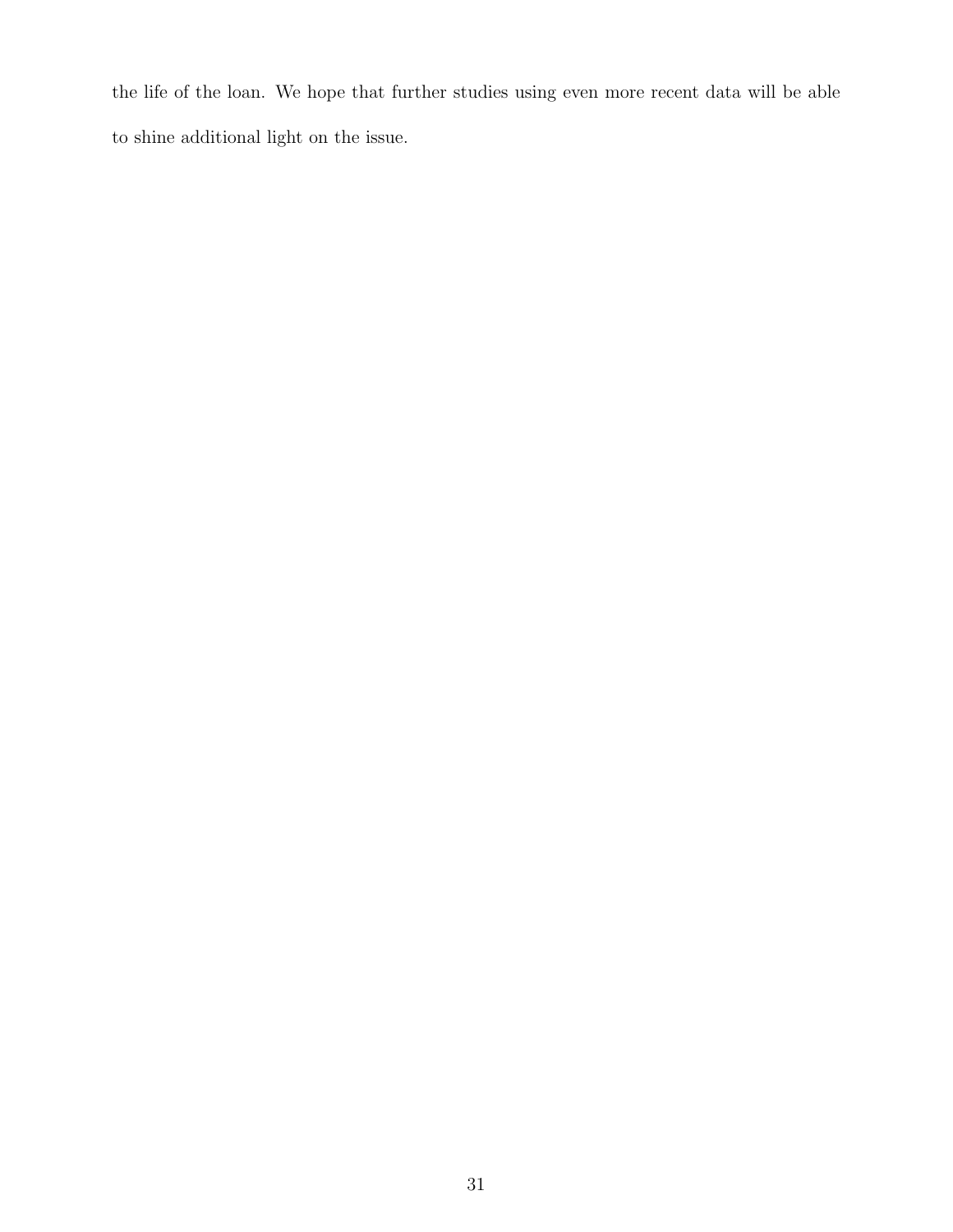the life of the loan. We hope that further studies using even more recent data will be able to shine additional light on the issue.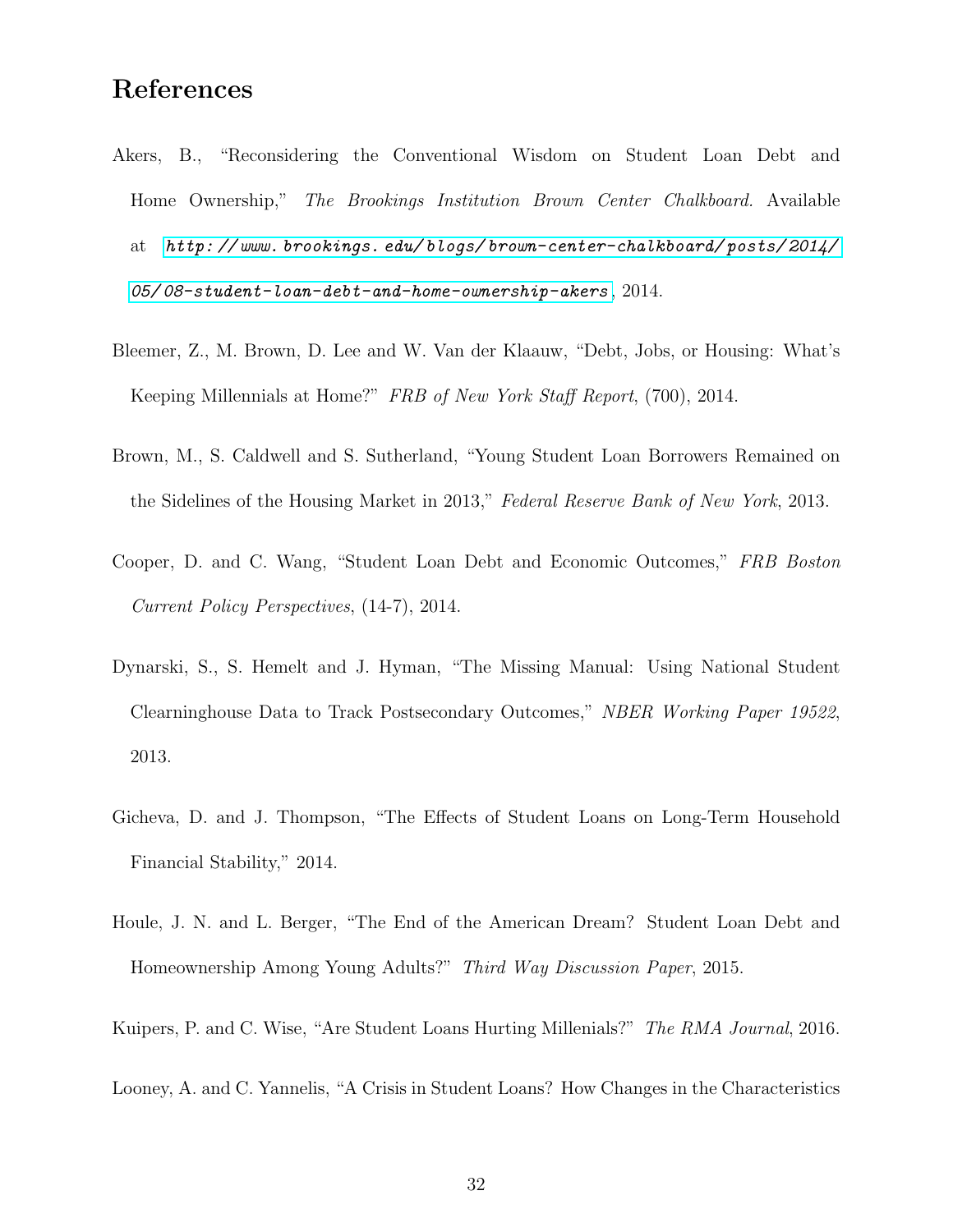### References

- <span id="page-31-4"></span>Akers, B., "Reconsidering the Conventional Wisdom on Student Loan Debt and Home Ownership," The Brookings Institution Brown Center Chalkboard. Available at [http: // www. brookings. edu/ blogs/ brown-center-chalkboard/ posts/ 2014/](http://www. brookings. edu/blogs/brown-center-chalkboard/posts/2014/05/08-student-loan-debt-and-home-ownership-akers)  $05$ / $08$ -student-loan-debt-and-home-ownership-akers, 2014.
- <span id="page-31-6"></span>Bleemer, Z., M. Brown, D. Lee and W. Van der Klaauw, "Debt, Jobs, or Housing: What's Keeping Millennials at Home?" FRB of New York Staff Report, (700), 2014.
- <span id="page-31-3"></span>Brown, M., S. Caldwell and S. Sutherland, "Young Student Loan Borrowers Remained on the Sidelines of the Housing Market in 2013," Federal Reserve Bank of New York, 2013.
- <span id="page-31-0"></span>Cooper, D. and C. Wang, "Student Loan Debt and Economic Outcomes," FRB Boston Current Policy Perspectives, (14-7), 2014.
- <span id="page-31-8"></span>Dynarski, S., S. Hemelt and J. Hyman, "The Missing Manual: Using National Student Clearninghouse Data to Track Postsecondary Outcomes," NBER Working Paper 19522, 2013.
- <span id="page-31-2"></span>Gicheva, D. and J. Thompson, "The Effects of Student Loans on Long-Term Household Financial Stability," 2014.
- <span id="page-31-1"></span>Houle, J. N. and L. Berger, "The End of the American Dream? Student Loan Debt and Homeownership Among Young Adults?" Third Way Discussion Paper, 2015.
- <span id="page-31-7"></span><span id="page-31-5"></span>Kuipers, P. and C. Wise, "Are Student Loans Hurting Millenials?" The RMA Journal, 2016.
- Looney, A. and C. Yannelis, "A Crisis in Student Loans? How Changes in the Characteristics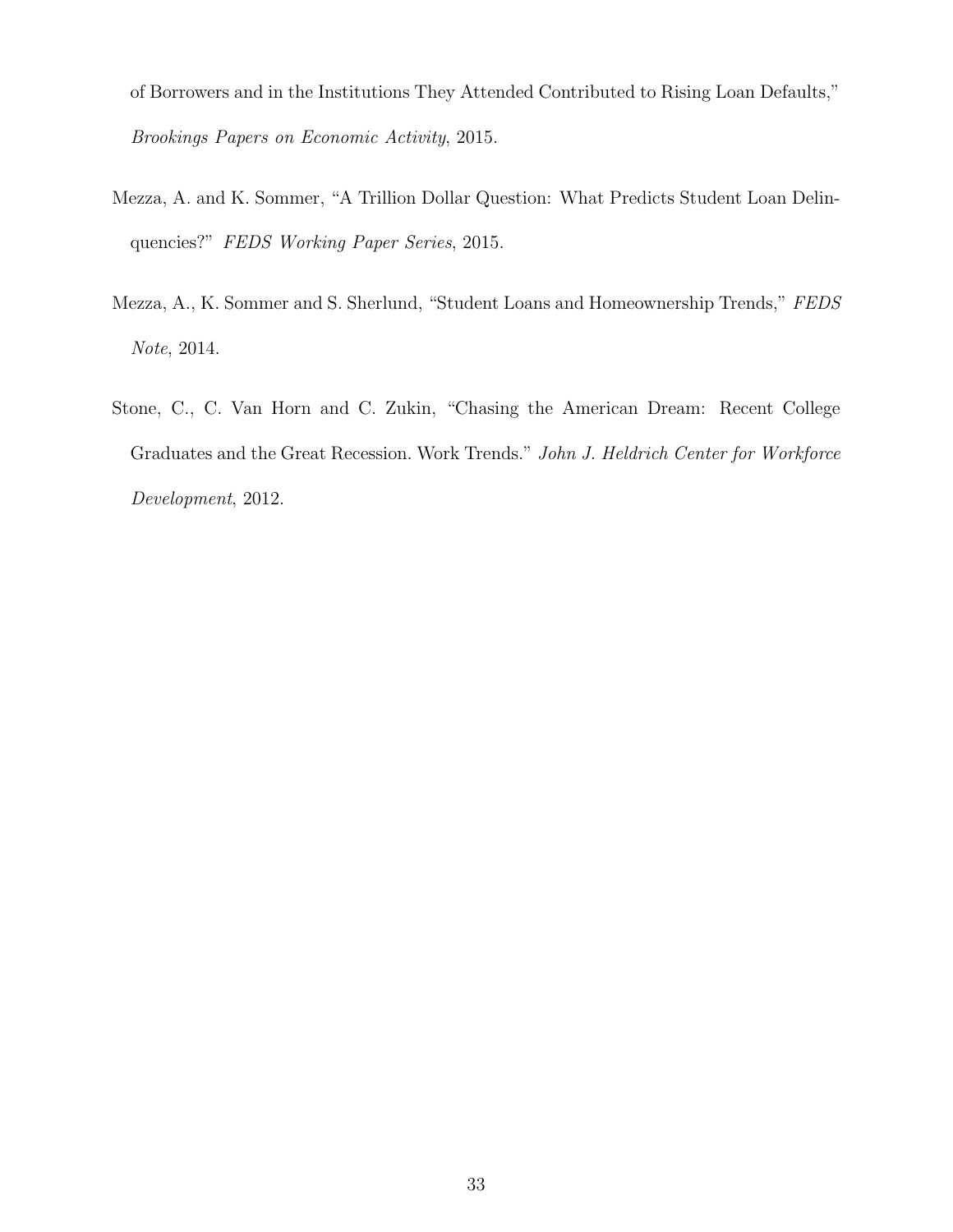of Borrowers and in the Institutions They Attended Contributed to Rising Loan Defaults," Brookings Papers on Economic Activity, 2015.

- <span id="page-32-2"></span>Mezza, A. and K. Sommer, "A Trillion Dollar Question: What Predicts Student Loan Delinquencies?" FEDS Working Paper Series, 2015.
- <span id="page-32-1"></span>Mezza, A., K. Sommer and S. Sherlund, "Student Loans and Homeownership Trends," FEDS Note, 2014.
- <span id="page-32-0"></span>Stone, C., C. Van Horn and C. Zukin, "Chasing the American Dream: Recent College Graduates and the Great Recession. Work Trends." John J. Heldrich Center for Workforce Development, 2012.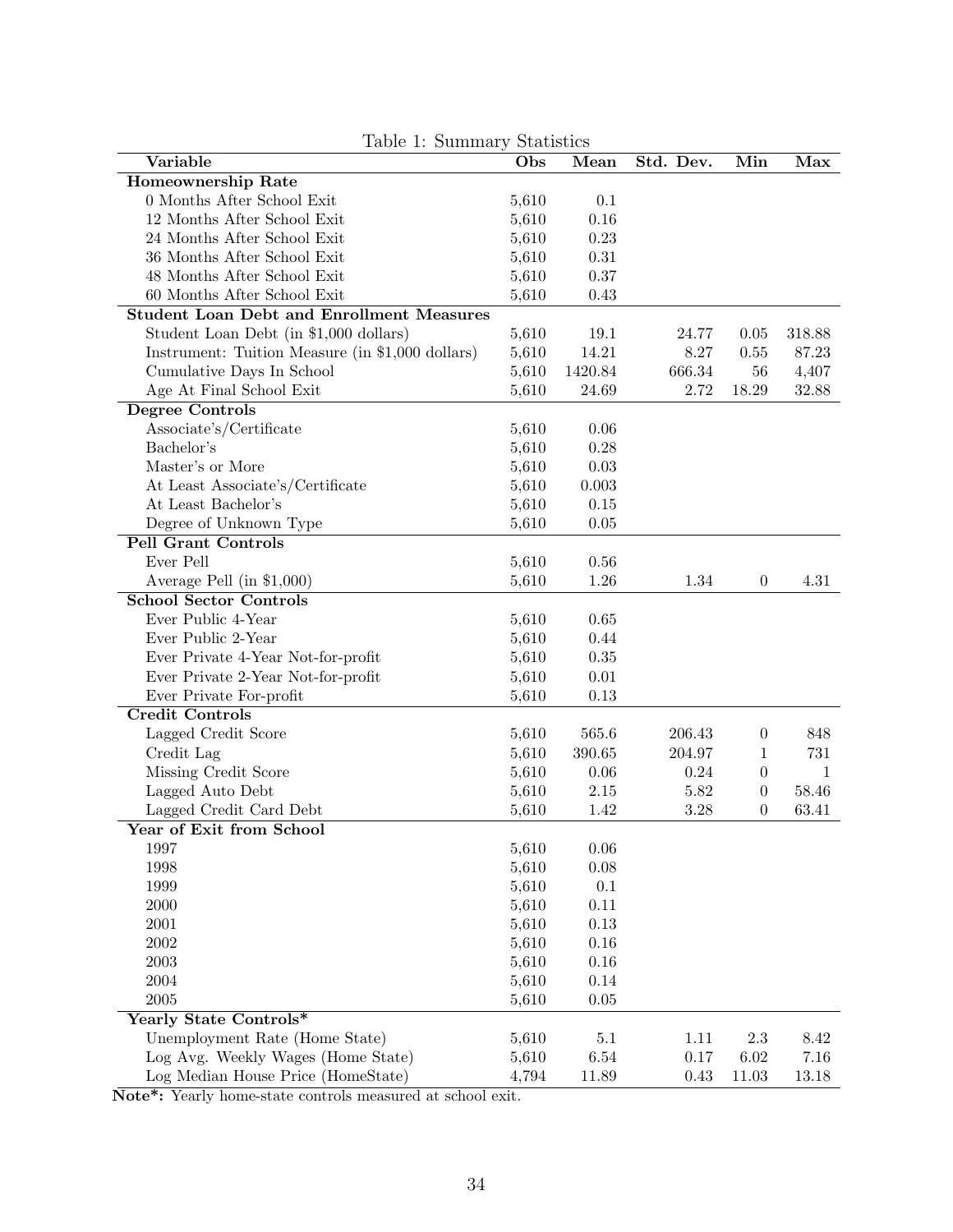| Table 1: Summary Statistics                      |       |            |           |                  |              |
|--------------------------------------------------|-------|------------|-----------|------------------|--------------|
| Variable                                         | Obs   | Mean       | Std. Dev. | Min              | Max          |
| Homeownership Rate                               |       |            |           |                  |              |
| 0 Months After School Exit                       | 5,610 | 0.1        |           |                  |              |
| 12 Months After School Exit                      | 5,610 | 0.16       |           |                  |              |
| 24 Months After School Exit                      | 5,610 | 0.23       |           |                  |              |
| 36 Months After School Exit                      | 5,610 | $\rm 0.31$ |           |                  |              |
| 48 Months After School Exit                      | 5,610 | 0.37       |           |                  |              |
| 60 Months After School Exit                      | 5,610 | 0.43       |           |                  |              |
| <b>Student Loan Debt and Enrollment Measures</b> |       |            |           |                  |              |
| Student Loan Debt (in \$1,000 dollars)           | 5,610 | 19.1       | 24.77     | 0.05             | 318.88       |
| Instrument: Tuition Measure (in \$1,000 dollars) | 5,610 | 14.21      | 8.27      | 0.55             | 87.23        |
| Cumulative Days In School                        | 5,610 | 1420.84    | 666.34    | 56               | 4,407        |
| Age At Final School Exit                         | 5,610 | 24.69      | 2.72      | 18.29            | 32.88        |
| Degree Controls                                  |       |            |           |                  |              |
| Associate's/Certificate                          | 5,610 | 0.06       |           |                  |              |
| Bachelor's                                       | 5,610 | 0.28       |           |                  |              |
| Master's or More                                 | 5,610 | 0.03       |           |                  |              |
| At Least Associate's/Certificate                 | 5,610 | 0.003      |           |                  |              |
| At Least Bachelor's                              | 5,610 | 0.15       |           |                  |              |
| Degree of Unknown Type                           | 5,610 | 0.05       |           |                  |              |
| <b>Pell Grant Controls</b>                       |       |            |           |                  |              |
| Ever Pell                                        | 5,610 | 0.56       |           |                  |              |
| Average Pell (in $$1,000$ )                      | 5,610 | 1.26       | 1.34      | $\overline{0}$   | 4.31         |
| <b>School Sector Controls</b>                    |       |            |           |                  |              |
| Ever Public 4-Year                               | 5,610 | 0.65       |           |                  |              |
| Ever Public 2-Year                               | 5,610 | 0.44       |           |                  |              |
| Ever Private 4-Year Not-for-profit               | 5,610 | $0.35\,$   |           |                  |              |
| Ever Private 2-Year Not-for-profit               | 5,610 | 0.01       |           |                  |              |
| Ever Private For-profit                          | 5,610 | $0.13\,$   |           |                  |              |
| <b>Credit Controls</b>                           |       |            |           |                  |              |
| Lagged Credit Score                              | 5,610 | 565.6      | 206.43    | $\overline{0}$   | 848          |
| Credit Lag                                       | 5,610 | 390.65     | 204.97    | 1                | 731          |
| Missing Credit Score                             | 5,610 | 0.06       | 0.24      | $\boldsymbol{0}$ | $\mathbf{1}$ |
|                                                  |       | $2.15\,$   | $5.82\,$  |                  | 58.46        |
| Lagged Auto Debt                                 | 5,610 |            |           | $\boldsymbol{0}$ | 63.41        |
| Lagged Credit Card Debt                          | 5,610 | 1.42       | 3.28      | $\boldsymbol{0}$ |              |
| Year of Exit from School                         |       |            |           |                  |              |
| 1997                                             | 5,610 | $0.06\,$   |           |                  |              |
| 1998                                             | 5,610 | $0.08\,$   |           |                  |              |
| 1999                                             | 5,610 | $0.1\,$    |           |                  |              |
| $2000\,$                                         | 5,610 | 0.11       |           |                  |              |
| 2001                                             | 5,610 | $0.13\,$   |           |                  |              |
| $\,2002\,$                                       | 5,610 | $0.16\,$   |           |                  |              |
| $\,2003\,$                                       | 5,610 | $0.16\,$   |           |                  |              |
| 2004                                             | 5,610 | 0.14       |           |                  |              |
| $\,2005\,$                                       | 5,610 | 0.05       |           |                  |              |
| Yearly State Controls*                           |       |            |           |                  |              |
| Unemployment Rate (Home State)                   | 5,610 | 5.1        | 1.11      | 2.3              | 8.42         |
| Log Avg. Weekly Wages (Home State)               | 5,610 | $6.54\,$   | 0.17      | 6.02             | 7.16         |
| Log Median House Price (HomeState)               | 4,794 | 11.89      | 0.43      | 11.03            | 13.18        |

<span id="page-33-0"></span>Table 1: Summary Statistic

Note\*: Yearly home-state controls measured at school exit.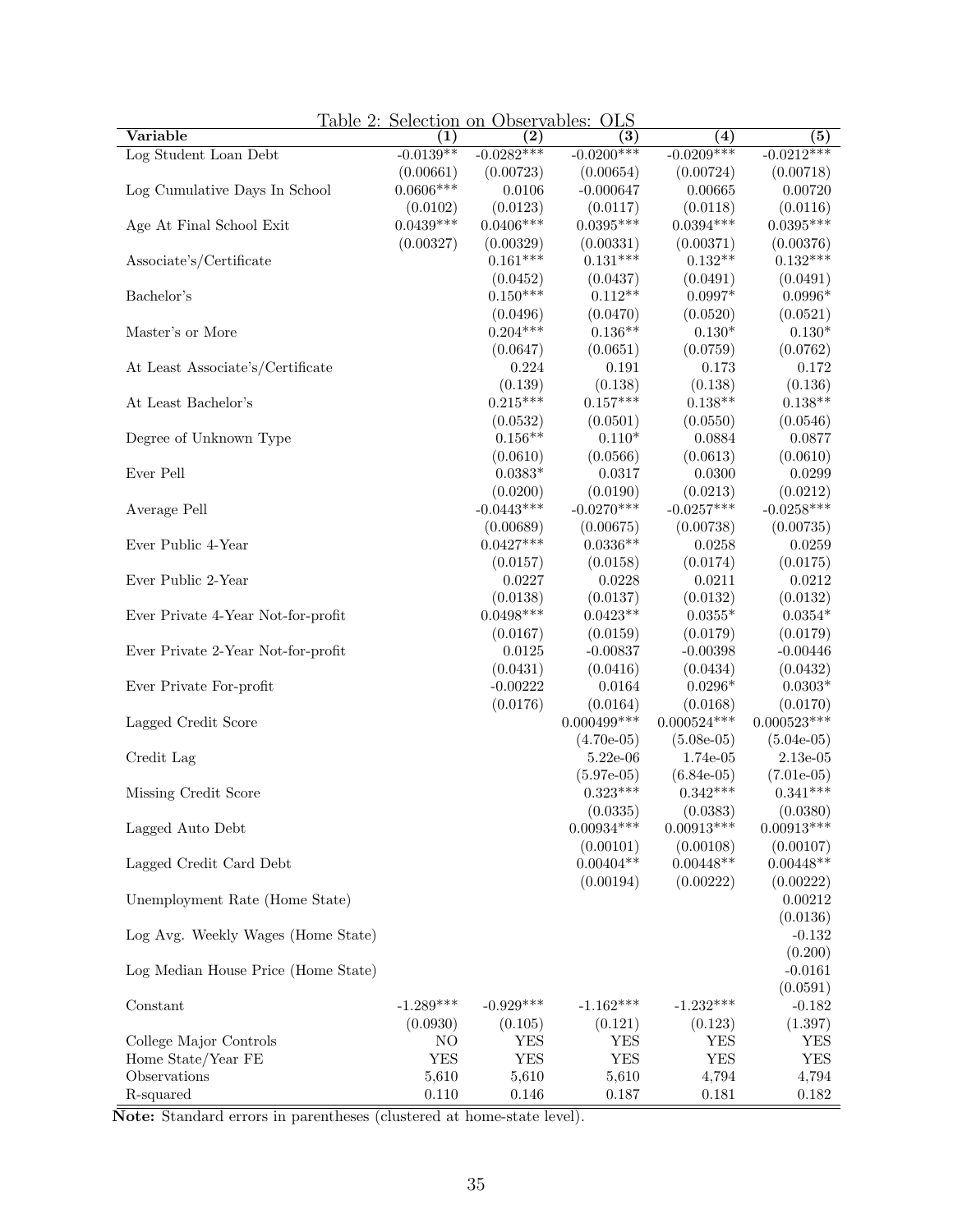|                                     |             | Table 2: Selection on Observables: OLS |                   |                   |                   |
|-------------------------------------|-------------|----------------------------------------|-------------------|-------------------|-------------------|
| Variable                            | (1)         | $\left( 2\right)$                      | $\left( 3\right)$ | (4)               | (5)               |
| Log Student Loan Debt               | $-0.0139**$ | $-0.0282***$                           | $-0.0200***$      | $-0.0209***$      | $-0.0212***$      |
|                                     | (0.00661)   | (0.00723)                              | (0.00654)         | (0.00724)         | (0.00718)         |
| Log Cumulative Days In School       | $0.0606***$ | 0.0106                                 | $-0.000647$       | 0.00665           | 0.00720           |
|                                     | (0.0102)    | (0.0123)                               | (0.0117)          | (0.0118)          | (0.0116)          |
| Age At Final School Exit            | $0.0439***$ | $0.0406***$                            | $0.0395***$       | $0.0394***$       | $0.0395***$       |
|                                     | (0.00327)   | (0.00329)                              | (0.00331)         | (0.00371)         | (0.00376)         |
| Associate's/Certificate             |             | $0.161***$                             | $0.131***$        | $0.132**$         | $0.132***$        |
|                                     |             | (0.0452)                               | (0.0437)          | (0.0491)          | (0.0491)          |
| Bachelor's                          |             | $0.150***$                             | $0.112**$         | $0.0997*$         | $0.0996*$         |
|                                     |             | (0.0496)                               | (0.0470)          | (0.0520)          | (0.0521)          |
| Master's or More                    |             | $0.204***$                             | $0.136**$         | $0.130*$          | $0.130*$          |
|                                     |             | (0.0647)                               | (0.0651)          | (0.0759)          | (0.0762)          |
| At Least Associate's/Certificate    |             | 0.224                                  | 0.191             | 0.173             | 0.172             |
|                                     |             | (0.139)                                | (0.138)           | (0.138)           | (0.136)           |
| At Least Bachelor's                 |             | $0.215***$                             | $0.157***$        | $0.138**$         | $0.138**$         |
|                                     |             |                                        |                   |                   |                   |
|                                     |             | (0.0532)                               | (0.0501)          | (0.0550)          | (0.0546)          |
| Degree of Unknown Type              |             | $0.156**$                              | $0.110*$          | 0.0884            | 0.0877            |
|                                     |             | (0.0610)                               | (0.0566)          | (0.0613)          | (0.0610)          |
| Ever Pell                           |             | $0.0383*$                              | 0.0317            | 0.0300            | 0.0299            |
|                                     |             | (0.0200)                               | (0.0190)          | (0.0213)          | (0.0212)          |
| Average Pell                        |             | $-0.0443***$                           | $-0.0270***$      | $-0.0257***$      | $-0.0258***$      |
|                                     |             | (0.00689)                              | (0.00675)         | (0.00738)         | (0.00735)         |
| Ever Public 4-Year                  |             | $0.0427***$                            | $0.0336**$        | 0.0258            | 0.0259            |
|                                     |             | (0.0157)                               | (0.0158)          | (0.0174)          | (0.0175)          |
| Ever Public 2-Year                  |             | 0.0227                                 | 0.0228            | 0.0211            | 0.0212            |
|                                     |             | (0.0138)                               | (0.0137)          | (0.0132)          | (0.0132)          |
| Ever Private 4-Year Not-for-profit  |             | $0.0498***$                            | $0.0423**$        | $0.0355*$         | $0.0354*$         |
|                                     |             | (0.0167)                               | (0.0159)          | (0.0179)          | (0.0179)          |
| Ever Private 2-Year Not-for-profit  |             | 0.0125                                 | $-0.00837$        | $-0.00398$        | $-0.00446$        |
|                                     |             | (0.0431)                               | (0.0416)          | (0.0434)          | (0.0432)          |
| Ever Private For-profit             |             | $-0.00222$                             | 0.0164            | $0.0296*$         | $0.0303*$         |
|                                     |             | (0.0176)                               | (0.0164)          | (0.0168)          | (0.0170)          |
| Lagged Credit Score                 |             |                                        | $0.000499$ ***    | $0.000524***$     | $0.000523***$     |
|                                     |             |                                        | $(4.70e-05)$      | $(5.08e-05)$      | $(5.04e-05)$      |
|                                     |             |                                        |                   |                   |                   |
| Credit Lag                          |             |                                        | $5.22e-06$        | 1.74e-05          | $2.13e-05$        |
|                                     |             |                                        | $(5.97e-05)$      | $(6.84e-05)$      | $(7.01e-05)$      |
| Missing Credit Score                |             |                                        | $0.323***$        | $0.342***$        | $0.341***$        |
|                                     |             |                                        | (0.0335)          | (0.0383)          | (0.0380)          |
| Lagged Auto Debt                    |             |                                        | $0.00934***$      | $0.00913^{***}\,$ | $0.00913^{***}\,$ |
|                                     |             |                                        | (0.00101)         | (0.00108)         | (0.00107)         |
| Lagged Credit Card Debt             |             |                                        | $0.00404**$       | $0.00448**$       | $0.00448**$       |
|                                     |             |                                        | (0.00194)         | (0.00222)         | (0.00222)         |
| Unemployment Rate (Home State)      |             |                                        |                   |                   | 0.00212           |
|                                     |             |                                        |                   |                   | (0.0136)          |
| Log Avg. Weekly Wages (Home State)  |             |                                        |                   |                   | $-0.132$          |
|                                     |             |                                        |                   |                   | (0.200)           |
| Log Median House Price (Home State) |             |                                        |                   |                   | $-0.0161$         |
|                                     |             |                                        |                   |                   | (0.0591)          |
| Constant                            | $-1.289***$ | $-0.929***$                            | $-1.162***$       | $-1.232***$       | $-0.182$          |
|                                     | (0.0930)    | (0.105)                                | (0.121)           | (0.123)           | (1.397)           |
| College Major Controls              | NO          | <b>YES</b>                             | <b>YES</b>        | <b>YES</b>        | YES               |
| Home State/Year FE                  | <b>YES</b>  | <b>YES</b>                             | <b>YES</b>        | <b>YES</b>        | <b>YES</b>        |
| Observations                        | 5,610       | 5,610                                  | 5,610             | 4,794             | 4,794             |
| R-squared                           | 0.110       | $0.146\,$                              | 0.187             | 0.181             | 0.182             |
|                                     |             |                                        |                   |                   |                   |

<span id="page-34-0"></span>Table 2: Selection on Observables: OLS

Note: Standard errors in parentheses (clustered at home-state level).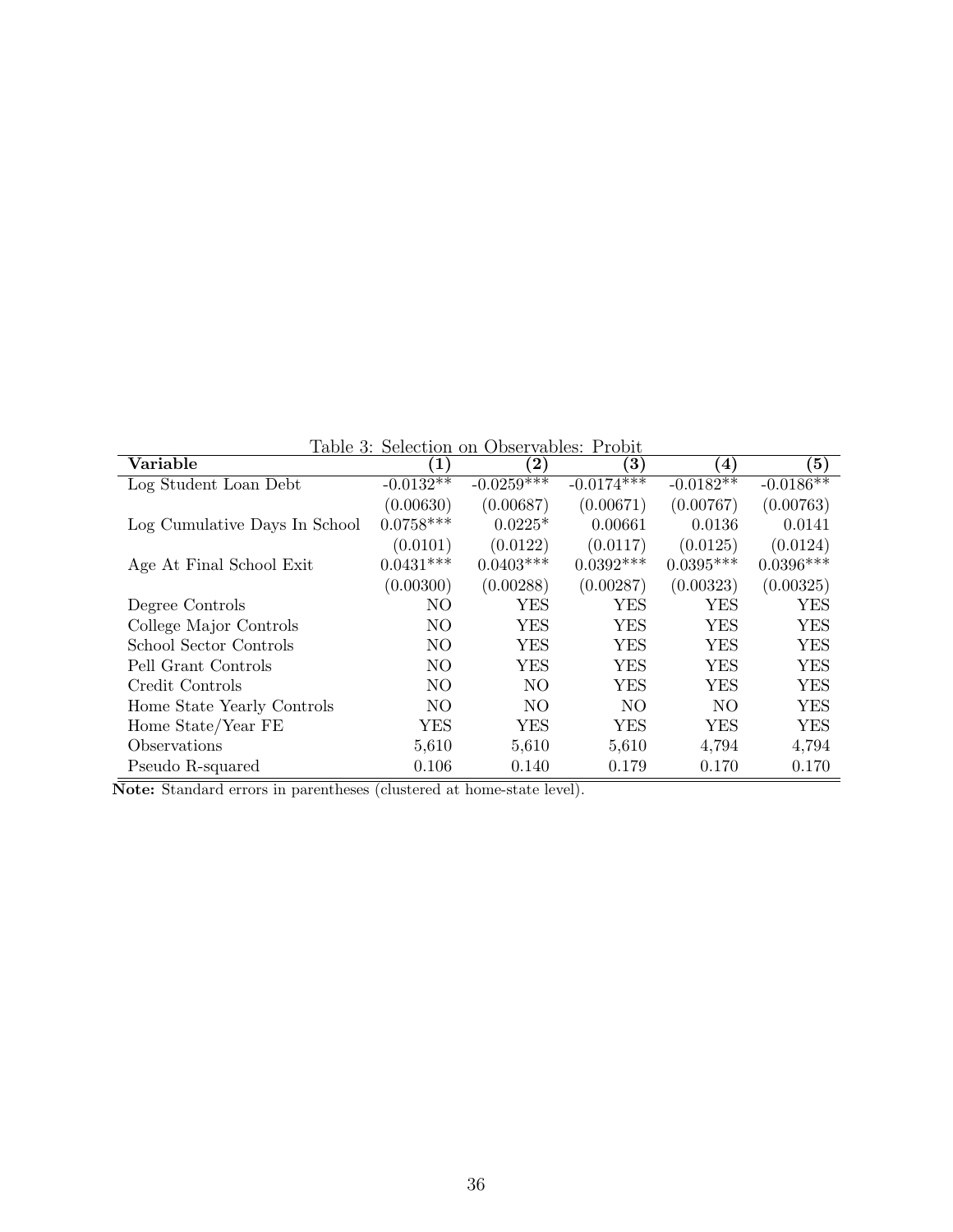<span id="page-35-0"></span>Table 3: Selection on Observables: Probit

| Variable                      | $\mathbf{1}$   | $\bf (2)$    | $\mathbf{3})$            | $\left( 4\right)$ | $\left( 5\right)$ |
|-------------------------------|----------------|--------------|--------------------------|-------------------|-------------------|
| Log Student Loan Debt         | $-0.0132**$    | $-0.0259***$ | $-0.01\overline{74}$ *** | $-0.0182**$       | $-0.0186**$       |
|                               | (0.00630)      | (0.00687)    | (0.00671)                | (0.00767)         | (0.00763)         |
| Log Cumulative Days In School | $0.0758***$    | $0.0225*$    | 0.00661                  | 0.0136            | 0.0141            |
|                               | (0.0101)       | (0.0122)     | (0.0117)                 | (0.0125)          | (0.0124)          |
| Age At Final School Exit      | $0.0431***$    | $0.0403***$  | $0.0392***$              | $0.0395***$       | $0.0396***$       |
|                               | (0.00300)      | (0.00288)    | (0.00287)                | (0.00323)         | (0.00325)         |
| Degree Controls               | N <sub>O</sub> | YES          | YES                      | YES               | <b>YES</b>        |
| College Major Controls        | NO.            | <b>YES</b>   | YES                      | YES               | YES               |
| School Sector Controls        | NO.            | YES          | YES                      | YES               | YES               |
| Pell Grant Controls           | N <sub>O</sub> | YES          | YES                      | YES               | YES               |
| Credit Controls               | N <sub>O</sub> | NO.          | YES                      | YES               | <b>YES</b>        |
| Home State Yearly Controls    | NO.            | NO.          | NO.                      | NO.               | YES               |
| Home State/Year FE            | YES            | YES          | <b>YES</b>               | YES               | <b>YES</b>        |
| Observations                  | 5,610          | 5,610        | 5,610                    | 4,794             | 4,794             |
| Pseudo R-squared              | 0.106          | 0.140        | 0.179                    | 0.170             | 0.170             |

Note: Standard errors in parentheses (clustered at home-state level).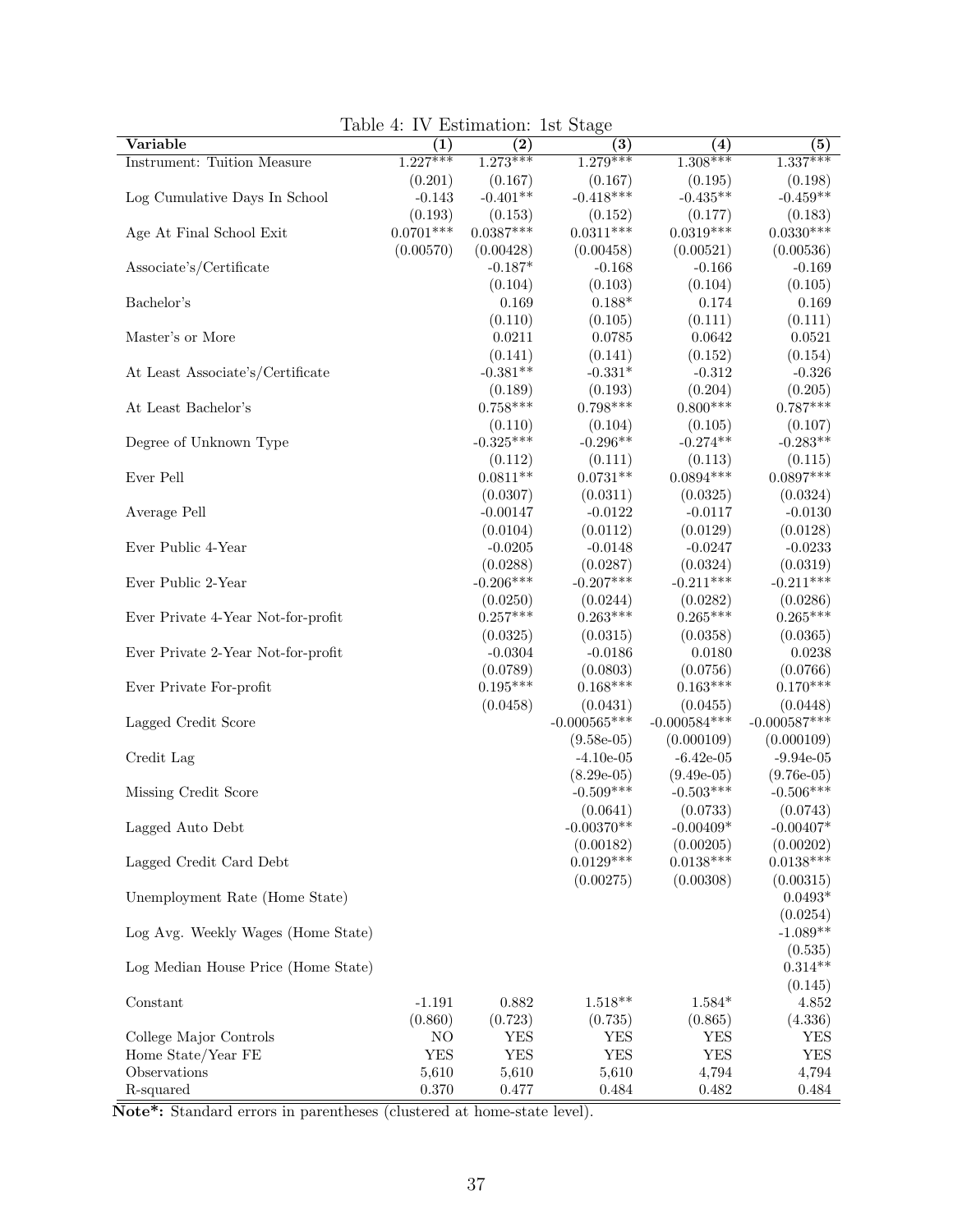| Variable                            | (1)         | $\rm(2)$    | (3)                         | (4)                         | (5)                         |
|-------------------------------------|-------------|-------------|-----------------------------|-----------------------------|-----------------------------|
| Instrument: Tuition Measure         | $1.227***$  | $1.273***$  | $1.279***$                  | $1.308***$                  | $1.337***$                  |
|                                     | (0.201)     | (0.167)     | (0.167)                     | (0.195)                     | (0.198)                     |
| Log Cumulative Days In School       | $-0.143$    | $-0.401**$  | $-0.418***$                 | $-0.435**$                  | $-0.459**$                  |
|                                     | (0.193)     | (0.153)     | (0.152)                     | (0.177)                     | (0.183)                     |
| Age At Final School Exit            | $0.0701***$ | $0.0387***$ | $0.0311***$                 | $0.0319***$                 | $0.0330***$                 |
|                                     | (0.00570)   | (0.00428)   | (0.00458)                   | (0.00521)                   | (0.00536)                   |
| Associate's/Certificate             |             | $-0.187*$   | $-0.168$                    | $-0.166$                    | $-0.169$                    |
|                                     |             | (0.104)     | (0.103)                     | (0.104)                     | (0.105)                     |
| Bachelor's                          |             | 0.169       | $0.188*$                    | 0.174                       | 0.169                       |
|                                     |             | (0.110)     | (0.105)                     | (0.111)                     | (0.111)                     |
| Master's or More                    |             | 0.0211      | 0.0785                      | 0.0642                      | 0.0521                      |
|                                     |             | (0.141)     | (0.141)                     | (0.152)                     | (0.154)                     |
| At Least Associate's/Certificate    |             | $-0.381**$  | $-0.331*$                   | $-0.312$                    | $-0.326$                    |
|                                     |             | (0.189)     | (0.193)                     | (0.204)                     | (0.205)                     |
| At Least Bachelor's                 |             | $0.758***$  | $0.798***$                  | $0.800***$                  | $0.787***$                  |
|                                     |             | (0.110)     | (0.104)                     | (0.105)                     | (0.107)                     |
| Degree of Unknown Type              |             | $-0.325***$ | $-0.296**$                  | $-0.274**$                  | $-0.283**$                  |
|                                     |             | (0.112)     | (0.111)                     | (0.113)                     | (0.115)                     |
| Ever Pell                           |             | $0.0811**$  | $0.0731**$                  | $0.0894***$                 | $0.0897***$                 |
|                                     |             | (0.0307)    | (0.0311)                    | (0.0325)                    | (0.0324)                    |
| Average Pell                        |             | $-0.00147$  | $-0.0122$                   | $-0.0117$                   | $-0.0130$                   |
|                                     |             | (0.0104)    | (0.0112)                    | (0.0129)                    | (0.0128)                    |
| Ever Public 4-Year                  |             | $-0.0205$   | $-0.0148$                   | $-0.0247$                   | $-0.0233$                   |
|                                     |             | (0.0288)    | (0.0287)                    | (0.0324)                    | (0.0319)                    |
| Ever Public 2-Year                  |             | $-0.206***$ | $-0.207***$                 | $-0.211***$                 | $-0.211***$                 |
|                                     |             | (0.0250)    | (0.0244)                    | (0.0282)                    | (0.0286)                    |
| Ever Private 4-Year Not-for-profit  |             | $0.257***$  | $0.263***$                  | $0.265***$                  | $0.265***$                  |
|                                     |             | (0.0325)    | (0.0315)                    | (0.0358)                    | (0.0365)                    |
| Ever Private 2-Year Not-for-profit  |             | $-0.0304$   | $-0.0186$                   | 0.0180                      | 0.0238                      |
|                                     |             | (0.0789)    | (0.0803)                    | (0.0756)                    | (0.0766)                    |
| Ever Private For-profit             |             | $0.195***$  | $0.168***$                  | $0.163***$                  | $0.170***$                  |
|                                     |             | (0.0458)    | (0.0431)                    | (0.0455)                    | (0.0448)                    |
| Lagged Credit Score                 |             |             | $-0.000565***$              | $-0.000584***$              | $-0.000587***$              |
|                                     |             |             | $(9.58e-05)$                | (0.000109)                  | (0.000109)                  |
| Credit Lag                          |             |             | $-4.10e-05$                 | $-6.42e-05$                 | $-9.94e-05$                 |
|                                     |             |             | $(8.29e-05)$<br>$-0.509***$ | $(9.49e-05)$<br>$-0.503***$ | $(9.76e-05)$<br>$-0.506***$ |
| Missing Credit Score                |             |             |                             |                             |                             |
| Lagged Auto Debt                    |             |             | (0.0641)<br>$-0.00370**$    | (0.0733)<br>$-0.00409*$     | (0.0743)<br>$-0.00407*$     |
|                                     |             |             | (0.00182)                   | (0.00205)                   | (0.00202)                   |
| Lagged Credit Card Debt             |             |             | $0.0129***$                 | $0.0138***$                 | $0.0138***$                 |
|                                     |             |             | (0.00275)                   | (0.00308)                   | (0.00315)                   |
| Unemployment Rate (Home State)      |             |             |                             |                             | $0.0493*$                   |
|                                     |             |             |                             |                             | (0.0254)                    |
| Log Avg. Weekly Wages (Home State)  |             |             |                             |                             | $-1.089**$                  |
|                                     |             |             |                             |                             | (0.535)                     |
| Log Median House Price (Home State) |             |             |                             |                             | $0.314**$                   |
|                                     |             |             |                             |                             | (0.145)                     |
| Constant                            | $-1.191$    | 0.882       | $1.518**$                   | $1.584*$                    | 4.852                       |
|                                     | (0.860)     | (0.723)     | (0.735)                     | (0.865)                     | (4.336)                     |
| College Major Controls              | NO          | YES         | <b>YES</b>                  | <b>YES</b>                  | YES                         |
| Home State/Year FE                  | <b>YES</b>  | <b>YES</b>  | <b>YES</b>                  | <b>YES</b>                  | YES                         |
| Observations                        | 5,610       | 5,610       | 5,610                       | 4,794                       | 4,794                       |
| R-squared                           | 0.370       | 0.477       | 0.484                       | 0.482                       | 0.484                       |

<span id="page-36-0"></span>Table 4: IV Estimation: 1st Stage

Note\*: Standard errors in parentheses (clustered at home-state level).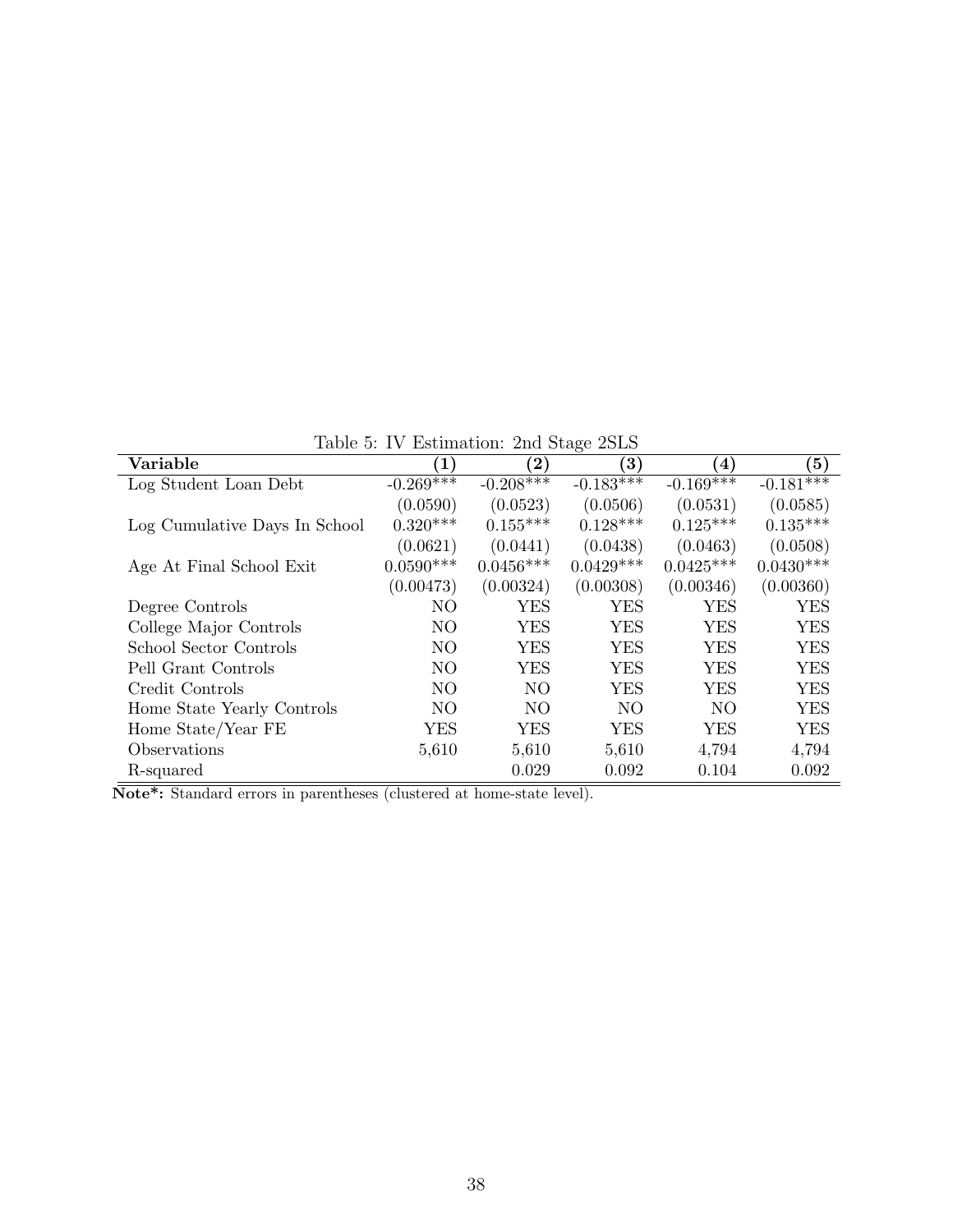<span id="page-37-0"></span>Table 5: IV Estimation: 2nd Stage 2SLS

| Variable                      | $\left( 1\right)$ | $\bf (2)$      | $\left( 3\right)$ | $\left( 4\right)$ | (5)          |
|-------------------------------|-------------------|----------------|-------------------|-------------------|--------------|
| Log Student Loan Debt         | $-0.269***$       | $-0.208***$    | $-0.183***$       | $-0.169***$       | $-0.181$ *** |
|                               | (0.0590)          | (0.0523)       | (0.0506)          | (0.0531)          | (0.0585)     |
| Log Cumulative Days In School | $0.320***$        | $0.155***$     | $0.128***$        | $0.125***$        | $0.135***$   |
|                               | (0.0621)          | (0.0441)       | (0.0438)          | (0.0463)          | (0.0508)     |
| Age At Final School Exit      | $0.0590***$       | $0.0456***$    | $0.0429***$       | $0.0425***$       | $0.0430***$  |
|                               | (0.00473)         | (0.00324)      | (0.00308)         | (0.00346)         | (0.00360)    |
| Degree Controls               | N <sub>O</sub>    | <b>YES</b>     | <b>YES</b>        | <b>YES</b>        | <b>YES</b>   |
| College Major Controls        | N <sub>O</sub>    | <b>YES</b>     | YES               | <b>YES</b>        | YES          |
| School Sector Controls        | N <sub>O</sub>    | <b>YES</b>     | YES               | <b>YES</b>        | <b>YES</b>   |
| Pell Grant Controls           | N <sub>O</sub>    | <b>YES</b>     | YES               | <b>YES</b>        | <b>YES</b>   |
| Credit Controls               | N <sub>O</sub>    | N <sub>O</sub> | YES               | <b>YES</b>        | <b>YES</b>   |
| Home State Yearly Controls    | N <sub>O</sub>    | N <sub>O</sub> | N <sub>O</sub>    | N <sub>O</sub>    | <b>YES</b>   |
| Home State/Year FE            | YES               | YES            | YES               | YES               | <b>YES</b>   |
| Observations                  | 5,610             | 5,610          | 5,610             | 4,794             | 4,794        |
| R-squared                     |                   | 0.029          | 0.092             | 0.104             | 0.092        |

Note\*: Standard errors in parentheses (clustered at home-state level).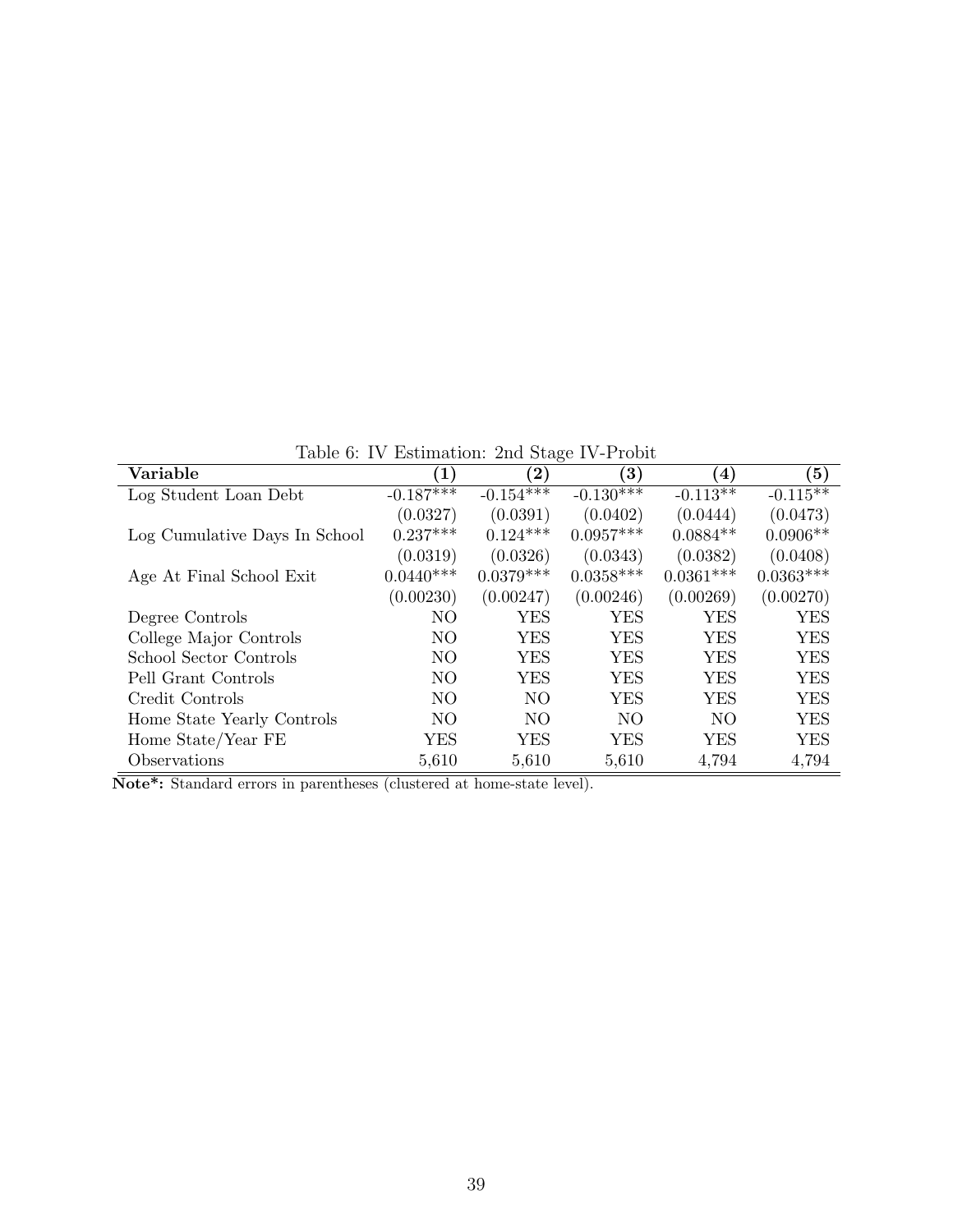<span id="page-38-0"></span>Table 6: IV Estimation: 2nd Stage IV-Probit

| Variable                      | $\left( 1\right)$ | $\bf (2)$      | $\smash{\smash{\cup}}$<br>$\bf (3)$ | $\left( 4\right)$ | $\left(5\right)$ |
|-------------------------------|-------------------|----------------|-------------------------------------|-------------------|------------------|
| Log Student Loan Debt         | $-0.187***$       | $-0.154***$    | $-0.130***$                         | $-0.113**$        | $-0.115**$       |
|                               | (0.0327)          | (0.0391)       | (0.0402)                            | (0.0444)          | (0.0473)         |
| Log Cumulative Days In School | $0.237***$        | $0.124***$     | $0.0957***$                         | $0.0884**$        | $0.0906**$       |
|                               | (0.0319)          | (0.0326)       | (0.0343)                            | (0.0382)          | (0.0408)         |
| Age At Final School Exit      | $0.0440***$       | $0.0379***$    | $0.0358***$                         | $0.0361***$       | $0.0363***$      |
|                               | (0.00230)         | (0.00247)      | (0.00246)                           | (0.00269)         | (0.00270)        |
| Degree Controls               | N <sub>O</sub>    | <b>YES</b>     | YES                                 | YES               | <b>YES</b>       |
| College Major Controls        | N <sub>O</sub>    | <b>YES</b>     | <b>YES</b>                          | <b>YES</b>        | <b>YES</b>       |
| School Sector Controls        | N <sub>O</sub>    | <b>YES</b>     | YES                                 | <b>YES</b>        | <b>YES</b>       |
| Pell Grant Controls           | N <sub>O</sub>    | <b>YES</b>     | <b>YES</b>                          | <b>YES</b>        | <b>YES</b>       |
| Credit Controls               | N <sub>O</sub>    | N <sub>O</sub> | <b>YES</b>                          | <b>YES</b>        | <b>YES</b>       |
| Home State Yearly Controls    | N <sub>O</sub>    | N <sub>O</sub> | NO.                                 | NO.               | <b>YES</b>       |
| Home State/Year FE            | YES               | YES            | YES                                 | YES               | <b>YES</b>       |
| Observations                  | 5,610             | 5,610          | 5,610                               | 4,794             | 4,794            |

 $\overline{\textbf{Note*}}\textbf{: Standard errors in parentheses (clustered at home-state level).}$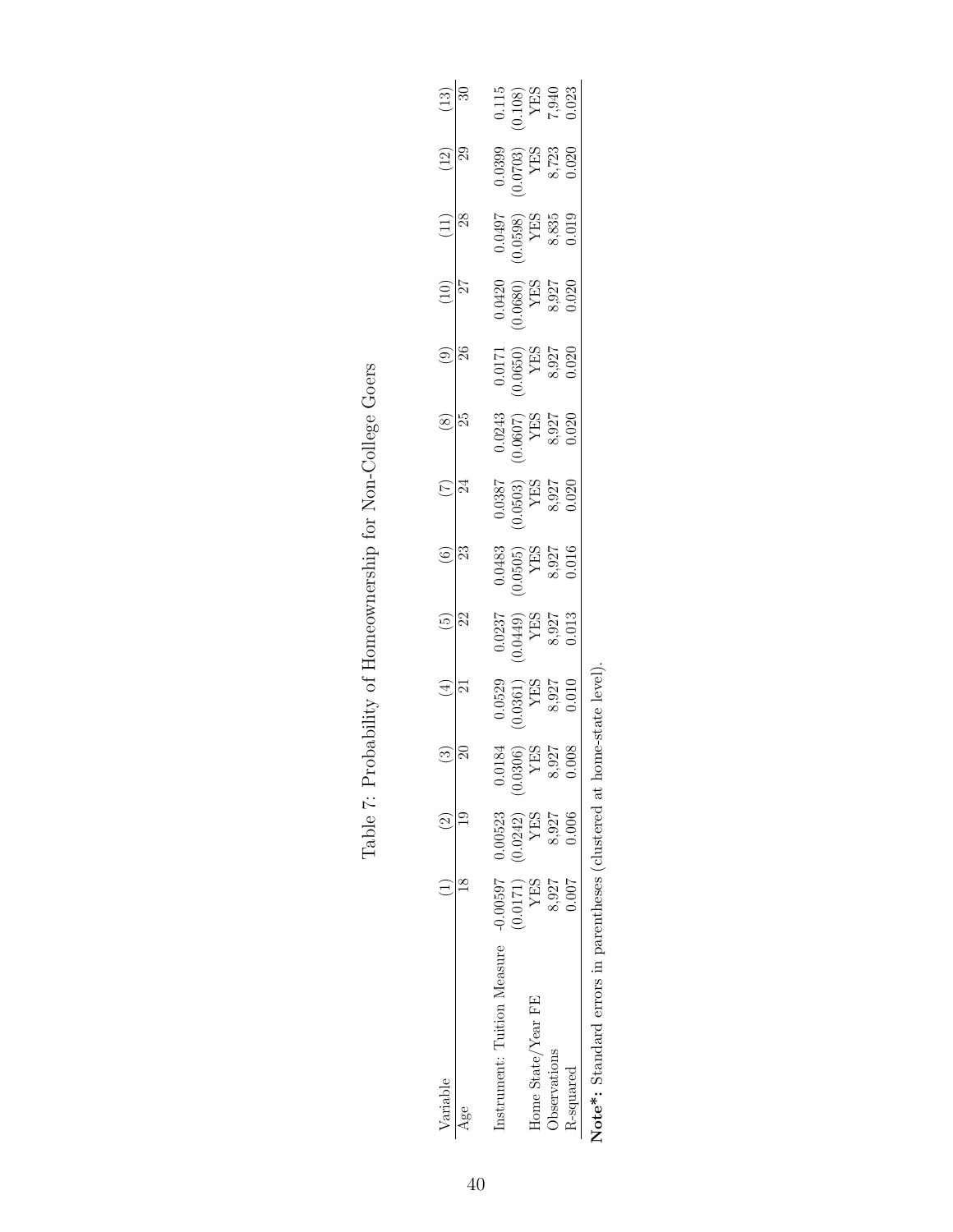<span id="page-39-0"></span>

| Variable                                              |                                                                                      |          |                                                                                                                                 | $(\pm)$                                                                                     | $\odot$                                                                                       |                                                                                               |                                                                                               | $\frac{\infty}{25}$                                                                 | $\circledcirc$                                                                                     | $\begin{pmatrix} 1 & 0 \\ 0 & 1 \end{pmatrix}$                                                    | $(11)$                                                                                                                      | $\frac{12}{29}$                                                                 | $(13)$                                                                         |
|-------------------------------------------------------|--------------------------------------------------------------------------------------|----------|---------------------------------------------------------------------------------------------------------------------------------|---------------------------------------------------------------------------------------------|-----------------------------------------------------------------------------------------------|-----------------------------------------------------------------------------------------------|-----------------------------------------------------------------------------------------------|-------------------------------------------------------------------------------------|----------------------------------------------------------------------------------------------------|---------------------------------------------------------------------------------------------------|-----------------------------------------------------------------------------------------------------------------------------|---------------------------------------------------------------------------------|--------------------------------------------------------------------------------|
| $\frac{1}{2}$                                         |                                                                                      |          |                                                                                                                                 |                                                                                             | $\overline{22}$                                                                               | $\overline{\mathbb{R}}$                                                                       |                                                                                               |                                                                                     | $\overline{\mathbb{S}}$                                                                            | $\frac{1}{27}$                                                                                    | 85                                                                                                                          |                                                                                 |                                                                                |
| nstrument: Tuition Measure                            | $-0.00597$                                                                           | 0.00523  |                                                                                                                                 |                                                                                             |                                                                                               |                                                                                               |                                                                                               |                                                                                     |                                                                                                    |                                                                                                   |                                                                                                                             |                                                                                 |                                                                                |
|                                                       | $\begin{array}{cc} \text{(0.0171)}\\ \text{(1710.0)}\\ \text{(17110.0)} \end{array}$ | (0.0242) |                                                                                                                                 |                                                                                             |                                                                                               |                                                                                               |                                                                                               |                                                                                     |                                                                                                    |                                                                                                   |                                                                                                                             |                                                                                 |                                                                                |
| Home State/Year FE                                    |                                                                                      | YES      | $\begin{array}{c} 0.0184 \\ (0.0306) \\ \begin{array}{c} \text{YES} \\ \text{8,927} \\ \text{8,927} \\ \end{array} \end{array}$ | $\begin{array}{c} 0.0529 \\ 0.0361) \\ \text{YES} \\ \text{S}, 927 \\ 0.010 \\ \end{array}$ | $\begin{array}{c} 0.0237 \\ 0.0449 \\ \text{YES} \\ \text{NES} \\ 8.927 \\ 0.013 \end{array}$ | $\begin{array}{c} 0.0483 \\ 0.0505 \\ \text{YES} \\ \text{NES} \\ 8.927 \\ 0.016 \end{array}$ | $\begin{array}{c} 0.0387 \\ 0.0503 \\ \text{YES} \\ \text{NES} \\ 8.927 \\ 0.020 \end{array}$ | $\begin{array}{c} 0.0243 \\ 0.0607) \\ \text{YES} \\ 8.927 \\ 8.927 \\ \end{array}$ | $\begin{array}{c} 0.0171 \\ 0.0650) \\ \text{YES} \\ \text{S}, 927 \\ 8, 927 \\ 0.020 \end{array}$ | $\begin{array}{c} 0.0420 \\ 0.0680) \\ \text{YES} \\ \text{YES} \\ 8,927 \\ 8,927 \\ \end{array}$ | $\begin{array}{c} 0.0497 \\ 0.0598) \\ \begin{array}{c} \text{YES} \\ \text{YES} \\ 8.835 \\ 0.019 \end{array} \end{array}$ | $\begin{array}{c} 0.0399 \\ 0.0703 \\ \text{YES} \\ 8.723 \\ 0.020 \end{array}$ | $\begin{array}{c} 0.115 \\ 0.108) \\ \text{YES} \\ 7,940 \\ 0.023 \end{array}$ |
| <b>Jbservations</b>                                   | 8,927                                                                                | 8,927    |                                                                                                                                 |                                                                                             |                                                                                               |                                                                                               |                                                                                               |                                                                                     |                                                                                                    |                                                                                                   |                                                                                                                             |                                                                                 |                                                                                |
| R-squared                                             | 1.007                                                                                | 0.006    |                                                                                                                                 |                                                                                             |                                                                                               |                                                                                               |                                                                                               |                                                                                     |                                                                                                    |                                                                                                   |                                                                                                                             |                                                                                 |                                                                                |
| Note*: Standard errors in parentheses (clustered at h |                                                                                      |          |                                                                                                                                 | ome-state level                                                                             |                                                                                               |                                                                                               |                                                                                               |                                                                                     |                                                                                                    |                                                                                                   |                                                                                                                             |                                                                                 |                                                                                |

| ້.                                                                            |
|-------------------------------------------------------------------------------|
| $\vdots$<br>ı                                                                 |
| toughter and the store in the contract<br>$\ddot{\phantom{a}}$<br>ו<br>ו<br>I |
|                                                                               |
|                                                                               |
| ジャー・シャン・リー・シー・シー                                                              |
| ŀ                                                                             |

Table 7: Probability of Homeownership for Non-College Goers Table 7: Probability of Homeownership for Non-College Goers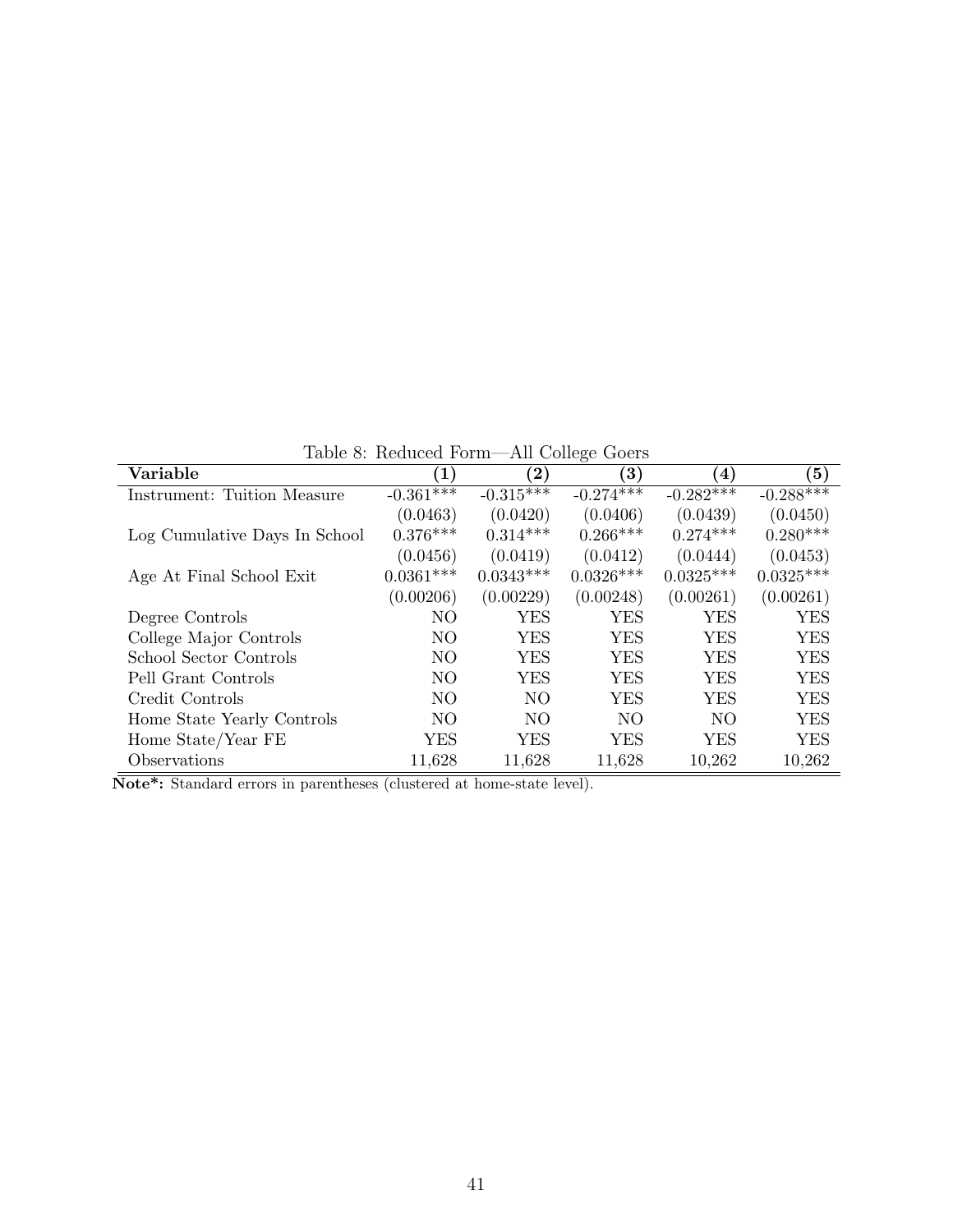<span id="page-40-0"></span>Table 8: Reduced Form—All College Goers

| Variable                           | $\left( 1\right)$ | $\bf (2)$      | $\checkmark$<br>$\bf (3)$ | $\left( 4\right)$ | $\left( 5\right)$ |
|------------------------------------|-------------------|----------------|---------------------------|-------------------|-------------------|
| <b>Instrument: Tuition Measure</b> | $-0.361***$       | $-0.315***$    | $-0.274***$               | $-0.282***$       | $-0.288***$       |
|                                    | (0.0463)          | (0.0420)       | (0.0406)                  | (0.0439)          | (0.0450)          |
| Log Cumulative Days In School      | $0.376***$        | $0.314***$     | $0.266***$                | $0.274***$        | $0.280***$        |
|                                    | (0.0456)          | (0.0419)       | (0.0412)                  | (0.0444)          | (0.0453)          |
| Age At Final School Exit           | $0.0361***$       | $0.0343***$    | $0.0326***$               | $0.0325***$       | $0.0325***$       |
|                                    | (0.00206)         | (0.00229)      | (0.00248)                 | (0.00261)         | (0.00261)         |
| Degree Controls                    | N <sub>O</sub>    | <b>YES</b>     | YES                       | YES               | YES               |
| College Major Controls             | N <sub>O</sub>    | <b>YES</b>     | YES                       | YES               | <b>YES</b>        |
| School Sector Controls             | N <sub>O</sub>    | <b>YES</b>     | YES                       | <b>YES</b>        | <b>YES</b>        |
| Pell Grant Controls                | NO.               | YES            | YES                       | YES               | <b>YES</b>        |
| Credit Controls                    | N <sub>O</sub>    | N <sub>O</sub> | YES                       | <b>YES</b>        | <b>YES</b>        |
| Home State Yearly Controls         | NO.               | N <sub>O</sub> | NO.                       | NO.               | <b>YES</b>        |
| Home State/Year FE                 | YES               | <b>YES</b>     | YES                       | YES               | YES               |
| Observations                       | 11,628            | 11,628         | 11,628                    | 10,262            | 10,262            |

 $\overline{\textbf{Note*}}\textbf{: Standard errors in parentheses (clustered at home-state level).}$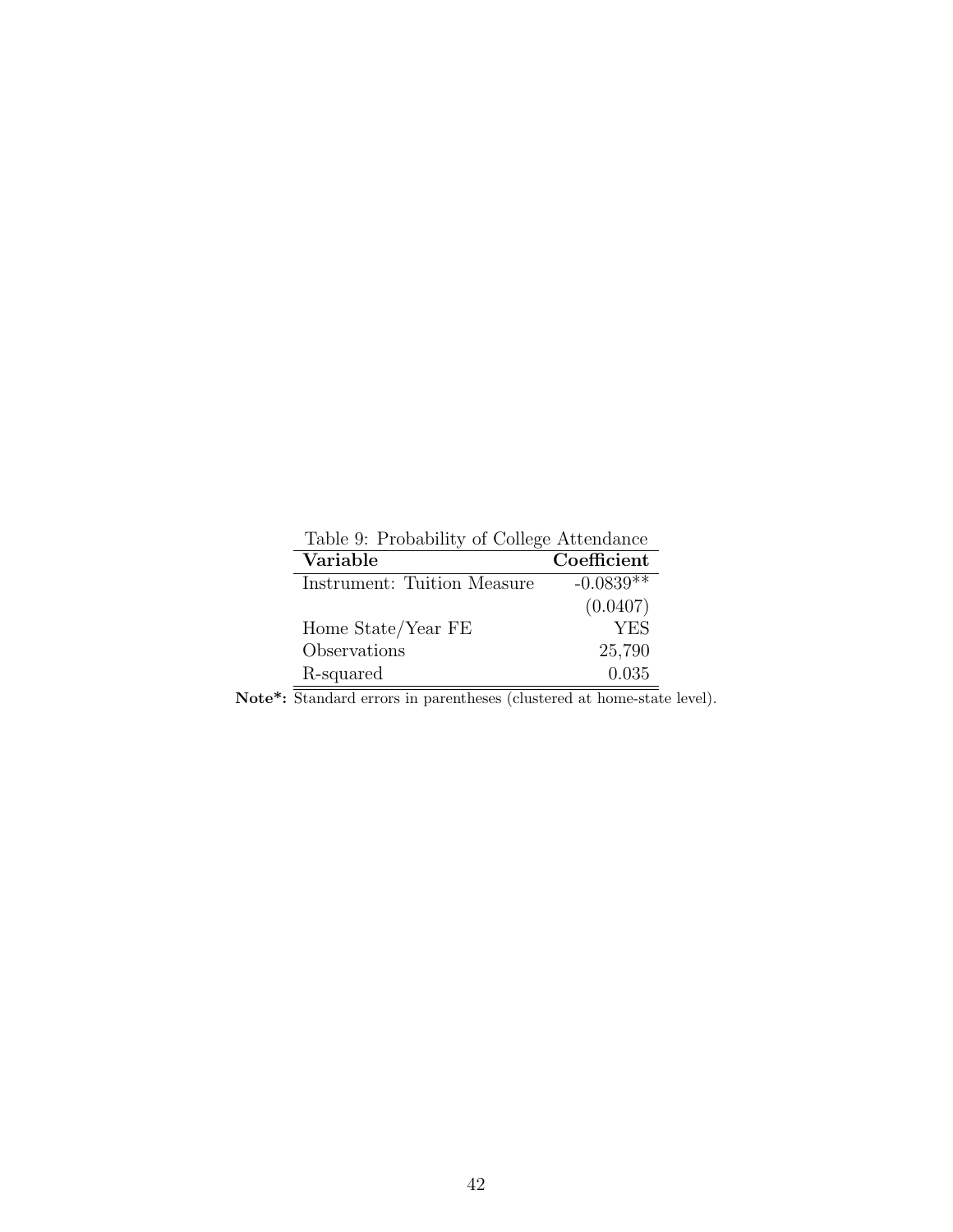<span id="page-41-0"></span>

| Table 9: Probability of College Attendance |             |
|--------------------------------------------|-------------|
| Variable                                   | Coefficient |
| Instrument: Tuition Measure                | $-0.0839**$ |
|                                            | (0.0407)    |
| Home State/Year FE                         | <b>YES</b>  |
| Observations                               | 25,790      |
| R-squared                                  | 0.035       |

Note<sup>\*</sup>: Standard errors in parentheses (clustered at home-state level).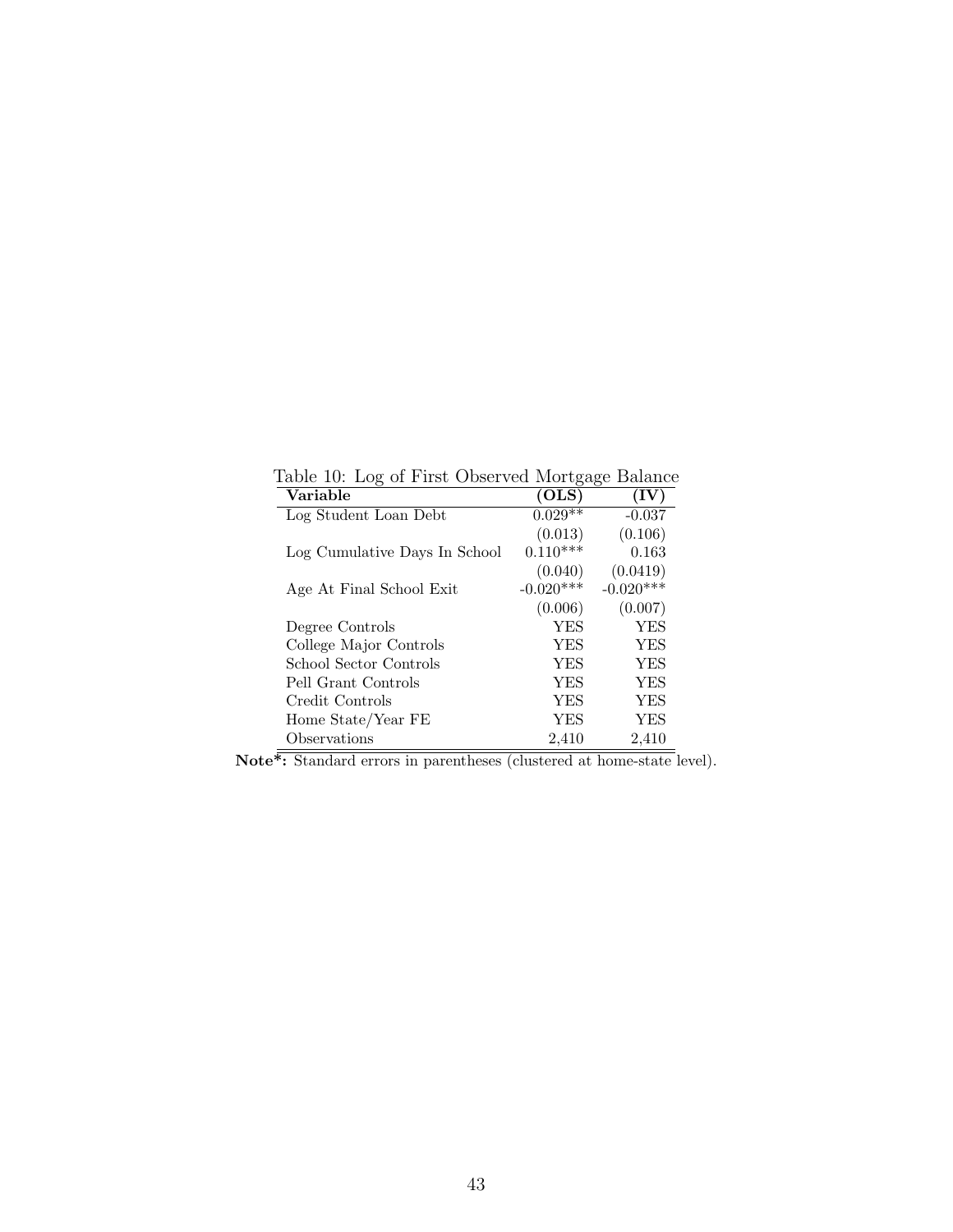| Variable                      | (OLS)       | (IV)        |
|-------------------------------|-------------|-------------|
| Log Student Loan Debt         | $0.029**$   | $-0.037$    |
|                               | (0.013)     | (0.106)     |
| Log Cumulative Days In School | $0.110***$  | 0.163       |
|                               | (0.040)     | (0.0419)    |
| Age At Final School Exit      | $-0.020***$ | $-0.020***$ |
|                               | (0.006)     | (0.007)     |
| Degree Controls               | YES         | YES         |
| College Major Controls        | YES         | YES         |
| School Sector Controls        | YES         | YES         |
| Pell Grant Controls           | YES         | YES         |
| Credit Controls               | <b>YES</b>  | <b>YES</b>  |
| Home State/Year FE            | YES         | YES         |
| Observations                  | 2,410       | 2,410       |

<span id="page-42-0"></span>Table 10: Log of First Observed Mortgage Balance

Note<sup>\*</sup>: Standard errors in parentheses (clustered at home-state level).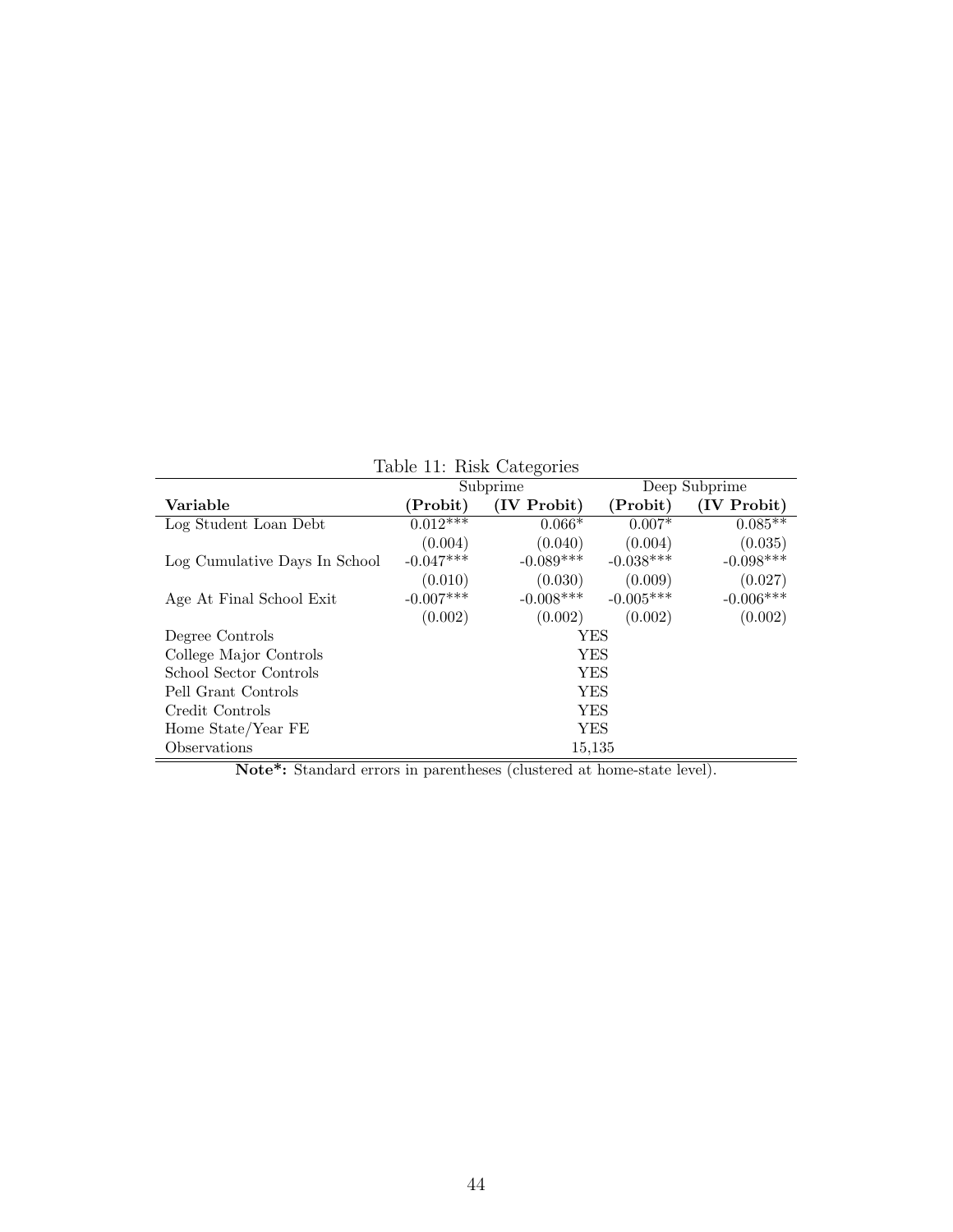|                               | $10010$ $11.$ $1001$ $0000$ $0100$ |             |             |             |  |  |  |  |
|-------------------------------|------------------------------------|-------------|-------------|-------------|--|--|--|--|
|                               | Deep Subprime<br>Subprime          |             |             |             |  |  |  |  |
| Variable                      | $(\mathrm{Probability})$           | (IV Probit) | (Probit)    | (IV Probit) |  |  |  |  |
| Log Student Loan Debt         | $0.01\overline{2***}$              | $0.066*$    | $0.007*$    | $0.085**$   |  |  |  |  |
|                               | (0.004)                            | (0.040)     | (0.004)     | (0.035)     |  |  |  |  |
| Log Cumulative Days In School | $-0.047***$                        | $-0.089***$ | $-0.038***$ | $-0.098***$ |  |  |  |  |
|                               | (0.010)                            | (0.030)     | (0.009)     | (0.027)     |  |  |  |  |
| Age At Final School Exit      | $-0.007***$                        | $-0.008***$ | $-0.005***$ | $-0.006***$ |  |  |  |  |
|                               | (0.002)                            | (0.002)     | (0.002)     | (0.002)     |  |  |  |  |
| Degree Controls               |                                    | YES         |             |             |  |  |  |  |
| College Major Controls        | <b>YES</b>                         |             |             |             |  |  |  |  |
| School Sector Controls        | YES                                |             |             |             |  |  |  |  |
| Pell Grant Controls           | <b>YES</b>                         |             |             |             |  |  |  |  |
| Credit Controls               |                                    | <b>YES</b>  |             |             |  |  |  |  |
| Home State/Year FE            |                                    | YES         |             |             |  |  |  |  |
| Observations                  |                                    | 15,135      |             |             |  |  |  |  |

<span id="page-43-0"></span>Table 11: Risk Categories

Note\*: Standard errors in parentheses (clustered at home-state level).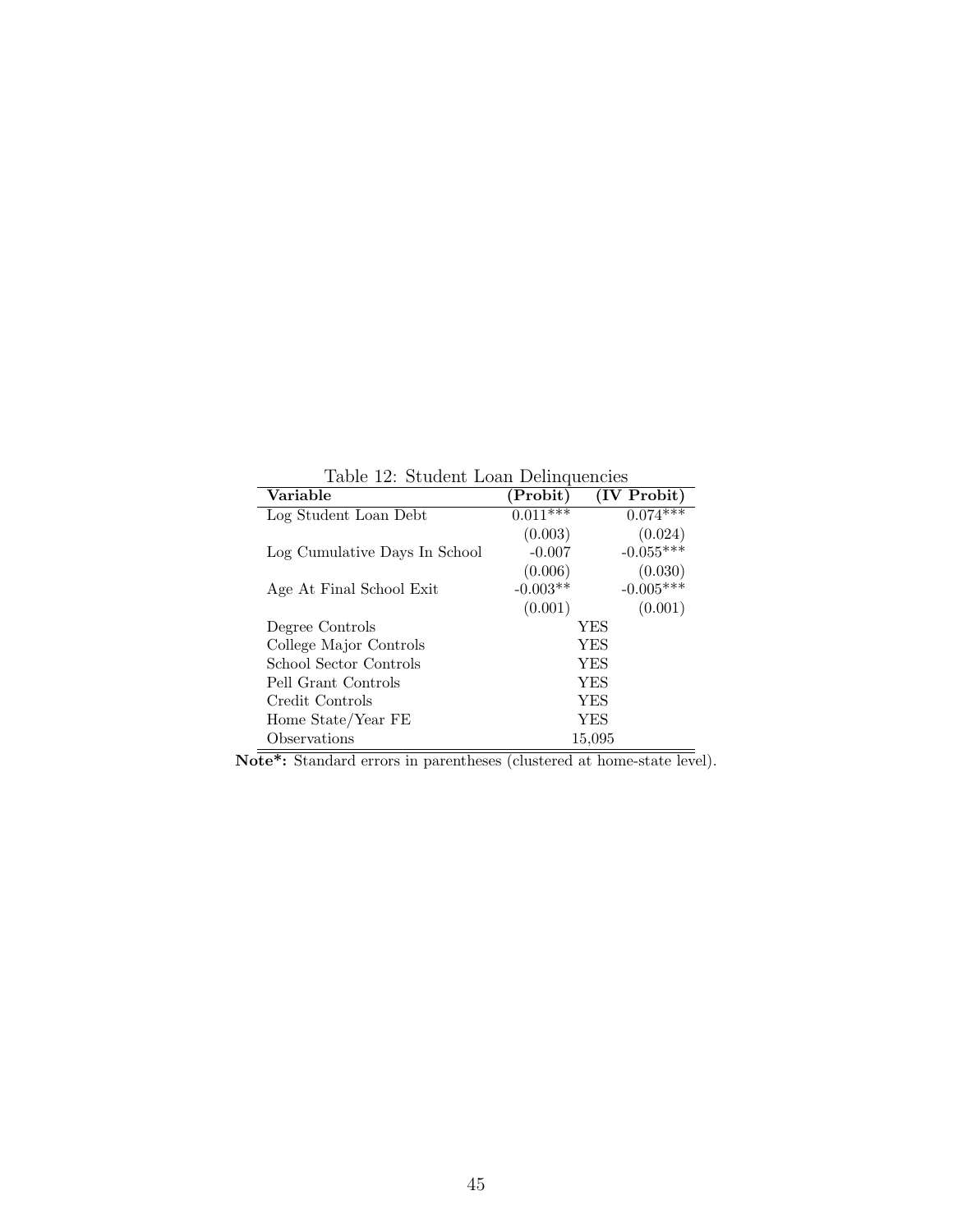| rable 12. Student Loan Dennquencies |            |             |
|-------------------------------------|------------|-------------|
| Variable                            | (Probit)   | (IV Probit) |
| Log Student Loan Debt               | $0.011***$ | $0.074***$  |
|                                     | (0.003)    | (0.024)     |
| Log Cumulative Days In School       | $-0.007$   | $-0.055***$ |
|                                     | (0.006)    | (0.030)     |
| Age At Final School Exit            | $-0.003**$ | $-0.005***$ |
|                                     | (0.001)    | (0.001)     |
| Degree Controls                     | YES        |             |
| College Major Controls              | YES        |             |
| School Sector Controls              | YES        |             |
| Pell Grant Controls                 | YES        |             |
| Credit Controls                     | YES        |             |
| Home State/Year FE                  | YES        |             |
| Observations                        | 15,095     |             |

<span id="page-44-0"></span>Table 12: Student Loan Delinquencies

Note<sup>\*</sup>: Standard errors in parentheses (clustered at home-state level).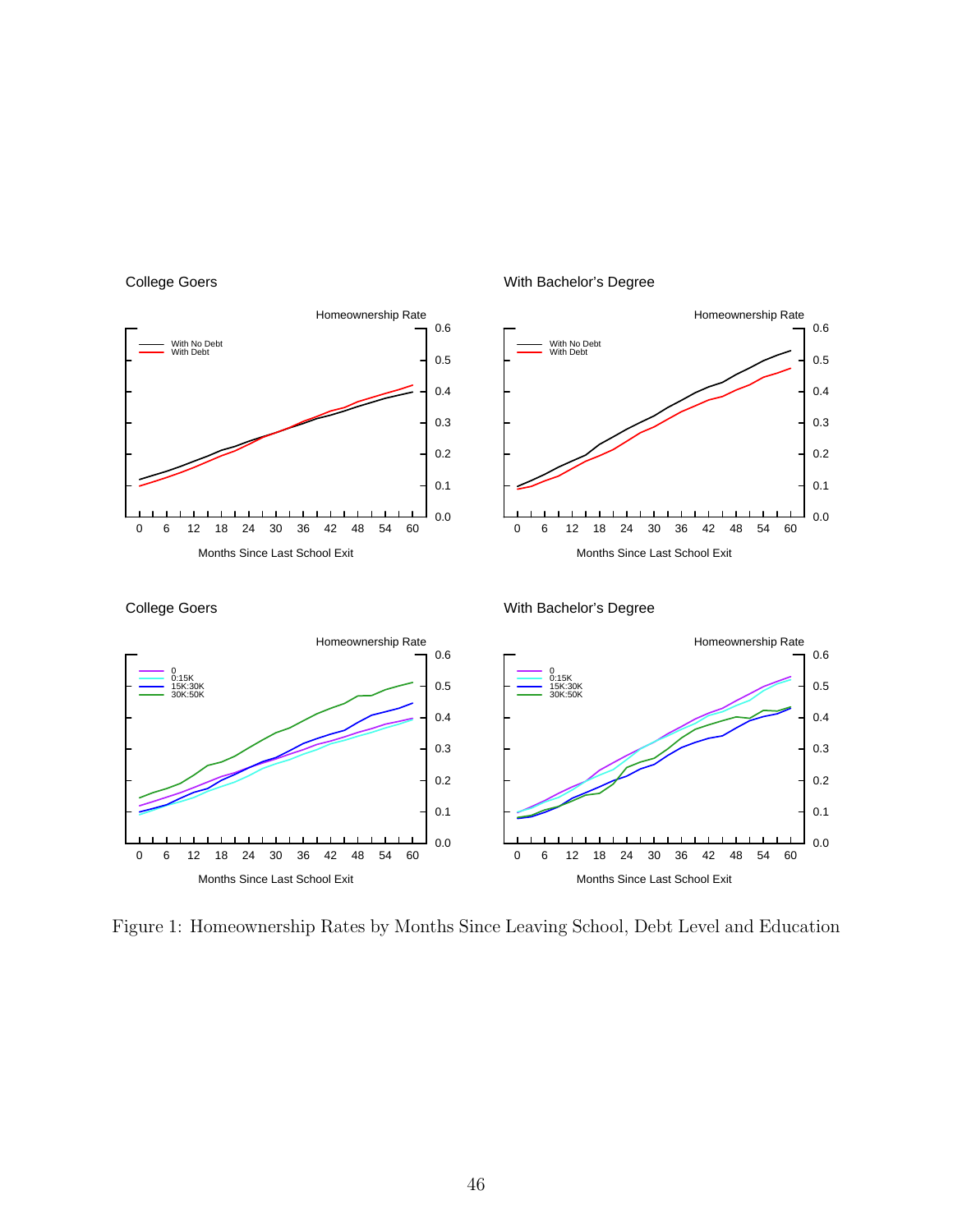

College Goers

<span id="page-45-0"></span>Figure 1: Homeownership Rates by Months Since Leaving School, Debt Level and Education

## With Bachelor's Degree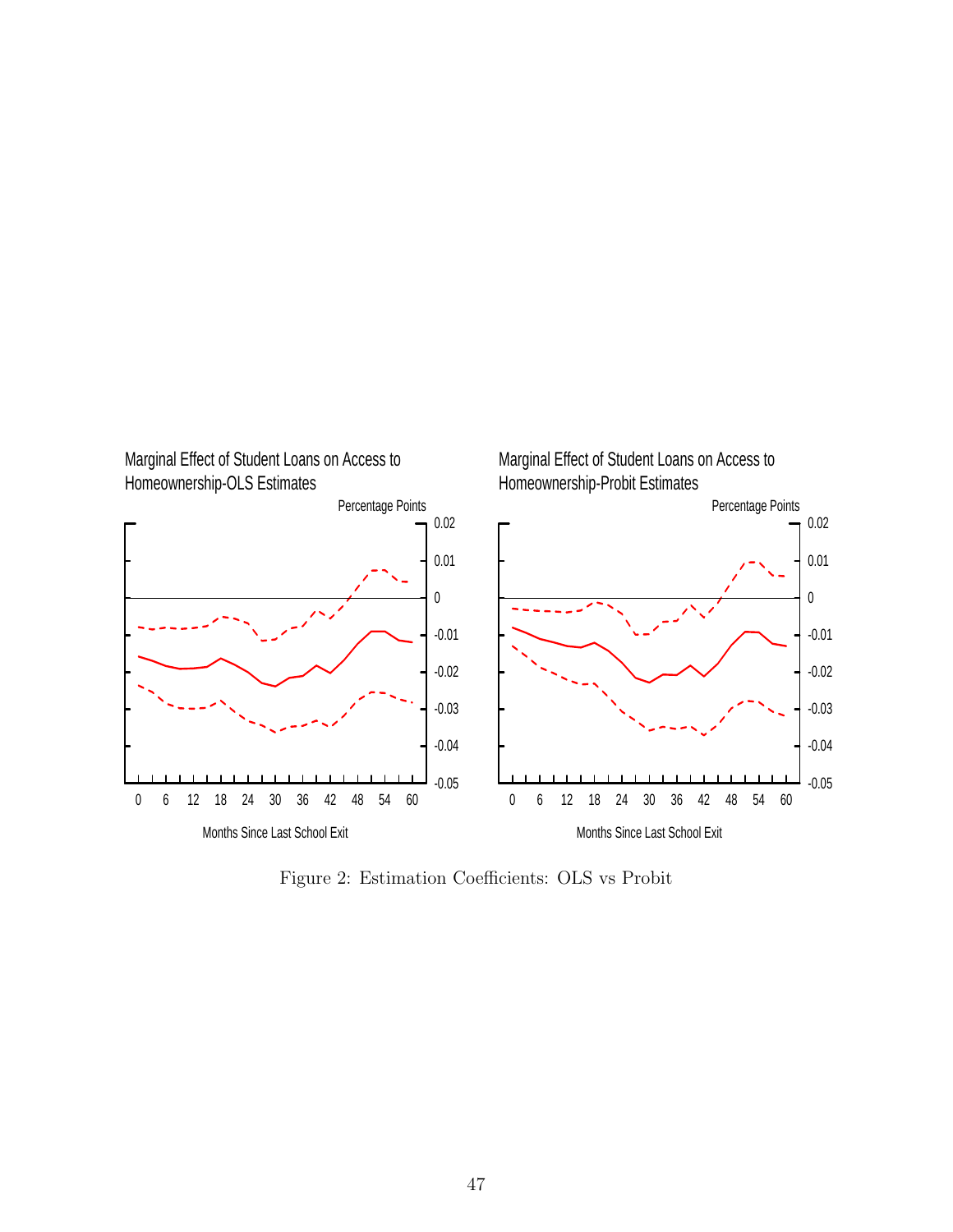

<span id="page-46-0"></span>Figure 2: Estimation Coefficients: OLS vs Probit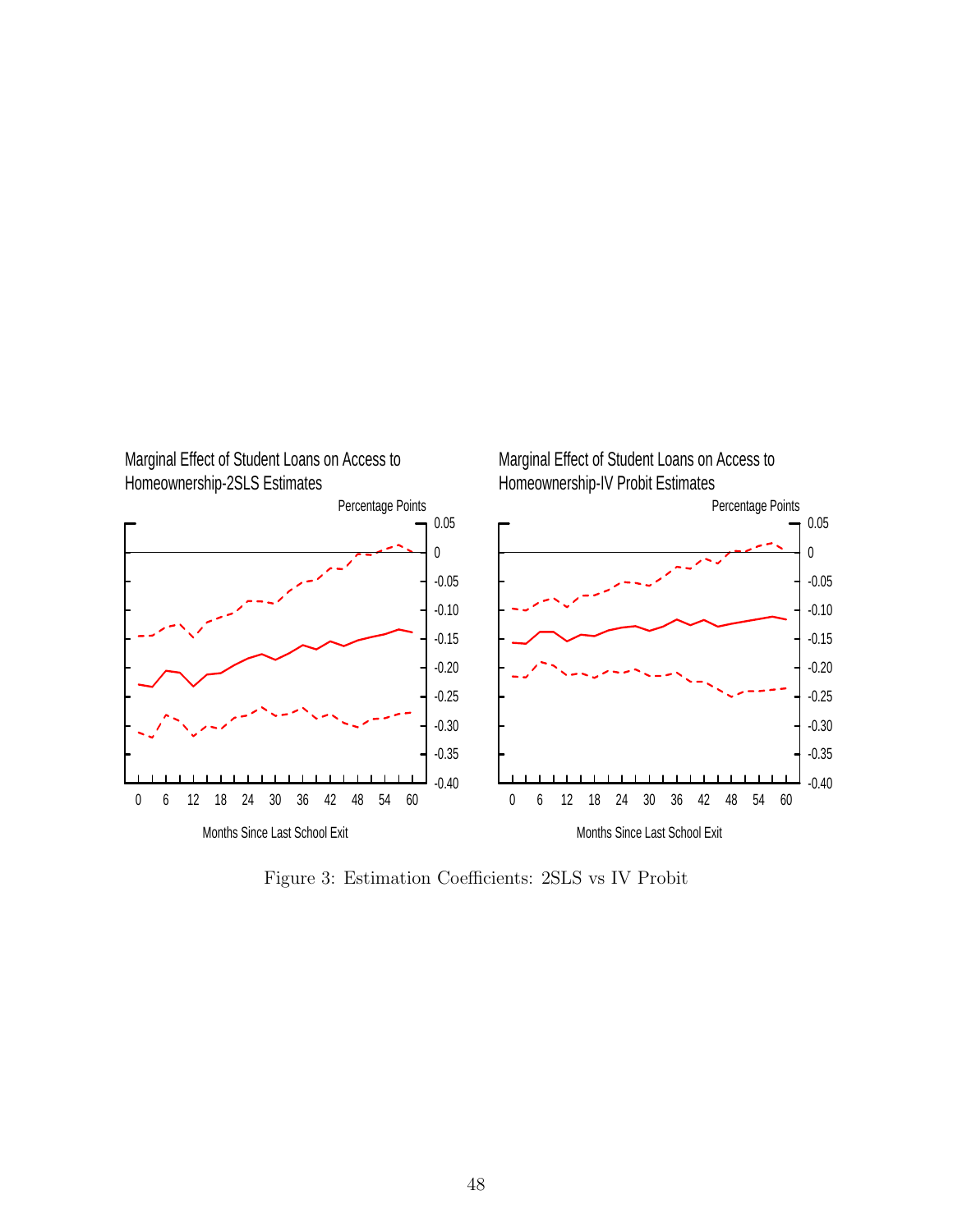

<span id="page-47-0"></span>Figure 3: Estimation Coefficients: 2SLS vs IV Probit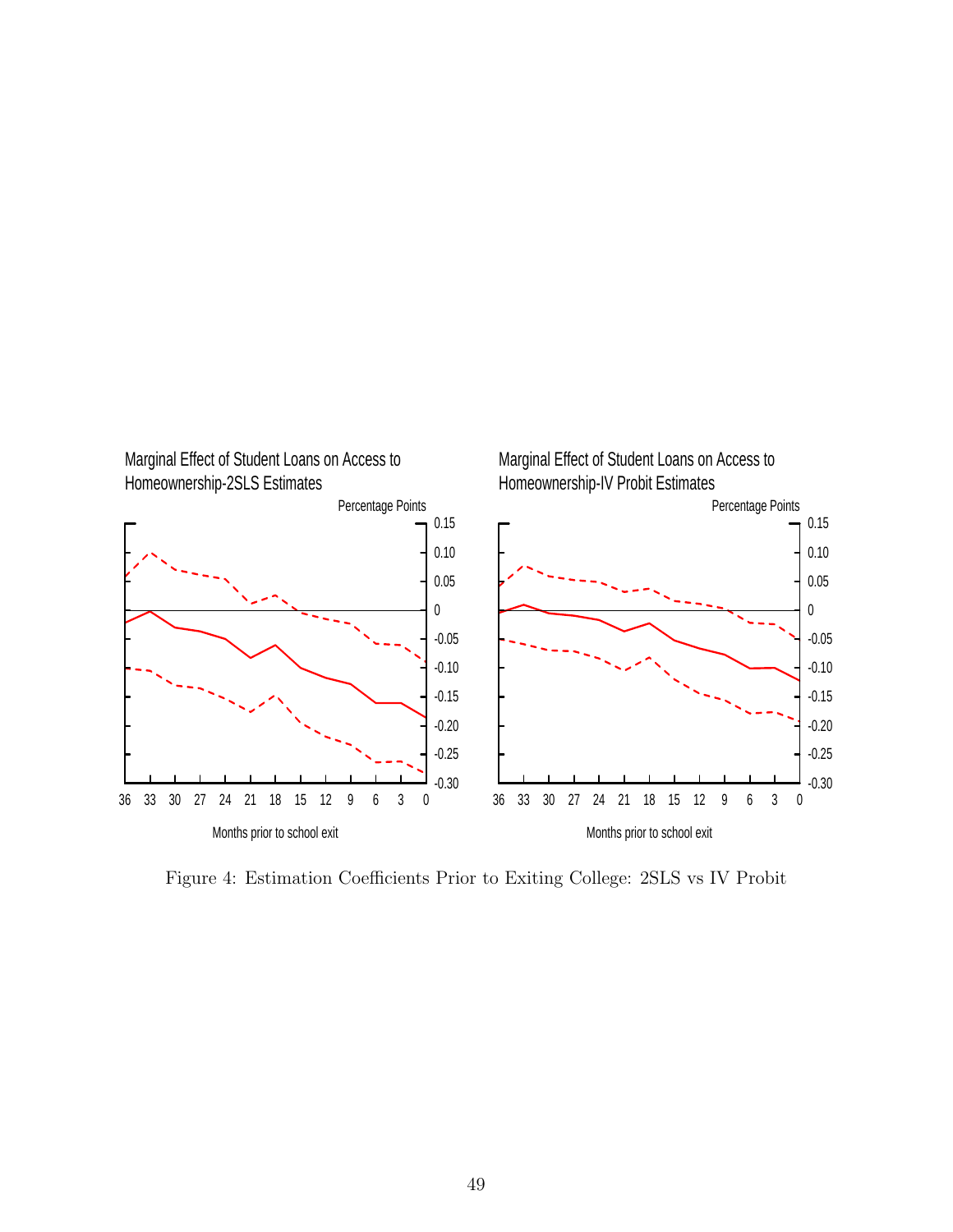

<span id="page-48-0"></span>Figure 4: Estimation Coefficients Prior to Exiting College: 2SLS vs IV Probit